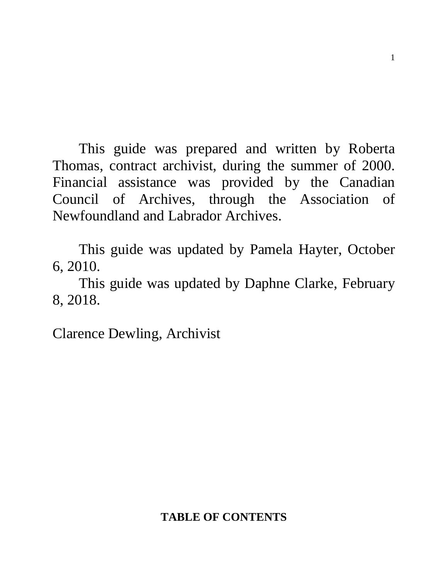This guide was prepared and written by Roberta Thomas, contract archivist, during the summer of 2000. Financial assistance was provided by the Canadian Council of Archives, through the Association of Newfoundland and Labrador Archives.

This guide was updated by Pamela Hayter, October 6, 2010.

This guide was updated by Daphne Clarke, February 8, 2018.

Clarence Dewling, Archivist

# **TABLE OF CONTENTS**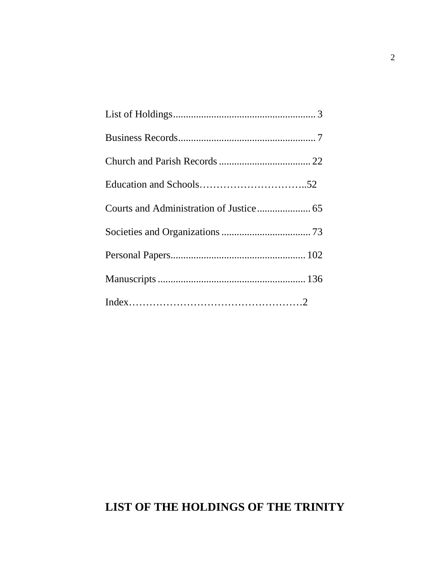# **LIST OF THE HOLDINGS OF THE TRINITY**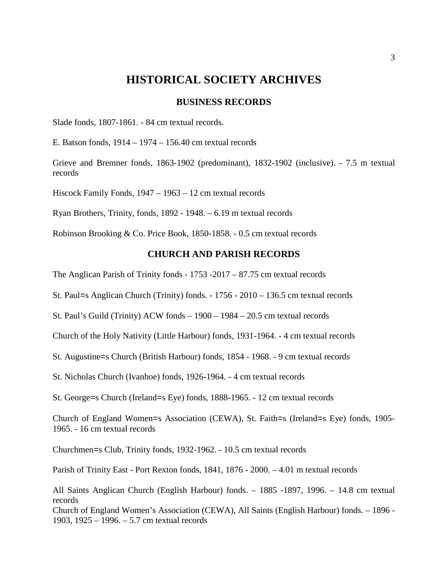# **HISTORICAL SOCIETY ARCHIVES**

# **BUSINESS RECORDS**

Slade fonds, 1807-1861. - 84 cm textual records.

E. Batson fonds, 1914 – 1974 – 156.40 cm textual records

Grieve and Bremner fonds, 1863-1902 (predominant), 1832-1902 (inclusive). - 7.5 m textual records

Hiscock Family Fonds, 1947 – 1963 – 12 cm textual records

Ryan Brothers, Trinity, fonds, 1892 - 1948. – 6.19 m textual records

Robinson Brooking & Co. Price Book, 1850-1858. - 0.5 cm textual records

# **CHURCH AND PARISH RECORDS**

The Anglican Parish of Trinity fonds - 1753 -2017 – 87.75 cm textual records

St. Paul=s Anglican Church (Trinity) fonds. - 1756 - 2010 – 136.5 cm textual records

St. Paul's Guild (Trinity) ACW fonds – 1900 – 1984 – 20.5 cm textual records

Church of the Holy Nativity (Little Harbour) fonds, 1931-1964. - 4 cm textual records

St. Augustine=s Church (British Harbour) fonds, 1854 - 1968. - 9 cm textual records

St. Nicholas Church (Ivanhoe) fonds, 1926-1964. - 4 cm textual records

St. George=s Church (Ireland=s Eye) fonds, 1888-1965. - 12 cm textual records

Church of England Women=s Association (CEWA), St. Faith=s (Ireland=s Eye) fonds, 1905- 1965. - 16 cm textual records

Churchmen=s Club, Trinity fonds, 1932-1962. - 10.5 cm textual records

Parish of Trinity East - Port Rexton fonds, 1841, 1876 - 2000. – 4.01 m textual records

All Saints Anglican Church (English Harbour) fonds. – 1885 -1897, 1996. – 14.8 cm textual records Church of England Women's Association (CEWA), All Saints (English Harbour) fonds. – 1896 - 1903, 1925 – 1996. – 5.7 cm textual records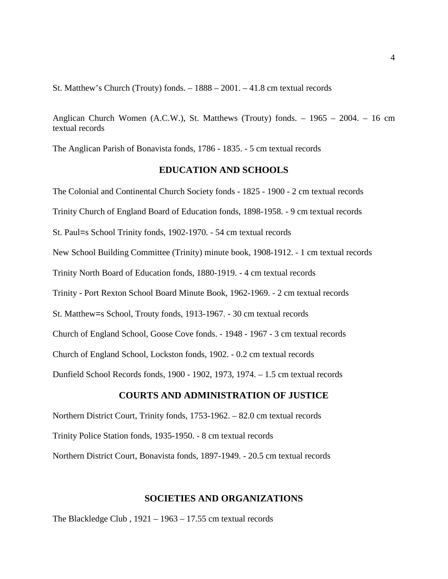St. Matthew's Church (Trouty) fonds. – 1888 – 2001. – 41.8 cm textual records

Anglican Church Women (A.C.W.), St. Matthews (Trouty) fonds. – 1965 – 2004. – 16 cm textual records

The Anglican Parish of Bonavista fonds, 1786 - 1835. - 5 cm textual records

# **EDUCATION AND SCHOOLS**

The Colonial and Continental Church Society fonds - 1825 - 1900 - 2 cm textual records Trinity Church of England Board of Education fonds, 1898-1958. - 9 cm textual records St. Paul=s School Trinity fonds, 1902-1970. - 54 cm textual records New School Building Committee (Trinity) minute book, 1908-1912. - 1 cm textual records Trinity North Board of Education fonds, 1880-1919. - 4 cm textual records Trinity - Port Rexton School Board Minute Book, 1962-1969. - 2 cm textual records St. Matthew=s School, Trouty fonds, 1913-1967. - 30 cm textual records Church of England School, Goose Cove fonds. - 1948 - 1967 - 3 cm textual records Church of England School, Lockston fonds, 1902. - 0.2 cm textual records Dunfield School Records fonds, 1900 - 1902, 1973, 1974. – 1.5 cm textual records

# **COURTS AND ADMINISTRATION OF JUSTICE**

Northern District Court, Trinity fonds, 1753-1962. – 82.0 cm textual records Trinity Police Station fonds, 1935-1950. - 8 cm textual records Northern District Court, Bonavista fonds, 1897-1949. - 20.5 cm textual records

# **SOCIETIES AND ORGANIZATIONS**

The Blackledge Club , 1921 – 1963 – 17.55 cm textual records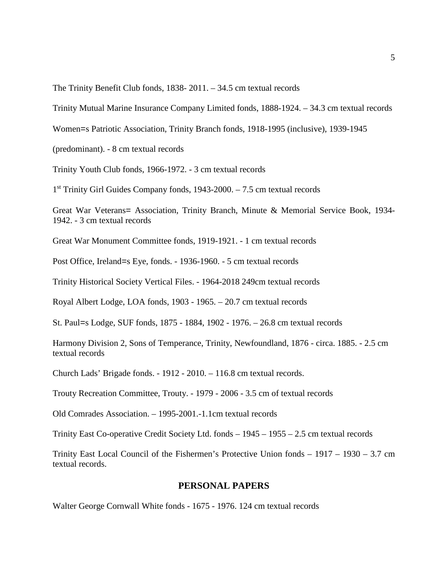The Trinity Benefit Club fonds, 1838- 2011. – 34.5 cm textual records

Trinity Mutual Marine Insurance Company Limited fonds, 1888-1924. – 34.3 cm textual records

Women=s Patriotic Association, Trinity Branch fonds, 1918-1995 (inclusive), 1939-1945

(predominant). - 8 cm textual records

Trinity Youth Club fonds, 1966-1972. - 3 cm textual records

1st Trinity Girl Guides Company fonds, 1943-2000. – 7.5 cm textual records

Great War Veterans= Association, Trinity Branch, Minute & Memorial Service Book, 1934- 1942. - 3 cm textual records

Great War Monument Committee fonds, 1919-1921. - 1 cm textual records

Post Office, Ireland=s Eye, fonds. - 1936-1960. - 5 cm textual records

Trinity Historical Society Vertical Files. - 1964-2018 249cm textual records

Royal Albert Lodge, LOA fonds, 1903 - 1965. – 20.7 cm textual records

St. Paul=s Lodge, SUF fonds, 1875 - 1884, 1902 - 1976. – 26.8 cm textual records

Harmony Division 2, Sons of Temperance, Trinity, Newfoundland, 1876 - circa. 1885. - 2.5 cm textual records

Church Lads' Brigade fonds. - 1912 - 2010. – 116.8 cm textual records.

Trouty Recreation Committee, Trouty. - 1979 - 2006 - 3.5 cm of textual records

Old Comrades Association. – 1995-2001.-1.1cm textual records

Trinity East Co-operative Credit Society Ltd. fonds – 1945 – 1955 – 2.5 cm textual records

Trinity East Local Council of the Fishermen's Protective Union fonds – 1917 – 1930 – 3.7 cm textual records.

#### **PERSONAL PAPERS**

Walter George Cornwall White fonds - 1675 - 1976. 124 cm textual records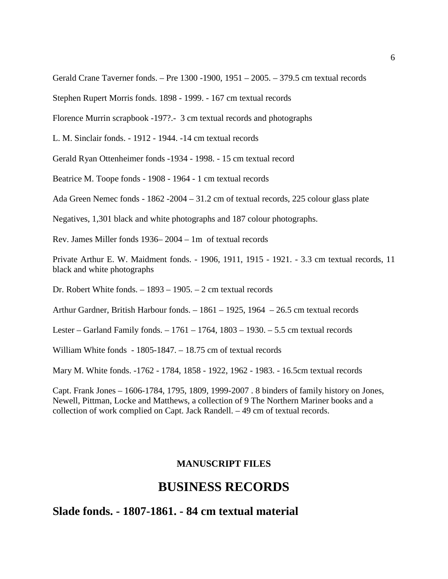Gerald Crane Taverner fonds. – Pre 1300 -1900, 1951 – 2005. – 379.5 cm textual records

Stephen Rupert Morris fonds. 1898 - 1999. - 167 cm textual records

Florence Murrin scrapbook -197?.- 3 cm textual records and photographs

L. M. Sinclair fonds. - 1912 - 1944. -14 cm textual records

Gerald Ryan Ottenheimer fonds -1934 - 1998. - 15 cm textual record

Beatrice M. Toope fonds - 1908 - 1964 - 1 cm textual records

Ada Green Nemec fonds - 1862 -2004 – 31.2 cm of textual records, 225 colour glass plate

Negatives, 1,301 black and white photographs and 187 colour photographs.

Rev. James Miller fonds 1936– 2004 – 1m of textual records

Private Arthur E. W. Maidment fonds. - 1906, 1911, 1915 - 1921. - 3.3 cm textual records, 11 black and white photographs

Dr. Robert White fonds. – 1893 – 1905. – 2 cm textual records

Arthur Gardner, British Harbour fonds. – 1861 – 1925, 1964 – 26.5 cm textual records

Lester – Garland Family fonds. – 1761 – 1764, 1803 – 1930. – 5.5 cm textual records

William White fonds - 1805-1847. – 18.75 cm of textual records

Mary M. White fonds. -1762 - 1784, 1858 - 1922, 1962 - 1983. - 16.5cm textual records

Capt. Frank Jones – 1606-1784, 1795, 1809, 1999-2007 . 8 binders of family history on Jones, Newell, Pittman, Locke and Matthews, a collection of 9 The Northern Mariner books and a collection of work complied on Capt. Jack Randell. – 49 cm of textual records.

# **MANUSCRIPT FILES**

# **BUSINESS RECORDS**

# **Slade fonds. - 1807-1861. - 84 cm textual material**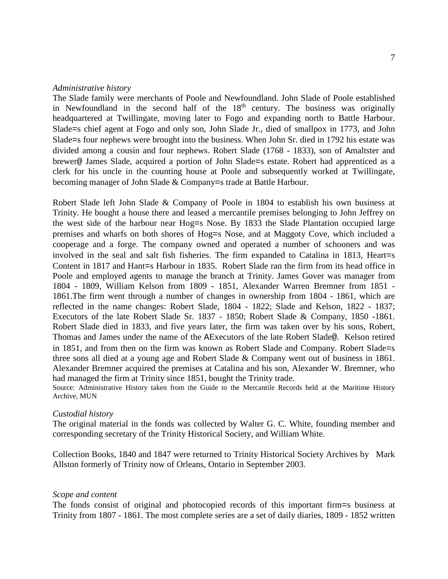# *Administrative history*

The Slade family were merchants of Poole and Newfoundland. John Slade of Poole established in Newfoundland in the second half of the  $18<sup>th</sup>$  century. The business was originally headquartered at Twillingate, moving later to Fogo and expanding north to Battle Harbour. Slade=s chief agent at Fogo and only son, John Slade Jr., died of smallpox in 1773, and John Slade=s four nephews were brought into the business. When John Sr. died in 1792 his estate was divided among a cousin and four nephews. Robert Slade (1768 - 1833), son of Amaltster and brewer@ James Slade, acquired a portion of John Slade=s estate. Robert had apprenticed as a clerk for his uncle in the counting house at Poole and subsequently worked at Twillingate, becoming manager of John Slade & Company=s trade at Battle Harbour.

Robert Slade left John Slade & Company of Poole in 1804 to establish his own business at Trinity. He bought a house there and leased a mercantile premises belonging to John Jeffrey on the west side of the harbour near Hog=s Nose. By 1833 the Slade Plantation occupied large premises and wharfs on both shores of Hog=s Nose, and at Maggoty Cove, which included a cooperage and a forge. The company owned and operated a number of schooners and was involved in the seal and salt fish fisheries. The firm expanded to Catalina in 1813, Heart=s Content in 1817 and Hant=s Harbour in 1835. Robert Slade ran the firm from its head office in Poole and employed agents to manage the branch at Trinity. James Gover was manager from 1804 - 1809, William Kelson from 1809 - 1851, Alexander Warren Bremner from 1851 - 1861.The firm went through a number of changes in ownership from 1804 - 1861, which are reflected in the name changes: Robert Slade, 1804 - 1822; Slade and Kelson, 1822 - 1837; Executors of the late Robert Slade Sr. 1837 - 1850; Robert Slade & Company, 1850 -1861. Robert Slade died in 1833, and five years later, the firm was taken over by his sons, Robert, Thomas and James under the name of the AExecutors of the late Robert Slade@. Kelson retired in 1851, and from then on the firm was known as Robert Slade and Company. Robert Slade=s three sons all died at a young age and Robert Slade & Company went out of business in 1861. Alexander Bremner acquired the premises at Catalina and his son, Alexander W. Bremner, who had managed the firm at Trinity since 1851, bought the Trinity trade.

Source: Administrative History taken from the Guide to the Mercantile Records held at the Maritime History Archive, MUN

### *Custodial history*

The original material in the fonds was collected by Walter G. C. White, founding member and corresponding secretary of the Trinity Historical Society, and William White.

Collection Books, 1840 and 1847 were returned to Trinity Historical Society Archives by Mark Allston formerly of Trinity now of Orleans, Ontario in September 2003.

### *Scope and content*

The fonds consist of original and photocopied records of this important firm=s business at Trinity from 1807 - 1861. The most complete series are a set of daily diaries, 1809 - 1852 written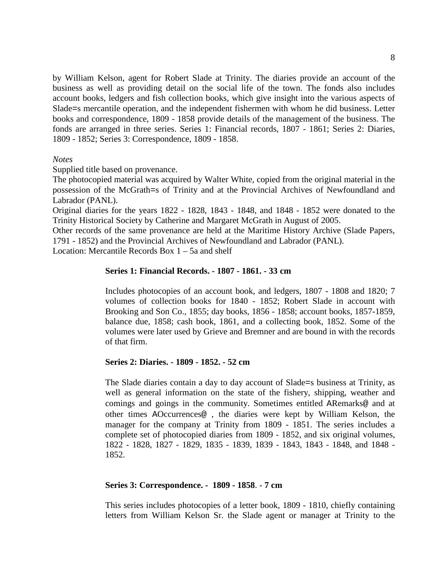by William Kelson, agent for Robert Slade at Trinity. The diaries provide an account of the business as well as providing detail on the social life of the town. The fonds also includes account books, ledgers and fish collection books, which give insight into the various aspects of Slade=s mercantile operation, and the independent fishermen with whom he did business. Letter books and correspondence, 1809 - 1858 provide details of the management of the business. The fonds are arranged in three series. Series 1: Financial records, 1807 - 1861; Series 2: Diaries, 1809 - 1852; Series 3: Correspondence, 1809 - 1858.

### *Notes*

Supplied title based on provenance.

The photocopied material was acquired by Walter White, copied from the original material in the possession of the McGrath=s of Trinity and at the Provincial Archives of Newfoundland and Labrador (PANL).

Original diaries for the years 1822 - 1828, 1843 - 1848, and 1848 - 1852 were donated to the Trinity Historical Society by Catherine and Margaret McGrath in August of 2005.

Other records of the same provenance are held at the Maritime History Archive (Slade Papers, 1791 - 1852) and the Provincial Archives of Newfoundland and Labrador (PANL).

Location: Mercantile Records Box 1 – 5a and shelf

### **Series 1: Financial Records. - 1807 - 1861. - 33 cm**

Includes photocopies of an account book, and ledgers, 1807 - 1808 and 1820; 7 volumes of collection books for 1840 - 1852; Robert Slade in account with Brooking and Son Co., 1855; day books, 1856 - 1858; account books, 1857-1859, balance due, 1858; cash book, 1861, and a collecting book, 1852. Some of the volumes were later used by Grieve and Bremner and are bound in with the records of that firm.

### **Series 2: Diaries. - 1809 - 1852. - 52 cm**

The Slade diaries contain a day to day account of Slade=s business at Trinity, as well as general information on the state of the fishery, shipping, weather and comings and goings in the community. Sometimes entitled ARemarks@ and at other times AOccurrences@ , the diaries were kept by William Kelson, the manager for the company at Trinity from 1809 - 1851. The series includes a complete set of photocopied diaries from 1809 - 1852, and six original volumes, 1822 - 1828, 1827 - 1829, 1835 - 1839, 1839 - 1843, 1843 - 1848, and 1848 - 1852.

#### **Series 3: Correspondence. - 1809 - 1858**. - **7 cm**

This series includes photocopies of a letter book, 1809 - 1810, chiefly containing letters from William Kelson Sr. the Slade agent or manager at Trinity to the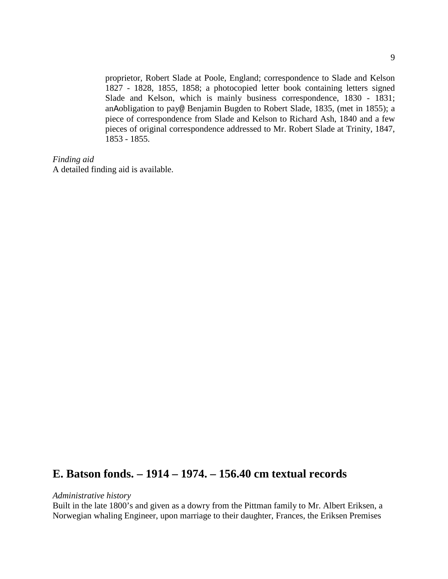proprietor, Robert Slade at Poole, England; correspondence to Slade and Kelson 1827 - 1828, 1855, 1858; a photocopied letter book containing letters signed Slade and Kelson, which is mainly business correspondence, 1830 - 1831; anAobligation to pay@ Benjamin Bugden to Robert Slade, 1835, (met in 1855); a piece of correspondence from Slade and Kelson to Richard Ash, 1840 and a few pieces of original correspondence addressed to Mr. Robert Slade at Trinity, 1847, 1853 - 1855.

*Finding aid* A detailed finding aid is available.

# **E. Batson fonds. – 1914 – 1974. – 156.40 cm textual records**

#### *Administrative history*

Built in the late 1800's and given as a dowry from the Pittman family to Mr. Albert Eriksen, a Norwegian whaling Engineer, upon marriage to their daughter, Frances, the Eriksen Premises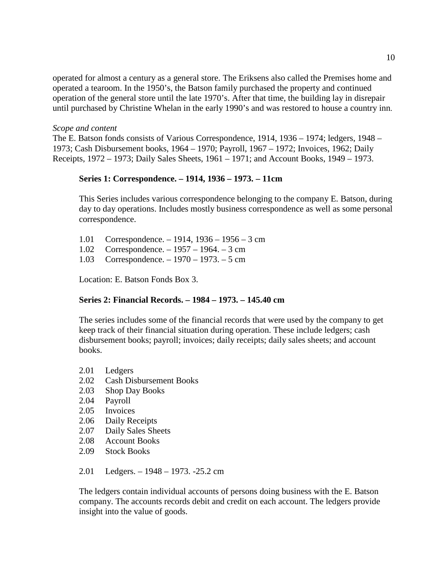operated for almost a century as a general store. The Eriksens also called the Premises home and operated a tearoom. In the 1950's, the Batson family purchased the property and continued operation of the general store until the late 1970's. After that time, the building lay in disrepair until purchased by Christine Whelan in the early 1990's and was restored to house a country inn.

#### *Scope and content*

The E. Batson fonds consists of Various Correspondence, 1914, 1936 – 1974; ledgers, 1948 – 1973; Cash Disbursement books, 1964 – 1970; Payroll, 1967 – 1972; Invoices, 1962; Daily Receipts, 1972 – 1973; Daily Sales Sheets, 1961 – 1971; and Account Books, 1949 – 1973.

### **Series 1: Correspondence. – 1914, 1936 – 1973. – 11cm**

This Series includes various correspondence belonging to the company E. Batson, during day to day operations. Includes mostly business correspondence as well as some personal correspondence.

1.01 Correspondence. – 1914, 1936 – 1956 – 3 cm

- 1.02 Correspondence. 1957 1964. 3 cm
- 1.03 Correspondence. 1970 1973. 5 cm

Location: E. Batson Fonds Box 3.

# **Series 2: Financial Records. – 1984 – 1973. – 145.40 cm**

The series includes some of the financial records that were used by the company to get keep track of their financial situation during operation. These include ledgers; cash disbursement books; payroll; invoices; daily receipts; daily sales sheets; and account books.

- 2.01 Ledgers
- 2.02 Cash Disbursement Books
- 2.03 Shop Day Books
- 2.04 Payroll
- 2.05 Invoices
- 2.06 Daily Receipts
- 2.07 Daily Sales Sheets
- 2.08 Account Books
- 2.09 Stock Books
- 2.01 Ledgers. 1948 1973. -25.2 cm

The ledgers contain individual accounts of persons doing business with the E. Batson company. The accounts records debit and credit on each account. The ledgers provide insight into the value of goods.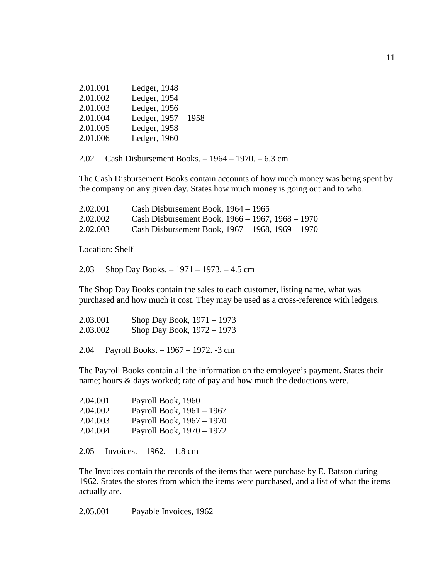| 2.01.001 | Ledger, 1948        |
|----------|---------------------|
| 2.01.002 | Ledger, 1954        |
| 2.01.003 | Ledger, 1956        |
| 2.01.004 | Ledger, 1957 - 1958 |
| 2.01.005 | Ledger, 1958        |
| 2.01.006 | Ledger, 1960        |

2.02 Cash Disbursement Books. – 1964 – 1970. – 6.3 cm

The Cash Disbursement Books contain accounts of how much money was being spent by the company on any given day. States how much money is going out and to who.

| 2.02.001 | Cash Disbursement Book, 1964 – 1965                   |
|----------|-------------------------------------------------------|
| 2.02.002 | Cash Disbursement Book, $1966 - 1967$ , $1968 - 1970$ |
| 2.02.003 | Cash Disbursement Book, 1967 – 1968, 1969 – 1970      |

Location: Shelf

2.03 Shop Day Books. – 1971 – 1973. – 4.5 cm

The Shop Day Books contain the sales to each customer, listing name, what was purchased and how much it cost. They may be used as a cross-reference with ledgers.

| 2.03.001 | Shop Day Book, $1971 - 1973$ |  |
|----------|------------------------------|--|
| 2.03.002 | Shop Day Book, 1972 – 1973   |  |

2.04 Payroll Books. – 1967 – 1972. -3 cm

The Payroll Books contain all the information on the employee's payment. States their name; hours & days worked; rate of pay and how much the deductions were.

| 2.04.001 | Payroll Book, 1960        |
|----------|---------------------------|
| 2.04.002 | Payroll Book, 1961 - 1967 |
| 2.04.003 | Payroll Book, 1967 - 1970 |
| 2.04.004 | Payroll Book, 1970 - 1972 |

2.05 Invoices. – 1962. – 1.8 cm

The Invoices contain the records of the items that were purchase by E. Batson during 1962. States the stores from which the items were purchased, and a list of what the items actually are.

2.05.001 Payable Invoices, 1962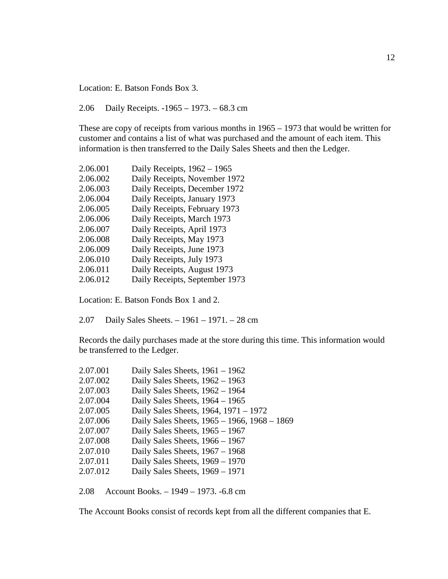Location: E. Batson Fonds Box 3.

2.06 Daily Receipts. -1965 – 1973. – 68.3 cm

These are copy of receipts from various months in 1965 – 1973 that would be written for customer and contains a list of what was purchased and the amount of each item. This information is then transferred to the Daily Sales Sheets and then the Ledger.

2.06.001 Daily Receipts, 1962 – 1965 2.06.002 Daily Receipts, November 1972 2.06.003 Daily Receipts, December 1972 2.06.004 Daily Receipts, January 1973 2.06.005 Daily Receipts, February 1973 2.06.006 Daily Receipts, March 1973 2.06.007 Daily Receipts, April 1973 2.06.008 Daily Receipts, May 1973 2.06.009 Daily Receipts, June 1973 2.06.010 Daily Receipts, July 1973 2.06.011 Daily Receipts, August 1973 2.06.012 Daily Receipts, September 1973

Location: E. Batson Fonds Box 1 and 2.

2.07 Daily Sales Sheets. – 1961 – 1971. – 28 cm

Records the daily purchases made at the store during this time. This information would be transferred to the Ledger.

| 2.07.001 | Daily Sales Sheets, $1961 - 1962$            |
|----------|----------------------------------------------|
| 2.07.002 | Daily Sales Sheets, $1962 - 1963$            |
| 2.07.003 | Daily Sales Sheets, $1962 - 1964$            |
| 2.07.004 | Daily Sales Sheets, $1964 - 1965$            |
| 2.07.005 | Daily Sales Sheets, 1964, 1971 – 1972        |
| 2.07.006 | Daily Sales Sheets, 1965 - 1966, 1968 - 1869 |
| 2.07.007 | Daily Sales Sheets, $1965 - 1967$            |
| 2.07.008 | Daily Sales Sheets, 1966 - 1967              |
| 2.07.010 | Daily Sales Sheets, 1967 - 1968              |
| 2.07.011 | Daily Sales Sheets, 1969 - 1970              |
| 2.07.012 | Daily Sales Sheets, 1969 - 1971              |
|          |                                              |

2.08 Account Books. – 1949 – 1973. -6.8 cm

The Account Books consist of records kept from all the different companies that E.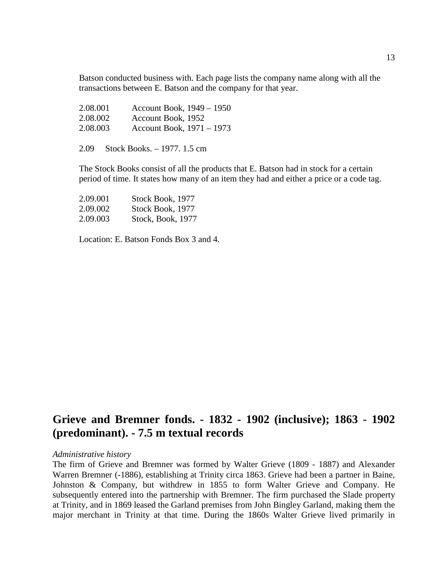Batson conducted business with. Each page lists the company name along with all the transactions between E. Batson and the company for that year.

| 2.08.001 | Account Book, 1949 – 1950 |
|----------|---------------------------|
| 2.08.002 | Account Book, 1952        |
| 2.08.003 | Account Book, 1971 – 1973 |

2.09 Stock Books. – 1977. 1.5 cm

The Stock Books consist of all the products that E. Batson had in stock for a certain period of time. It states how many of an item they had and either a price or a code tag.

| 2.09.001 | Stock Book, 1977  |
|----------|-------------------|
| 2.09.002 | Stock Book, 1977  |
| 2.09.003 | Stock, Book, 1977 |

Location: E. Batson Fonds Box 3 and 4.

# **Grieve and Bremner fonds. - 1832 - 1902 (inclusive); 1863 - 1902 (predominant). - 7.5 m textual records**

#### *Administrative history*

The firm of Grieve and Bremner was formed by Walter Grieve (1809 - 1887) and Alexander Warren Bremner (-1886), establishing at Trinity circa 1863. Grieve had been a partner in Baine, Johnston & Company, but withdrew in 1855 to form Walter Grieve and Company. He subsequently entered into the partnership with Bremner. The firm purchased the Slade property at Trinity, and in 1869 leased the Garland premises from John Bingley Garland, making them the major merchant in Trinity at that time. During the 1860s Walter Grieve lived primarily in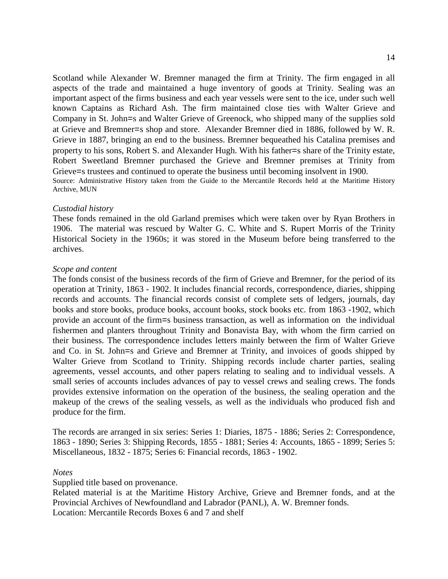Scotland while Alexander W. Bremner managed the firm at Trinity. The firm engaged in all aspects of the trade and maintained a huge inventory of goods at Trinity. Sealing was an important aspect of the firms business and each year vessels were sent to the ice, under such well known Captains as Richard Ash. The firm maintained close ties with Walter Grieve and Company in St. John=s and Walter Grieve of Greenock, who shipped many of the supplies sold at Grieve and Bremner=s shop and store. Alexander Bremner died in 1886, followed by W. R. Grieve in 1887, bringing an end to the business. Bremner bequeathed his Catalina premises and property to his sons, Robert S. and Alexander Hugh. With his father=s share of the Trinity estate, Robert Sweetland Bremner purchased the Grieve and Bremner premises at Trinity from Grieve=s trustees and continued to operate the business until becoming insolvent in 1900. Source: Administrative History taken from the Guide to the Mercantile Records held at the Maritime History Archive, MUN

### *Custodial history*

These fonds remained in the old Garland premises which were taken over by Ryan Brothers in 1906. The material was rescued by Walter G. C. White and S. Rupert Morris of the Trinity Historical Society in the 1960s; it was stored in the Museum before being transferred to the archives.

#### *Scope and content*

The fonds consist of the business records of the firm of Grieve and Bremner, for the period of its operation at Trinity, 1863 - 1902. It includes financial records, correspondence, diaries, shipping records and accounts. The financial records consist of complete sets of ledgers, journals, day books and store books, produce books, account books, stock books etc. from 1863 -1902, which provide an account of the firm=s business transaction, as well as information on the individual fishermen and planters throughout Trinity and Bonavista Bay, with whom the firm carried on their business. The correspondence includes letters mainly between the firm of Walter Grieve and Co. in St. John=s and Grieve and Bremner at Trinity, and invoices of goods shipped by Walter Grieve from Scotland to Trinity. Shipping records include charter parties, sealing agreements, vessel accounts, and other papers relating to sealing and to individual vessels. A small series of accounts includes advances of pay to vessel crews and sealing crews. The fonds provides extensive information on the operation of the business, the sealing operation and the makeup of the crews of the sealing vessels, as well as the individuals who produced fish and produce for the firm.

The records are arranged in six series: Series 1: Diaries, 1875 - 1886; Series 2: Correspondence, 1863 - 1890; Series 3: Shipping Records, 1855 - 1881; Series 4: Accounts, 1865 - 1899; Series 5: Miscellaneous, 1832 - 1875; Series 6: Financial records, 1863 - 1902.

#### *Notes*

Supplied title based on provenance.

Related material is at the Maritime History Archive, Grieve and Bremner fonds, and at the Provincial Archives of Newfoundland and Labrador (PANL), A. W. Bremner fonds. Location: Mercantile Records Boxes 6 and 7 and shelf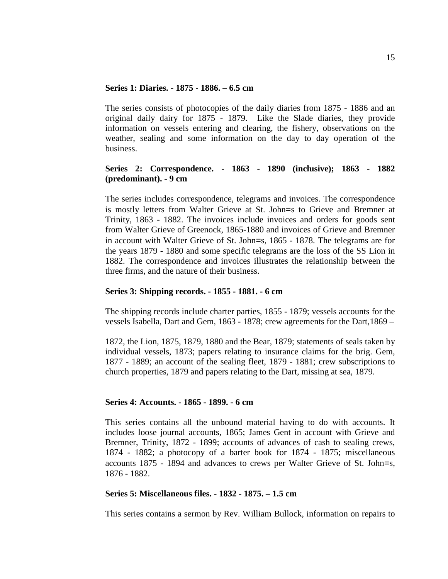### **Series 1: Diaries. - 1875 - 1886. – 6.5 cm**

The series consists of photocopies of the daily diaries from 1875 - 1886 and an original daily dairy for 1875 - 1879. Like the Slade diaries, they provide information on vessels entering and clearing, the fishery, observations on the weather, sealing and some information on the day to day operation of the business.

# **Series 2: Correspondence. - 1863 - 1890 (inclusive); 1863 - 1882 (predominant). - 9 cm**

The series includes correspondence, telegrams and invoices. The correspondence is mostly letters from Walter Grieve at St. John=s to Grieve and Bremner at Trinity, 1863 - 1882. The invoices include invoices and orders for goods sent from Walter Grieve of Greenock, 1865-1880 and invoices of Grieve and Bremner in account with Walter Grieve of St. John=s, 1865 - 1878. The telegrams are for the years 1879 - 1880 and some specific telegrams are the loss of the SS Lion in 1882. The correspondence and invoices illustrates the relationship between the three firms, and the nature of their business.

### **Series 3: Shipping records. - 1855 - 1881. - 6 cm**

The shipping records include charter parties, 1855 - 1879; vessels accounts for the vessels Isabella, Dart and Gem, 1863 - 1878; crew agreements for the Dart,1869 –

1872, the Lion, 1875, 1879, 1880 and the Bear, 1879; statements of seals taken by individual vessels, 1873; papers relating to insurance claims for the brig. Gem, 1877 - 1889; an account of the sealing fleet, 1879 - 1881; crew subscriptions to church properties, 1879 and papers relating to the Dart, missing at sea, 1879.

### **Series 4: Accounts. - 1865 - 1899. - 6 cm**

This series contains all the unbound material having to do with accounts. It includes loose journal accounts, 1865; James Gent in account with Grieve and Bremner, Trinity, 1872 - 1899; accounts of advances of cash to sealing crews, 1874 - 1882; a photocopy of a barter book for 1874 - 1875; miscellaneous accounts 1875 - 1894 and advances to crews per Walter Grieve of St. John=s, 1876 - 1882.

# **Series 5: Miscellaneous files. - 1832 - 1875. – 1.5 cm**

This series contains a sermon by Rev. William Bullock, information on repairs to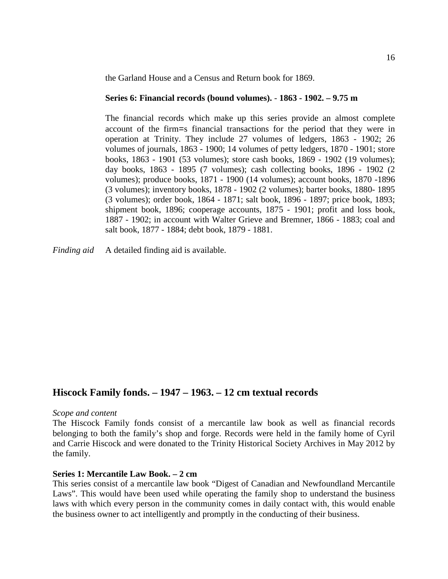the Garland House and a Census and Return book for 1869.

# **Series 6: Financial records (bound volumes).** - **1863 - 1902. – 9.75 m**

The financial records which make up this series provide an almost complete account of the firm=s financial transactions for the period that they were in operation at Trinity. They include 27 volumes of ledgers, 1863 - 1902; 26 volumes of journals, 1863 - 1900; 14 volumes of petty ledgers, 1870 - 1901; store books, 1863 - 1901 (53 volumes); store cash books, 1869 - 1902 (19 volumes); day books, 1863 - 1895 (7 volumes); cash collecting books, 1896 - 1902 (2 volumes); produce books, 1871 - 1900 (14 volumes); account books, 1870 -1896 (3 volumes); inventory books, 1878 - 1902 (2 volumes); barter books, 1880- 1895 (3 volumes); order book, 1864 - 1871; salt book, 1896 - 1897; price book, 1893; shipment book, 1896; cooperage accounts, 1875 - 1901; profit and loss book, 1887 - 1902; in account with Walter Grieve and Bremner, 1866 - 1883; coal and salt book, 1877 - 1884; debt book, 1879 - 1881.

*Finding aid* A detailed finding aid is available.

# **Hiscock Family fonds. – 1947 – 1963. – 12 cm textual records**

#### *Scope and content*

The Hiscock Family fonds consist of a mercantile law book as well as financial records belonging to both the family's shop and forge. Records were held in the family home of Cyril and Carrie Hiscock and were donated to the Trinity Historical Society Archives in May 2012 by the family.

#### **Series 1: Mercantile Law Book. – 2 cm**

This series consist of a mercantile law book "Digest of Canadian and Newfoundland Mercantile Laws". This would have been used while operating the family shop to understand the business laws with which every person in the community comes in daily contact with, this would enable the business owner to act intelligently and promptly in the conducting of their business.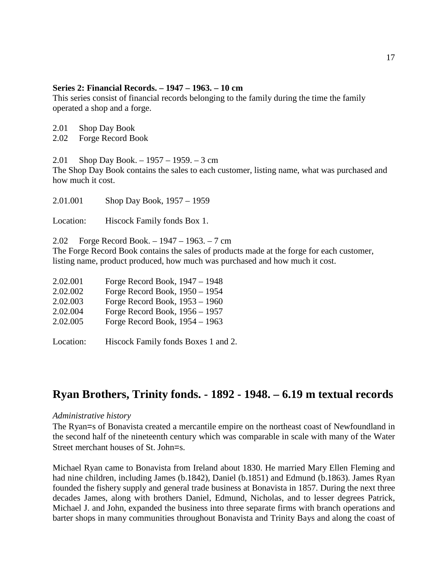### **Series 2: Financial Records. – 1947 – 1963. – 10 cm**

This series consist of financial records belonging to the family during the time the family operated a shop and a forge.

2.01 Shop Day Book

2.02 Forge Record Book

2.01 Shop Day Book. – 1957 – 1959. – 3 cm

The Shop Day Book contains the sales to each customer, listing name, what was purchased and how much it cost.

2.01.001 Shop Day Book, 1957 – 1959

Location: Hiscock Family fonds Box 1.

2.02 Forge Record Book. – 1947 – 1963. – 7 cm The Forge Record Book contains the sales of products made at the forge for each customer, listing name, product produced, how much was purchased and how much it cost.

| 2.02.001 | Forge Record Book, 1947 - 1948   |
|----------|----------------------------------|
| 2.02.002 | Forge Record Book, 1950 - 1954   |
| 2.02.003 | Forge Record Book, 1953 – 1960   |
| 2.02.004 | Forge Record Book, 1956 – 1957   |
| 2.02.005 | Forge Record Book, $1954 - 1963$ |

Location: Hiscock Family fonds Boxes 1 and 2.

# **Ryan Brothers, Trinity fonds. - 1892 - 1948. – 6.19 m textual records**

# *Administrative history*

The Ryan=s of Bonavista created a mercantile empire on the northeast coast of Newfoundland in the second half of the nineteenth century which was comparable in scale with many of the Water Street merchant houses of St. John=s.

Michael Ryan came to Bonavista from Ireland about 1830. He married Mary Ellen Fleming and had nine children, including James (b.1842), Daniel (b.1851) and Edmund (b.1863). James Ryan founded the fishery supply and general trade business at Bonavista in 1857. During the next three decades James, along with brothers Daniel, Edmund, Nicholas, and to lesser degrees Patrick, Michael J. and John, expanded the business into three separate firms with branch operations and barter shops in many communities throughout Bonavista and Trinity Bays and along the coast of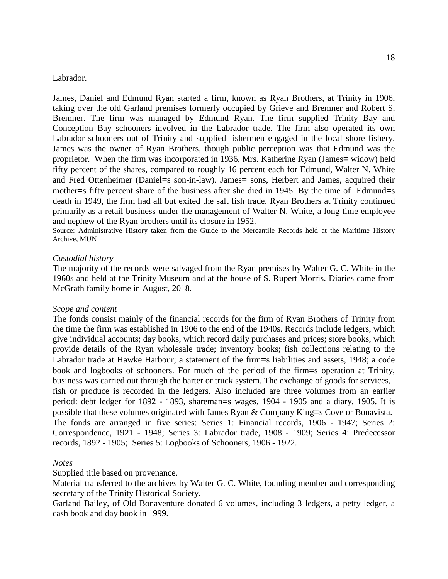### Labrador.

James, Daniel and Edmund Ryan started a firm, known as Ryan Brothers, at Trinity in 1906, taking over the old Garland premises formerly occupied by Grieve and Bremner and Robert S. Bremner. The firm was managed by Edmund Ryan. The firm supplied Trinity Bay and Conception Bay schooners involved in the Labrador trade. The firm also operated its own Labrador schooners out of Trinity and supplied fishermen engaged in the local shore fishery. James was the owner of Ryan Brothers, though public perception was that Edmund was the proprietor. When the firm was incorporated in 1936, Mrs. Katherine Ryan (James= widow) held fifty percent of the shares, compared to roughly 16 percent each for Edmund, Walter N. White and Fred Ottenheimer (Daniel=s son-in-law). James= sons, Herbert and James, acquired their mother=s fifty percent share of the business after she died in 1945. By the time of Edmund=s death in 1949, the firm had all but exited the salt fish trade. Ryan Brothers at Trinity continued primarily as a retail business under the management of Walter N. White, a long time employee and nephew of the Ryan brothers until its closure in 1952.

Source: Administrative History taken from the Guide to the Mercantile Records held at the Maritime History Archive, MUN

### *Custodial history*

The majority of the records were salvaged from the Ryan premises by Walter G. C. White in the 1960s and held at the Trinity Museum and at the house of S. Rupert Morris. Diaries came from McGrath family home in August, 2018.

#### *Scope and content*

The fonds consist mainly of the financial records for the firm of Ryan Brothers of Trinity from the time the firm was established in 1906 to the end of the 1940s. Records include ledgers, which give individual accounts; day books, which record daily purchases and prices; store books, which provide details of the Ryan wholesale trade; inventory books; fish collections relating to the Labrador trade at Hawke Harbour; a statement of the firm=s liabilities and assets, 1948; a code book and logbooks of schooners. For much of the period of the firm=s operation at Trinity, business was carried out through the barter or truck system. The exchange of goods for services, fish or produce is recorded in the ledgers. Also included are three volumes from an earlier period: debt ledger for 1892 - 1893, shareman=s wages, 1904 - 1905 and a diary, 1905. It is

possible that these volumes originated with James Ryan & Company King=s Cove or Bonavista. The fonds are arranged in five series: Series 1: Financial records, 1906 - 1947; Series 2: Correspondence, 1921 - 1948; Series 3: Labrador trade, 1908 - 1909; Series 4: Predecessor records, 1892 - 1905; Series 5: Logbooks of Schooners, 1906 - 1922.

#### *Notes*

Supplied title based on provenance.

Material transferred to the archives by Walter G. C. White, founding member and corresponding secretary of the Trinity Historical Society.

Garland Bailey, of Old Bonaventure donated 6 volumes, including 3 ledgers, a petty ledger, a cash book and day book in 1999.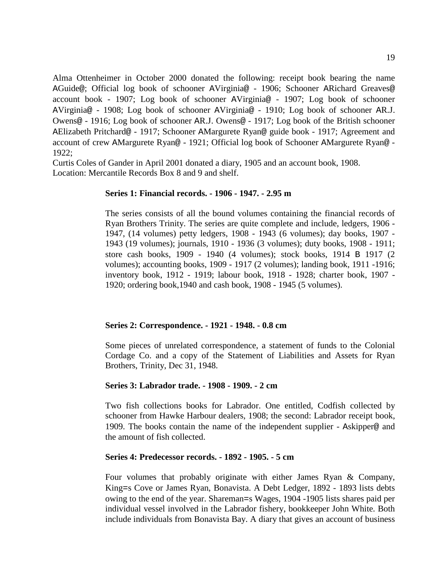Alma Ottenheimer in October 2000 donated the following: receipt book bearing the name AGuide@; Official log book of schooner AVirginia@ - 1906; Schooner ARichard Greaves@ account book - 1907; Log book of schooner AVirginia@ - 1907; Log book of schooner AVirginia@ - 1908; Log book of schooner AVirginia@ - 1910; Log book of schooner AR.J. Owens@ - 1916; Log book of schooner AR.J. Owens@ - 1917; Log book of the British schooner AElizabeth Pritchard@ - 1917; Schooner AMargurete Ryan@ guide book - 1917; Agreement and account of crew AMargurete Ryan@ - 1921; Official log book of Schooner AMargurete Ryan@ - 1922;

Curtis Coles of Gander in April 2001 donated a diary, 1905 and an account book, 1908. Location: Mercantile Records Box 8 and 9 and shelf.

### **Series 1: Financial records. - 1906 - 1947. - 2.95 m**

The series consists of all the bound volumes containing the financial records of Ryan Brothers Trinity. The series are quite complete and include, ledgers, 1906 - 1947, (14 volumes) petty ledgers, 1908 - 1943 (6 volumes); day books, 1907 - 1943 (19 volumes); journals, 1910 - 1936 (3 volumes); duty books, 1908 - 1911; store cash books, 1909 - 1940 (4 volumes); stock books, 1914 B 1917 (2 volumes); accounting books, 1909 - 1917 (2 volumes); landing book, 1911 -1916; inventory book, 1912 - 1919; labour book, 1918 - 1928; charter book, 1907 - 1920; ordering book,1940 and cash book, 1908 - 1945 (5 volumes).

#### **Series 2: Correspondence. - 1921 - 1948. - 0.8 cm**

Some pieces of unrelated correspondence, a statement of funds to the Colonial Cordage Co. and a copy of the Statement of Liabilities and Assets for Ryan Brothers, Trinity, Dec 31, 1948.

### **Series 3: Labrador trade. - 1908 - 1909. - 2 cm**

Two fish collections books for Labrador. One entitled, Codfish collected by schooner from Hawke Harbour dealers, 1908; the second: Labrador receipt book, 1909. The books contain the name of the independent supplier - Askipper@ and the amount of fish collected.

#### **Series 4: Predecessor records. - 1892 - 1905. - 5 cm**

Four volumes that probably originate with either James Ryan & Company, King=s Cove or James Ryan, Bonavista. A Debt Ledger, 1892 - 1893 lists debts owing to the end of the year. Shareman=s Wages, 1904 -1905 lists shares paid per individual vessel involved in the Labrador fishery, bookkeeper John White. Both include individuals from Bonavista Bay. A diary that gives an account of business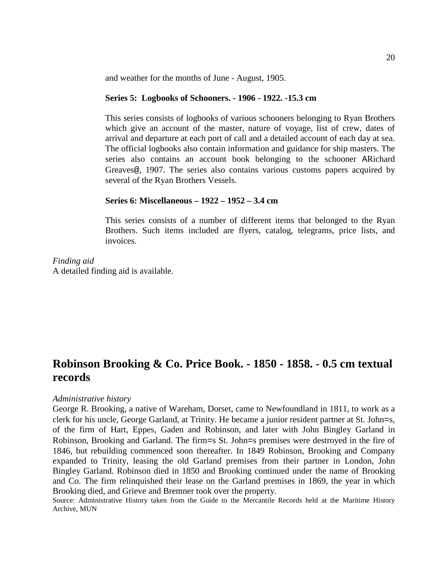and weather for the months of June - August, 1905.

### **Series 5: Logbooks of Schooners. - 1906 - 1922. -15.3 cm**

This series consists of logbooks of various schooners belonging to Ryan Brothers which give an account of the master, nature of voyage, list of crew, dates of arrival and departure at each port of call and a detailed account of each day at sea. The official logbooks also contain information and guidance for ship masters. The series also contains an account book belonging to the schooner ARichard Greaves@, 1907. The series also contains various customs papers acquired by several of the Ryan Brothers Vessels.

### **Series 6: Miscellaneous – 1922 – 1952 – 3.4 cm**

This series consists of a number of different items that belonged to the Ryan Brothers. Such items included are flyers, catalog, telegrams, price lists, and invoices.

*Finding aid* A detailed finding aid is available.

# **Robinson Brooking & Co. Price Book. - 1850 - 1858. - 0.5 cm textual records**

#### *Administrative history*

George R. Brooking, a native of Wareham, Dorset, came to Newfoundland in 1811, to work as a clerk for his uncle, George Garland, at Trinity. He became a junior resident partner at St. John=s, of the firm of Hart, Eppes, Gaden and Robinson, and later with John Bingley Garland in Robinson, Brooking and Garland. The firm=s St. John=s premises were destroyed in the fire of 1846, but rebuilding commenced soon thereafter. In 1849 Robinson, Brooking and Company expanded to Trinity, leasing the old Garland premises from their partner in London, John Bingley Garland. Robinson died in 1850 and Brooking continued under the name of Brooking and Co. The firm relinquished their lease on the Garland premises in 1869, the year in which Brooking died, and Grieve and Bremner took over the property.

Source: Administrative History taken from the Guide to the Mercantile Records held at the Maritime History Archive, MUN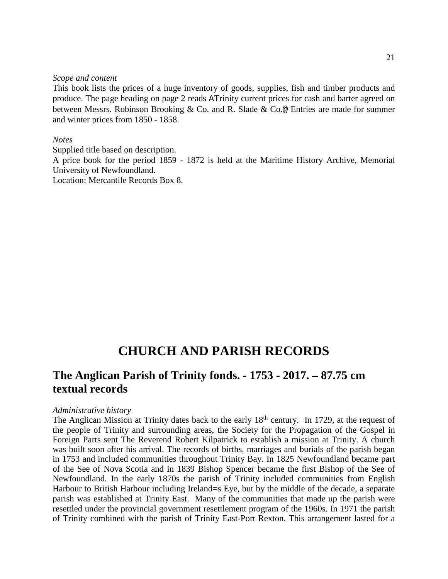### *Scope and content*

This book lists the prices of a huge inventory of goods, supplies, fish and timber products and produce. The page heading on page 2 reads ATrinity current prices for cash and barter agreed on between Messrs. Robinson Brooking & Co. and R. Slade & Co.@ Entries are made for summer and winter prices from 1850 - 1858.

#### *Notes*

Supplied title based on description.

A price book for the period 1859 - 1872 is held at the Maritime History Archive, Memorial University of Newfoundland.

Location: Mercantile Records Box 8.

# **CHURCH AND PARISH RECORDS**

# **The Anglican Parish of Trinity fonds. - 1753 - 2017. – 87.75 cm textual records**

### *Administrative history*

The Anglican Mission at Trinity dates back to the early 18<sup>th</sup> century. In 1729, at the request of the people of Trinity and surrounding areas, the Society for the Propagation of the Gospel in Foreign Parts sent The Reverend Robert Kilpatrick to establish a mission at Trinity. A church was built soon after his arrival. The records of births, marriages and burials of the parish began in 1753 and included communities throughout Trinity Bay. In 1825 Newfoundland became part of the See of Nova Scotia and in 1839 Bishop Spencer became the first Bishop of the See of Newfoundland*.* In the early 1870s the parish of Trinity included communities from English Harbour to British Harbour including Ireland=s Eye, but by the middle of the decade, a separate parish was established at Trinity East. Many of the communities that made up the parish were resettled under the provincial government resettlement program of the 1960s. In 1971 the parish of Trinity combined with the parish of Trinity East-Port Rexton. This arrangement lasted for a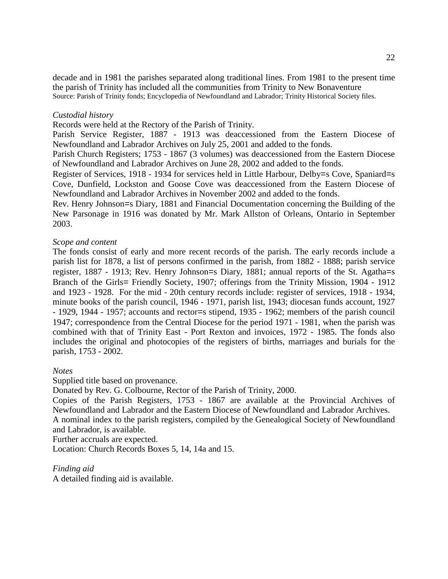decade and in 1981 the parishes separated along traditional lines. From 1981 to the present time the parish of Trinity has included all the communities from Trinity to New Bonaventure Source: Parish of Trinity fonds; Encyclopedia of Newfoundland and Labrador; Trinity Historical Society files.

### *Custodial history*

Records were held at the Rectory of the Parish of Trinity.

Parish Service Register, 1887 - 1913 was deaccessioned from the Eastern Diocese of Newfoundland and Labrador Archives on July 25, 2001 and added to the fonds.

Parish Church Registers; 1753 - 1867 (3 volumes) was deaccessioned from the Eastern Diocese of Newfoundland and Labrador Archives on June 28, 2002 and added to the fonds.

Register of Services, 1918 - 1934 for services held in Little Harbour, Delby=s Cove, Spaniard=s Cove, Dunfield, Lockston and Goose Cove was deaccessioned from the Eastern Diocese of Newfoundland and Labrador Archives in November 2002 and added to the fonds.

Rev. Henry Johnson=s Diary, 1881 and Financial Documentation concerning the Building of the New Parsonage in 1916 was donated by Mr. Mark Allston of Orleans, Ontario in September 2003.

#### *Scope and content*

The fonds consist of early and more recent records of the parish. The early records include a parish list for 1878, a list of persons confirmed in the parish, from 1882 - 1888; parish service register, 1887 - 1913; Rev. Henry Johnson=s Diary, 1881; annual reports of the St. Agatha=s Branch of the Girls= Friendly Society, 1907; offerings from the Trinity Mission, 1904 - 1912 and 1923 - 1928. For the mid - 20th century records include: register of services, 1918 - 1934, minute books of the parish council, 1946 - 1971*,* parish list, 1943; diocesan funds account, 1927 - 1929, 1944 - 1957; accounts and rector=s stipend, 1935 - 1962; members of the parish council 1947; correspondence from the Central Diocese for the period 1971 - 1981, when the parish was combined with that of Trinity East - Port Rexton and invoices, 1972 - 1985. The fonds also includes the original and photocopies of the registers of births, marriages and burials for the parish, 1753 - 2002.

#### *Notes*

Supplied title based on provenance.

Donated by Rev. G. Colbourne, Rector of the Parish of Trinity, 2000.

Copies of the Parish Registers, 1753 - 1867 are available at the Provincial Archives of Newfoundland and Labrador and the Eastern Diocese of Newfoundland and Labrador Archives. A nominal index to the parish registers, compiled by the Genealogical Society of Newfoundland

and Labrador, is available.

Further accruals are expected.

Location: Church Records Boxes 5, 14, 14a and 15.

# *Finding aid*

A detailed finding aid is available.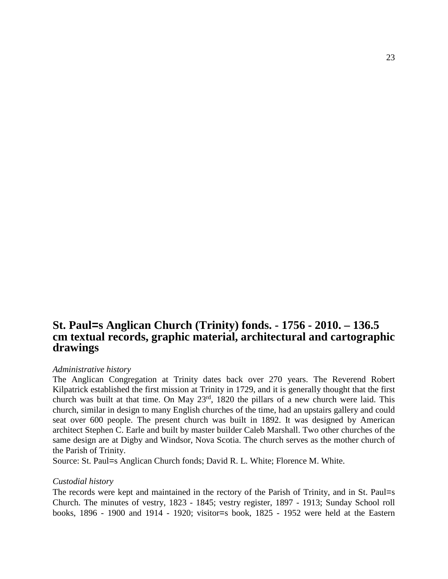# **St. Paul=s Anglican Church (Trinity) fonds. - 1756 - 2010. – 136.5 cm textual records, graphic material, architectural and cartographic drawings**

# *Administrative history*

The Anglican Congregation at Trinity dates back over 270 years. The Reverend Robert Kilpatrick established the first mission at Trinity in 1729, and it is generally thought that the first church was built at that time. On May 23rd, 1820 the pillars of a new church were laid. This church, similar in design to many English churches of the time, had an upstairs gallery and could seat over 600 people. The present church was built in 1892. It was designed by American architect Stephen C. Earle and built by master builder Caleb Marshall. Two other churches of the same design are at Digby and Windsor, Nova Scotia. The church serves as the mother church of the Parish of Trinity.

Source: St. Paul=s Anglican Church fonds; David R. L. White; Florence M. White.

#### *Custodial history*

The records were kept and maintained in the rectory of the Parish of Trinity, and in St. Paul=s Church. The minutes of vestry, 1823 - 1845; vestry register, 1897 - 1913; Sunday School roll books, 1896 - 1900 and 1914 - 1920; visitor=s book, 1825 - 1952 were held at the Eastern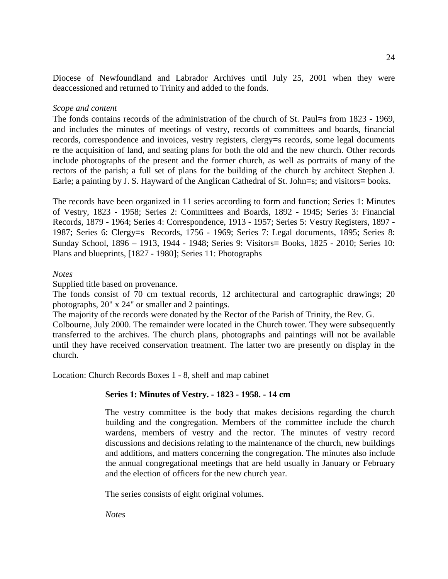Diocese of Newfoundland and Labrador Archives until July 25, 2001 when they were deaccessioned and returned to Trinity and added to the fonds.

# *Scope and content*

The fonds contains records of the administration of the church of St. Paul=s from 1823 - 1969, and includes the minutes of meetings of vestry, records of committees and boards, financial records, correspondence and invoices, vestry registers, clergy=s records, some legal documents re the acquisition of land, and seating plans for both the old and the new church. Other records include photographs of the present and the former church, as well as portraits of many of the rectors of the parish; a full set of plans for the building of the church by architect Stephen J. Earle; a painting by J. S. Hayward of the Anglican Cathedral of St. John=s; and visitors= books.

The records have been organized in 11 series according to form and function; Series 1: Minutes of Vestry, 1823 - 1958; Series 2: Committees and Boards, 1892 - 1945; Series 3: Financial Records, 1879 - 1964; Series 4: Correspondence, 1913 - 1957; Series 5: Vestry Registers, 1897 - 1987; Series 6: Clergy=s Records, 1756 - 1969; Series 7: Legal documents, 1895; Series 8: Sunday School, 1896 – 1913, 1944 - 1948; Series 9: Visitors= Books, 1825 - 2010; Series 10: Plans and blueprints, [1827 - 1980]; Series 11: Photographs

# *Notes*

Supplied title based on provenance.

The fonds consist of 70 cm textual records, 12 architectural and cartographic drawings; 20 photographs, 20" x 24" or smaller and 2 paintings.

The majority of the records were donated by the Rector of the Parish of Trinity, the Rev. G.

Colbourne, July 2000. The remainder were located in the Church tower. They were subsequently transferred to the archives. The church plans, photographs and paintings will not be available until they have received conservation treatment. The latter two are presently on display in the church.

Location: Church Records Boxes 1 - 8, shelf and map cabinet

# **Series 1: Minutes of Vestry. - 1823 - 1958. - 14 cm**

The vestry committee is the body that makes decisions regarding the church building and the congregation. Members of the committee include the church wardens, members of vestry and the rector. The minutes of vestry record discussions and decisions relating to the maintenance of the church, new buildings and additions, and matters concerning the congregation. The minutes also include the annual congregational meetings that are held usually in January or February and the election of officers for the new church year.

The series consists of eight original volumes.

*Notes*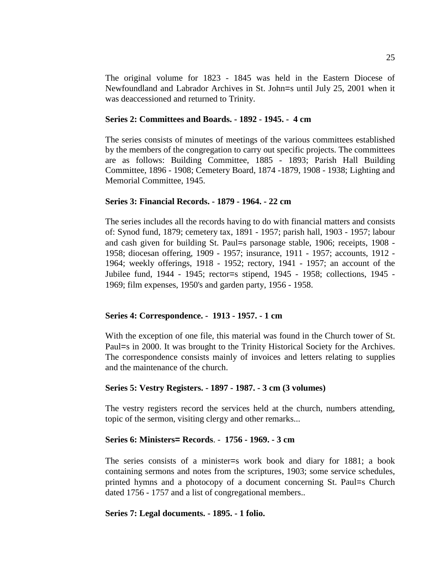The original volume for 1823 - 1845 was held in the Eastern Diocese of Newfoundland and Labrador Archives in St. John=s until July 25, 2001 when it was deaccessioned and returned to Trinity.

# **Series 2: Committees and Boards. - 1892 - 1945. - 4 cm**

The series consists of minutes of meetings of the various committees established by the members of the congregation to carry out specific projects. The committees are as follows: Building Committee, 1885 - 1893; Parish Hall Building Committee, 1896 - 1908; Cemetery Board, 1874 -1879, 1908 - 1938; Lighting and Memorial Committee, 1945.

# **Series 3: Financial Records. - 1879 - 1964. - 22 cm**

The series includes all the records having to do with financial matters and consists of: Synod fund, 1879; cemetery tax, 1891 - 1957; parish hall, 1903 - 1957; labour and cash given for building St. Paul=s parsonage stable, 1906; receipts, 1908 - 1958; diocesan offering, 1909 - 1957; insurance, 1911 - 1957; accounts, 1912 - 1964; weekly offerings, 1918 - 1952; rectory, 1941 - 1957; an account of the Jubilee fund, 1944 - 1945; rector=s stipend, 1945 - 1958; collections, 1945 - 1969; film expenses, 1950's and garden party, 1956 - 1958.

# **Series 4: Correspondence. - 1913 - 1957. - 1 cm**

With the exception of one file, this material was found in the Church tower of St. Paul=s in 2000. It was brought to the Trinity Historical Society for the Archives. The correspondence consists mainly of invoices and letters relating to supplies and the maintenance of the church.

# **Series 5: Vestry Registers. - 1897 - 1987. - 3 cm (3 volumes)**

The vestry registers record the services held at the church, numbers attending, topic of the sermon, visiting clergy and other remarks...

# **Series 6: Ministers= Records**. - **1756 - 1969. - 3 cm**

The series consists of a minister=s work book and diary for 1881; a book containing sermons and notes from the scriptures, 1903; some service schedules, printed hymns and a photocopy of a document concerning St. Paul=s Church dated 1756 - 1757 and a list of congregational members..

# **Series 7: Legal documents. - 1895. - 1 folio.**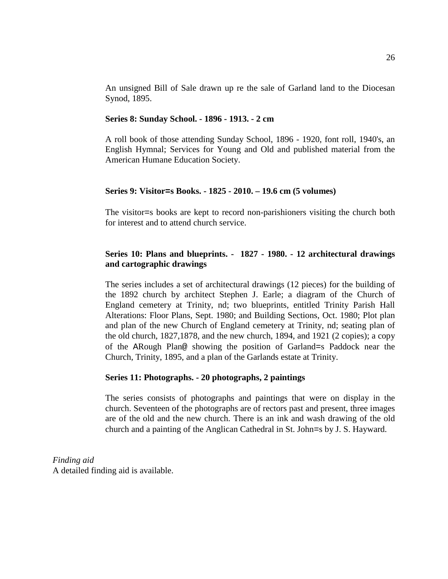An unsigned Bill of Sale drawn up re the sale of Garland land to the Diocesan Synod, 1895.

# **Series 8: Sunday School. - 1896 - 1913. - 2 cm**

A roll book of those attending Sunday School, 1896 - 1920, font roll, 1940's, an English Hymnal; Services for Young and Old and published material from the American Humane Education Society.

# **Series 9: Visitor=s Books. - 1825 - 2010. – 19.6 cm (5 volumes)**

The visitor=s books are kept to record non-parishioners visiting the church both for interest and to attend church service.

# **Series 10: Plans and blueprints. - 1827 - 1980. - 12 architectural drawings and cartographic drawings**

The series includes a set of architectural drawings (12 pieces) for the building of the 1892 church by architect Stephen J. Earle; a diagram of the Church of England cemetery at Trinity, nd; two blueprints, entitled Trinity Parish Hall Alterations: Floor Plans, Sept. 1980; and Building Sections, Oct. 1980; Plot plan and plan of the new Church of England cemetery at Trinity, nd; seating plan of the old church, 1827,1878, and the new church, 1894, and 1921 (2 copies); a copy of the ARough Plan@ showing the position of Garland=s Paddock near the Church, Trinity, 1895, and a plan of the Garlands estate at Trinity.

# **Series 11: Photographs. - 20 photographs, 2 paintings**

The series consists of photographs and paintings that were on display in the church. Seventeen of the photographs are of rectors past and present, three images are of the old and the new church. There is an ink and wash drawing of the old church and a painting of the Anglican Cathedral in St. John=s by J. S. Hayward.

*Finding aid* A detailed finding aid is available.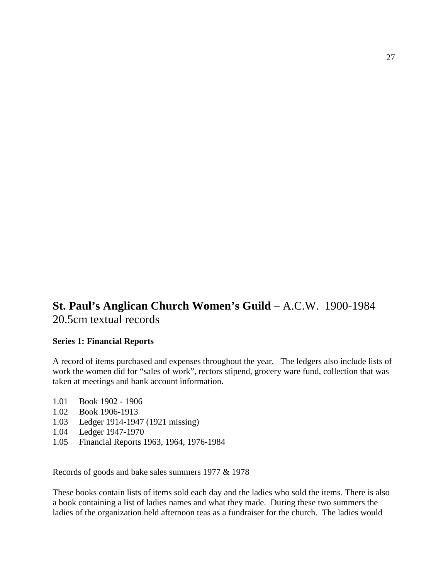# **St. Paul's Anglican Church Women's Guild –** A.C.W. 1900-1984 20.5cm textual records

# **Series 1: Financial Reports**

A record of items purchased and expenses throughout the year. The ledgers also include lists of work the women did for "sales of work", rectors stipend, grocery ware fund, collection that was taken at meetings and bank account information.

- 1.01 Book 1902 1906
- 1.02 Book 1906-1913
- 1.03 Ledger 1914-1947 (1921 missing)
- 1.04 Ledger 1947-1970
- 1.05 Financial Reports 1963, 1964, 1976-1984

Records of goods and bake sales summers 1977 & 1978

These books contain lists of items sold each day and the ladies who sold the items. There is also a book containing a list of ladies names and what they made. During these two summers the ladies of the organization held afternoon teas as a fundraiser for the church. The ladies would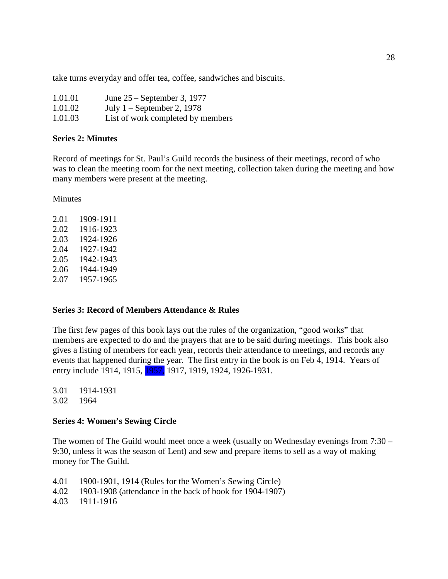take turns everyday and offer tea, coffee, sandwiches and biscuits.

| 1.01.01 | June $25$ – September 3, 1977     |
|---------|-----------------------------------|
| 1.01.02 | July 1 – September 2, 1978        |
| 1.01.03 | List of work completed by members |

# **Series 2: Minutes**

Record of meetings for St. Paul's Guild records the business of their meetings, record of who was to clean the meeting room for the next meeting, collection taken during the meeting and how many members were present at the meeting.

**Minutes** 

| 2.01 | 1909-1911 |
|------|-----------|
| 2.02 | 1916-1923 |
| 2.03 | 1924-1926 |
| 2.04 | 1927-1942 |
| 2.05 | 1942-1943 |
| 2.06 | 1944-1949 |
| 2.07 | 1957-1965 |

# **Series 3: Record of Members Attendance & Rules**

The first few pages of this book lays out the rules of the organization, "good works" that members are expected to do and the prayers that are to be said during meetings. This book also gives a listing of members for each year, records their attendance to meetings, and records any events that happened during the year. The first entry in the book is on Feb 4, 1914. Years of entry include 1914, 1915, 1957, 1917, 1919, 1924, 1926-1931.

3.01 1914-1931 3.02 1964

# **Series 4: Women's Sewing Circle**

The women of The Guild would meet once a week (usually on Wednesday evenings from 7:30 – 9:30, unless it was the season of Lent) and sew and prepare items to sell as a way of making money for The Guild.

4.01 1900-1901, 1914 (Rules for the Women's Sewing Circle)

- 4.02 1903-1908 (attendance in the back of book for 1904-1907)
- 4.03 1911-1916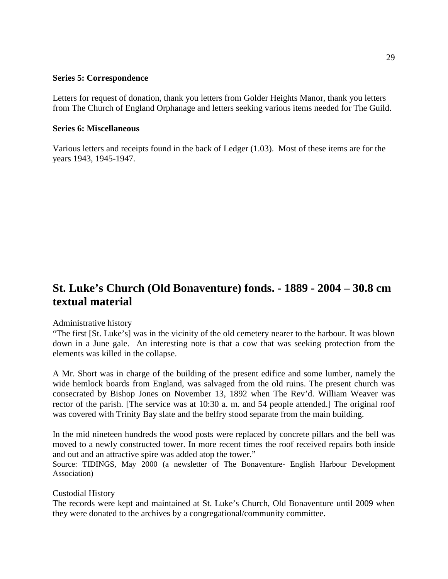# **Series 5: Correspondence**

Letters for request of donation, thank you letters from Golder Heights Manor, thank you letters from The Church of England Orphanage and letters seeking various items needed for The Guild.

# **Series 6: Miscellaneous**

Various letters and receipts found in the back of Ledger (1.03). Most of these items are for the years 1943, 1945-1947.

# **St. Luke's Church (Old Bonaventure) fonds. - 1889 - 2004 – 30.8 cm textual material**

# Administrative history

"The first [St. Luke's] was in the vicinity of the old cemetery nearer to the harbour. It was blown down in a June gale. An interesting note is that a cow that was seeking protection from the elements was killed in the collapse.

A Mr. Short was in charge of the building of the present edifice and some lumber, namely the wide hemlock boards from England, was salvaged from the old ruins. The present church was consecrated by Bishop Jones on November 13, 1892 when The Rev'd. William Weaver was rector of the parish. [The service was at 10:30 a. m. and 54 people attended.] The original roof was covered with Trinity Bay slate and the belfry stood separate from the main building.

In the mid nineteen hundreds the wood posts were replaced by concrete pillars and the bell was moved to a newly constructed tower. In more recent times the roof received repairs both inside and out and an attractive spire was added atop the tower."

Source: TIDINGS, May 2000 (a newsletter of The Bonaventure- English Harbour Development Association)

#### Custodial History

The records were kept and maintained at St. Luke's Church, Old Bonaventure until 2009 when they were donated to the archives by a congregational/community committee.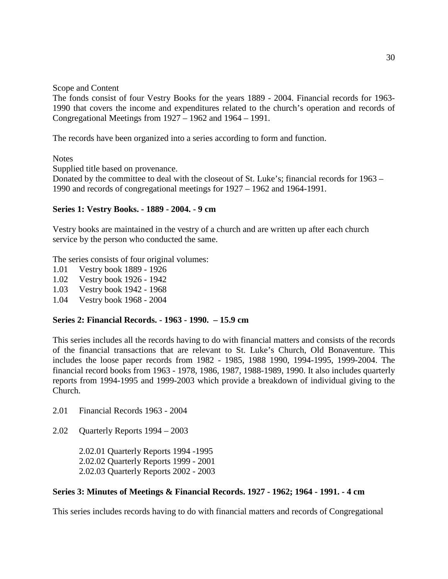Scope and Content

The fonds consist of four Vestry Books for the years 1889 - 2004. Financial records for 1963- 1990 that covers the income and expenditures related to the church's operation and records of Congregational Meetings from 1927 – 1962 and 1964 – 1991.

The records have been organized into a series according to form and function.

**Notes** 

Supplied title based on provenance.

Donated by the committee to deal with the closeout of St. Luke's; financial records for 1963 – 1990 and records of congregational meetings for 1927 – 1962 and 1964-1991.

# **Series 1: Vestry Books. - 1889 - 2004. - 9 cm**

Vestry books are maintained in the vestry of a church and are written up after each church service by the person who conducted the same.

The series consists of four original volumes:

- 1.01 Vestry book 1889 1926
- 1.02 Vestry book 1926 1942
- 1.03 Vestry book 1942 1968
- 1.04 Vestry book 1968 2004

### **Series 2: Financial Records. - 1963 - 1990. – 15.9 cm**

This series includes all the records having to do with financial matters and consists of the records of the financial transactions that are relevant to St. Luke's Church, Old Bonaventure. This includes the loose paper records from 1982 - 1985, 1988 1990, 1994-1995, 1999-2004. The financial record books from 1963 - 1978, 1986, 1987, 1988-1989, 1990. It also includes quarterly reports from 1994-1995 and 1999-2003 which provide a breakdown of individual giving to the Church.

2.01 Financial Records 1963 - 2004

2.02 Quarterly Reports 1994 – 2003

2.02.01 Quarterly Reports 1994 -1995 2.02.02 Quarterly Reports 1999 - 2001 2.02.03 Quarterly Reports 2002 - 2003

### **Series 3: Minutes of Meetings & Financial Records. 1927 - 1962; 1964 - 1991. - 4 cm**

This series includes records having to do with financial matters and records of Congregational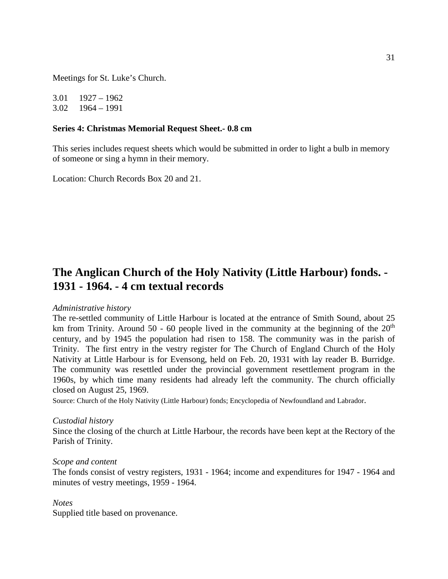Meetings for St. Luke's Church.

 $3.01$  1927 – 1962 3.02 1964 – 1991

#### **Series 4: Christmas Memorial Request Sheet.- 0.8 cm**

This series includes request sheets which would be submitted in order to light a bulb in memory of someone or sing a hymn in their memory.

Location: Church Records Box 20 and 21.

# **The Anglican Church of the Holy Nativity (Little Harbour) fonds. - 1931 - 1964. - 4 cm textual records**

#### *Administrative history*

The re-settled community of Little Harbour is located at the entrance of Smith Sound, about 25 km from Trinity. Around 50 - 60 people lived in the community at the beginning of the  $20<sup>th</sup>$ century, and by 1945 the population had risen to 158. The community was in the parish of Trinity. The first entry in the vestry register for The Church of England Church of the Holy Nativity at Little Harbour is for Evensong, held on Feb. 20, 1931 with lay reader B. Burridge. The community was resettled under the provincial government resettlement program in the 1960s, by which time many residents had already left the community. The church officially closed on August 25, 1969.

Source: Church of the Holy Nativity (Little Harbour) fonds; Encyclopedia of Newfoundland and Labrador.

#### *Custodial history*

Since the closing of the church at Little Harbour, the records have been kept at the Rectory of the Parish of Trinity.

#### *Scope and content*

The fonds consist of vestry registers, 1931 - 1964; income and expenditures for 1947 - 1964 and minutes of vestry meetings, 1959 - 1964.

#### *Notes*

Supplied title based on provenance.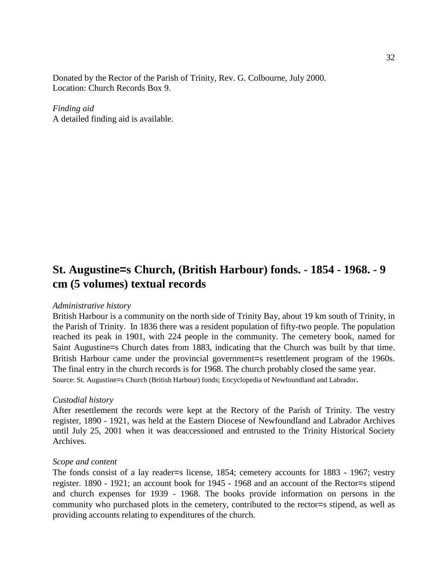Donated by the Rector of the Parish of Trinity, Rev. G. Colbourne, July 2000. Location: Church Records Box 9.

# *Finding aid*

A detailed finding aid is available.

# **St. Augustine=s Church, (British Harbour) fonds. - 1854 - 1968. - 9 cm (5 volumes) textual records**

### *Administrative history*

British Harbour is a community on the north side of Trinity Bay, about 19 km south of Trinity, in the Parish of Trinity. In 1836 there was a resident population of fifty-two people. The population reached its peak in 1901, with 224 people in the community. The cemetery book, named for Saint Augustine=s Church dates from 1883, indicating that the Church was built by that time. British Harbour came under the provincial government=s resettlement program of the 1960s. The final entry in the church records is for 1968. The church probably closed the same year. Source: St. Augustine=s Church (British Harbour) fonds; Encyclopedia of Newfoundland and Labrador.

# *Custodial history*

After resettlement the records were kept at the Rectory of the Parish of Trinity. The vestry register, 1890 - 1921, was held at the Eastern Diocese of Newfoundland and Labrador Archives until July 25, 2001 when it was deaccessioned and entrusted to the Trinity Historical Society Archives.

#### *Scope and content*

The fonds consist of a lay reader=s license, 1854; cemetery accounts for 1883 - 1967; vestry register. 1890 - 1921; an account book for 1945 - 1968 and an account of the Rector=s stipend and church expenses for 1939 - 1968. The books provide information on persons in the community who purchased plots in the cemetery, contributed to the rector=s stipend, as well as providing accounts relating to expenditures of the church.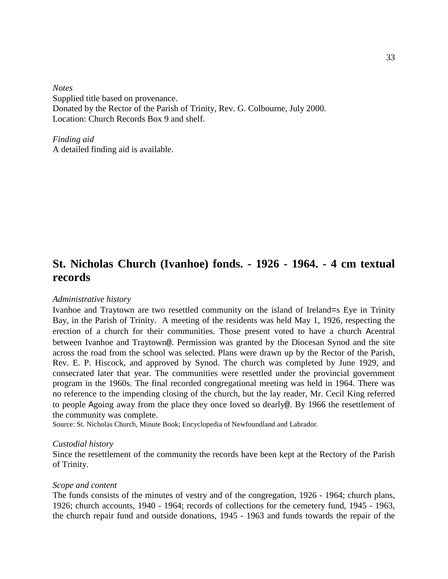*Notes* Supplied title based on provenance. Donated by the Rector of the Parish of Trinity, Rev. G. Colbourne, July 2000. Location: Church Records Box 9 and shelf.

*Finding aid* A detailed finding aid is available.

# **St. Nicholas Church (Ivanhoe) fonds. - 1926 - 1964. - 4 cm textual records**

# *Administrative history*

Ivanhoe and Traytown are two resettled community on the island of Ireland=s Eye in Trinity Bay, in the Parish of Trinity. A meeting of the residents was held May 1, 1926, respecting the erection of a church for their communities. Those present voted to have a church Acentral between Ivanhoe and Traytown@. Permission was granted by the Diocesan Synod and the site across the road from the school was selected. Plans were drawn up by the Rector of the Parish, Rev. E. P. Hiscock, and approved by Synod. The church was completed by June 1929, and consecrated later that year. The communities were resettled under the provincial government program in the 1960s. The final recorded congregational meeting was held in 1964. There was no reference to the impending closing of the church, but the lay reader, Mr. Cecil King referred to people Agoing away from the place they once loved so dearly@. By 1966 the resettlement of the community was complete.

Source: St. Nicholas Church, Minute Book; Encyclopedia of Newfoundland and Labrador.

#### *Custodial history*

Since the resettlement of the community the records have been kept at the Rectory of the Parish of Trinity.

#### *Scope and content*

The funds consists of the minutes of vestry and of the congregation, 1926 - 1964; church plans, 1926; church accounts, 1940 - 1964; records of collections for the cemetery fund, 1945 - 1963, the church repair fund and outside donations, 1945 - 1963 and funds towards the repair of the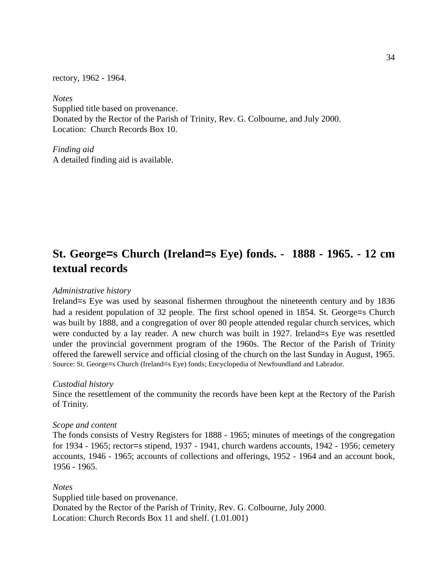rectory, 1962 - 1964.

*Notes* Supplied title based on provenance. Donated by the Rector of the Parish of Trinity, Rev. G. Colbourne, and July 2000. Location: Church Records Box 10.

*Finding aid* A detailed finding aid is available.

# **St. George=s Church (Ireland=s Eye) fonds. - 1888 - 1965. - 12 cm textual records**

# *Administrative history*

Ireland=s Eye was used by seasonal fishermen throughout the nineteenth century and by 1836 had a resident population of 32 people. The first school opened in 1854. St. George=s Church was built by 1888, and a congregation of over 80 people attended regular church services, which were conducted by a lay reader. A new church was built in 1927. Ireland=s Eye was resettled under the provincial government program of the 1960s. The Rector of the Parish of Trinity offered the farewell service and official closing of the church on the last Sunday in August, 1965. Source: St. George=s Church (Ireland=s Eye) fonds; Encyclopedia of Newfoundland and Labrador.

#### *Custodial history*

Since the resettlement of the community the records have been kept at the Rectory of the Parish of Trinity.

#### *Scope and content*

The fonds consists of Vestry Registers for 1888 - 1965; minutes of meetings of the congregation for 1934 - 1965; rector=s stipend, 1937 - 1941, church wardens accounts, 1942 - 1956; cemetery accounts, 1946 - 1965; accounts of collections and offerings, 1952 - 1964 and an account book, 1956 - 1965.

#### *Notes*

Supplied title based on provenance.

Donated by the Rector of the Parish of Trinity, Rev. G. Colbourne, July 2000. Location: Church Records Box 11 and shelf. (1.01.001)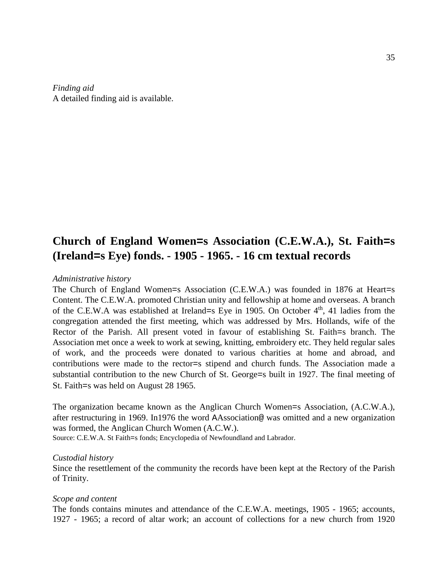*Finding aid* A detailed finding aid is available.

# **Church of England Women=s Association (C.E.W.A.), St. Faith=s (Ireland=s Eye) fonds. - 1905 - 1965. - 16 cm textual records**

### *Administrative history*

The Church of England Women=s Association (C.E.W.A.) was founded in 1876 at Heart=s Content. The C.E.W.A. promoted Christian unity and fellowship at home and overseas. A branch of the C.E.W.A was established at Ireland=s Eye in 1905. On October  $4<sup>th</sup>$ , 41 ladies from the congregation attended the first meeting, which was addressed by Mrs. Hollands, wife of the Rector of the Parish. All present voted in favour of establishing St. Faith=s branch. The Association met once a week to work at sewing, knitting, embroidery etc. They held regular sales of work, and the proceeds were donated to various charities at home and abroad, and contributions were made to the rector=s stipend and church funds. The Association made a substantial contribution to the new Church of St. George=s built in 1927. The final meeting of St. Faith=s was held on August 28 1965.

The organization became known as the Anglican Church Women=s Association, (A.C.W.A.), after restructuring in 1969. In1976 the word AAssociation@ was omitted and a new organization was formed, the Anglican Church Women (A.C.W.).

Source: C.E.W.A. St Faith=s fonds; Encyclopedia of Newfoundland and Labrador.

#### *Custodial history*

Since the resettlement of the community the records have been kept at the Rectory of the Parish of Trinity.

# *Scope and content*

The fonds contains minutes and attendance of the C.E.W.A. meetings, 1905 - 1965; accounts, 1927 - 1965; a record of altar work; an account of collections for a new church from 1920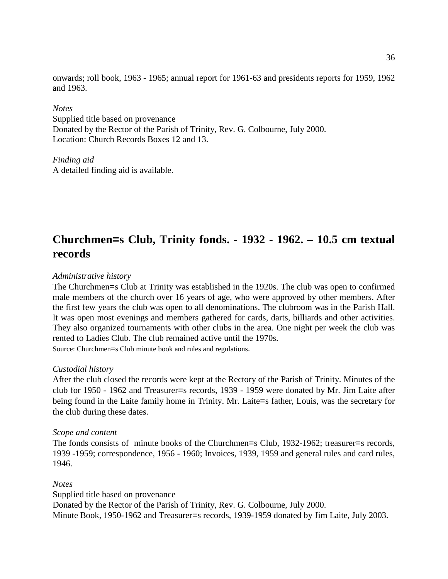onwards; roll book, 1963 - 1965; annual report for 1961-63 and presidents reports for 1959, 1962 and 1963.

*Notes* Supplied title based on provenance Donated by the Rector of the Parish of Trinity, Rev. G. Colbourne, July 2000. Location: Church Records Boxes 12 and 13.

*Finding aid* A detailed finding aid is available.

# **Churchmen=s Club, Trinity fonds. - 1932 - 1962. – 10.5 cm textual records**

# *Administrative history*

The Churchmen=s Club at Trinity was established in the 1920s. The club was open to confirmed male members of the church over 16 years of age, who were approved by other members. After the first few years the club was open to all denominations. The clubroom was in the Parish Hall. It was open most evenings and members gathered for cards, darts, billiards and other activities. They also organized tournaments with other clubs in the area. One night per week the club was rented to Ladies Club. The club remained active until the 1970s.

Source: Churchmen=s Club minute book and rules and regulations.

# *Custodial history*

After the club closed the records were kept at the Rectory of the Parish of Trinity. Minutes of the club for 1950 - 1962 and Treasurer=s records, 1939 - 1959 were donated by Mr. Jim Laite after being found in the Laite family home in Trinity. Mr. Laite=s father, Louis, was the secretary for the club during these dates.

# *Scope and content*

The fonds consists of minute books of the Churchmen=s Club, 1932-1962; treasurer=s records, 1939 -1959; correspondence, 1956 - 1960; Invoices, 1939, 1959 and general rules and card rules, 1946.

*Notes* Supplied title based on provenance Donated by the Rector of the Parish of Trinity, Rev. G. Colbourne, July 2000. Minute Book, 1950-1962 and Treasurer=s records, 1939-1959 donated by Jim Laite, July 2003.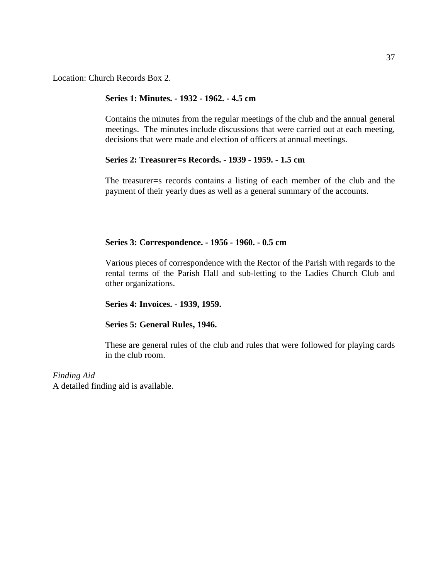Location: Church Records Box 2.

## **Series 1: Minutes. - 1932 - 1962. - 4.5 cm**

Contains the minutes from the regular meetings of the club and the annual general meetings. The minutes include discussions that were carried out at each meeting, decisions that were made and election of officers at annual meetings.

## **Series 2: Treasurer=s Records. - 1939 - 1959. - 1.5 cm**

The treasurer=s records contains a listing of each member of the club and the payment of their yearly dues as well as a general summary of the accounts.

## **Series 3: Correspondence. - 1956 - 1960. - 0.5 cm**

Various pieces of correspondence with the Rector of the Parish with regards to the rental terms of the Parish Hall and sub-letting to the Ladies Church Club and other organizations.

**Series 4: Invoices. - 1939, 1959.**

## **Series 5: General Rules, 1946.**

These are general rules of the club and rules that were followed for playing cards in the club room.

*Finding Aid* A detailed finding aid is available.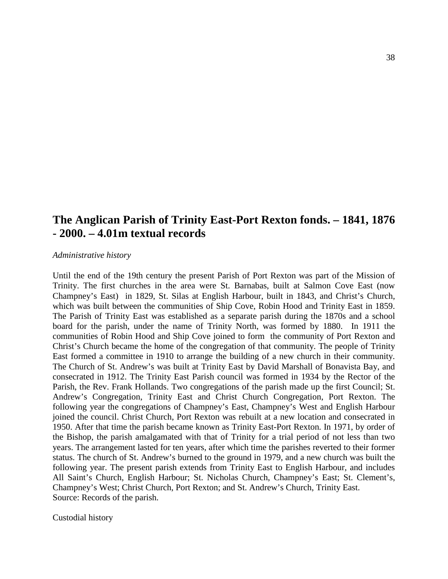## **The Anglican Parish of Trinity East-Port Rexton fonds. – 1841, 1876 - 2000. – 4.01m textual records**

#### *Administrative history*

Until the end of the 19th century the present Parish of Port Rexton was part of the Mission of Trinity. The first churches in the area were St. Barnabas, built at Salmon Cove East (now Champney's East) in 1829, St. Silas at English Harbour, built in 1843, and Christ's Church, which was built between the communities of Ship Cove, Robin Hood and Trinity East in 1859. The Parish of Trinity East was established as a separate parish during the 1870s and a school board for the parish, under the name of Trinity North, was formed by 1880. In 1911 the communities of Robin Hood and Ship Cove joined to form the community of Port Rexton and Christ's Church became the home of the congregation of that community. The people of Trinity East formed a committee in 1910 to arrange the building of a new church in their community. The Church of St. Andrew's was built at Trinity East by David Marshall of Bonavista Bay, and consecrated in 1912. The Trinity East Parish council was formed in 1934 by the Rector of the Parish, the Rev. Frank Hollands. Two congregations of the parish made up the first Council; St. Andrew's Congregation, Trinity East and Christ Church Congregation, Port Rexton. The following year the congregations of Champney's East, Champney's West and English Harbour joined the council. Christ Church, Port Rexton was rebuilt at a new location and consecrated in 1950. After that time the parish became known as Trinity East-Port Rexton. In 1971, by order of the Bishop, the parish amalgamated with that of Trinity for a trial period of not less than two years. The arrangement lasted for ten years, after which time the parishes reverted to their former status. The church of St. Andrew's burned to the ground in 1979, and a new church was built the following year. The present parish extends from Trinity East to English Harbour, and includes All Saint's Church, English Harbour; St. Nicholas Church, Champney's East; St. Clement's, Champney's West; Christ Church, Port Rexton; and St. Andrew's Church, Trinity East. Source: Records of the parish.

Custodial history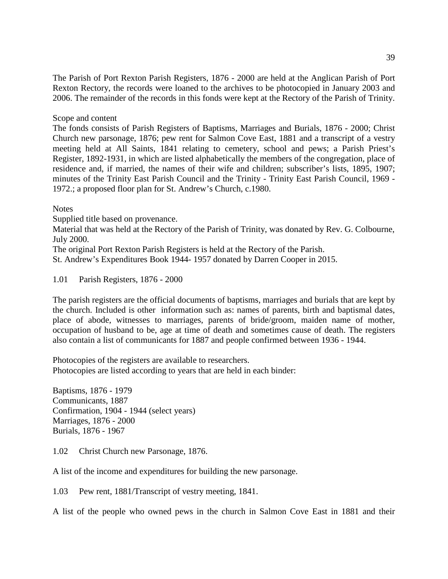The Parish of Port Rexton Parish Registers, 1876 - 2000 are held at the Anglican Parish of Port Rexton Rectory, the records were loaned to the archives to be photocopied in January 2003 and 2006. The remainder of the records in this fonds were kept at the Rectory of the Parish of Trinity.

Scope and content

The fonds consists of Parish Registers of Baptisms, Marriages and Burials, 1876 - 2000; Christ Church new parsonage, 1876; pew rent for Salmon Cove East, 1881 and a transcript of a vestry meeting held at All Saints, 1841 relating to cemetery, school and pews; a Parish Priest's Register, 1892-1931, in which are listed alphabetically the members of the congregation, place of residence and, if married, the names of their wife and children; subscriber's lists, 1895, 1907; minutes of the Trinity East Parish Council and the Trinity - Trinity East Parish Council, 1969 - 1972.; a proposed floor plan for St. Andrew's Church, c.1980.

**Notes** 

Supplied title based on provenance.

Material that was held at the Rectory of the Parish of Trinity, was donated by Rev. G. Colbourne, July 2000.

The original Port Rexton Parish Registers is held at the Rectory of the Parish.

St. Andrew's Expenditures Book 1944- 1957 donated by Darren Cooper in 2015.

1.01 Parish Registers, 1876 - 2000

The parish registers are the official documents of baptisms, marriages and burials that are kept by the church. Included is other information such as: names of parents, birth and baptismal dates, place of abode, witnesses to marriages, parents of bride/groom, maiden name of mother, occupation of husband to be, age at time of death and sometimes cause of death. The registers also contain a list of communicants for 1887 and people confirmed between 1936 - 1944.

Photocopies of the registers are available to researchers. Photocopies are listed according to years that are held in each binder:

Baptisms, 1876 - 1979 Communicants, 1887 Confirmation, 1904 - 1944 (select years) Marriages, 1876 - 2000 Burials, 1876 - 1967

1.02 Christ Church new Parsonage, 1876.

A list of the income and expenditures for building the new parsonage.

1.03 Pew rent, 1881/Transcript of vestry meeting, 1841.

A list of the people who owned pews in the church in Salmon Cove East in 1881 and their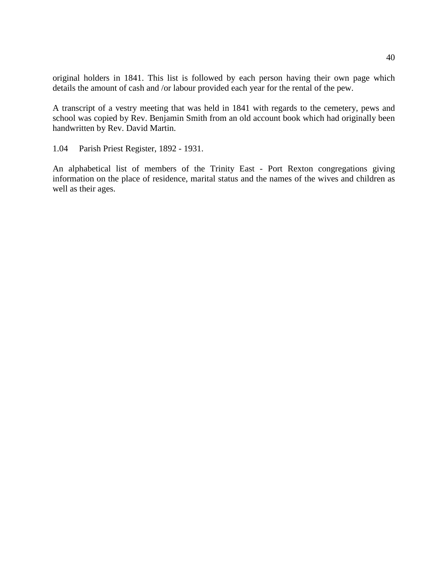original holders in 1841. This list is followed by each person having their own page which details the amount of cash and /or labour provided each year for the rental of the pew.

A transcript of a vestry meeting that was held in 1841 with regards to the cemetery, pews and school was copied by Rev. Benjamin Smith from an old account book which had originally been handwritten by Rev. David Martin.

1.04 Parish Priest Register, 1892 - 1931.

An alphabetical list of members of the Trinity East - Port Rexton congregations giving information on the place of residence, marital status and the names of the wives and children as well as their ages.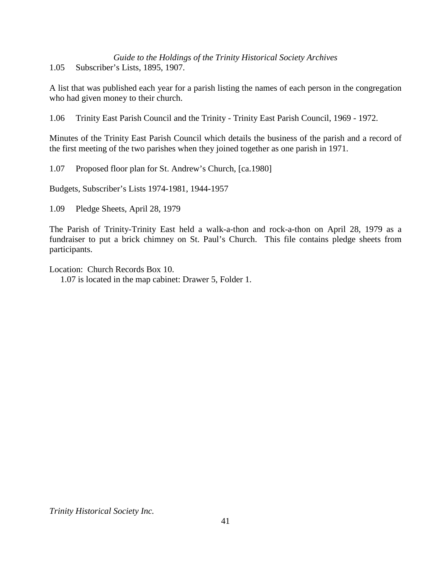*Guide to the Holdings of the Trinity Historical Society Archives* 1.05 Subscriber's Lists, 1895, 1907.

A list that was published each year for a parish listing the names of each person in the congregation who had given money to their church.

1.06 Trinity East Parish Council and the Trinity - Trinity East Parish Council, 1969 - 1972.

Minutes of the Trinity East Parish Council which details the business of the parish and a record of the first meeting of the two parishes when they joined together as one parish in 1971.

1.07 Proposed floor plan for St. Andrew's Church, [ca.1980]

Budgets, Subscriber's Lists 1974-1981, 1944-1957

1.09 Pledge Sheets, April 28, 1979

The Parish of Trinity-Trinity East held a walk-a-thon and rock-a-thon on April 28, 1979 as a fundraiser to put a brick chimney on St. Paul's Church. This file contains pledge sheets from participants.

Location: Church Records Box 10. 1.07 is located in the map cabinet: Drawer 5, Folder 1.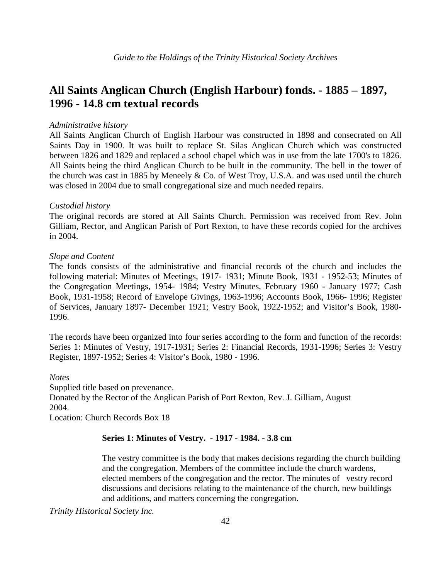## **All Saints Anglican Church (English Harbour) fonds. - 1885 – 1897, 1996 - 14.8 cm textual records**

#### *Administrative history*

All Saints Anglican Church of English Harbour was constructed in 1898 and consecrated on All Saints Day in 1900. It was built to replace St. Silas Anglican Church which was constructed between 1826 and 1829 and replaced a school chapel which was in use from the late 1700's to 1826. All Saints being the third Anglican Church to be built in the community. The bell in the tower of the church was cast in 1885 by Meneely & Co. of West Troy, U.S.A. and was used until the church was closed in 2004 due to small congregational size and much needed repairs.

#### *Custodial history*

The original records are stored at All Saints Church. Permission was received from Rev. John Gilliam, Rector, and Anglican Parish of Port Rexton, to have these records copied for the archives in 2004.

#### *Slope and Content*

The fonds consists of the administrative and financial records of the church and includes the following material: Minutes of Meetings, 1917- 1931; Minute Book, 1931 - 1952-53; Minutes of the Congregation Meetings, 1954- 1984; Vestry Minutes, February 1960 - January 1977; Cash Book, 1931-1958; Record of Envelope Givings, 1963-1996; Accounts Book, 1966- 1996; Register of Services, January 1897- December 1921; Vestry Book, 1922-1952; and Visitor's Book, 1980- 1996.

The records have been organized into four series according to the form and function of the records: Series 1: Minutes of Vestry, 1917-1931; Series 2: Financial Records, 1931-1996; Series 3: Vestry Register, 1897-1952; Series 4: Visitor's Book, 1980 - 1996.

*Notes* Supplied title based on prevenance. Donated by the Rector of the Anglican Parish of Port Rexton, Rev. J. Gilliam, August 2004.

Location: Church Records Box 18

## **Series 1: Minutes of Vestry. - 1917 - 1984. - 3.8 cm**

The vestry committee is the body that makes decisions regarding the church building and the congregation. Members of the committee include the church wardens, elected members of the congregation and the rector. The minutes of vestry record discussions and decisions relating to the maintenance of the church, new buildings and additions, and matters concerning the congregation.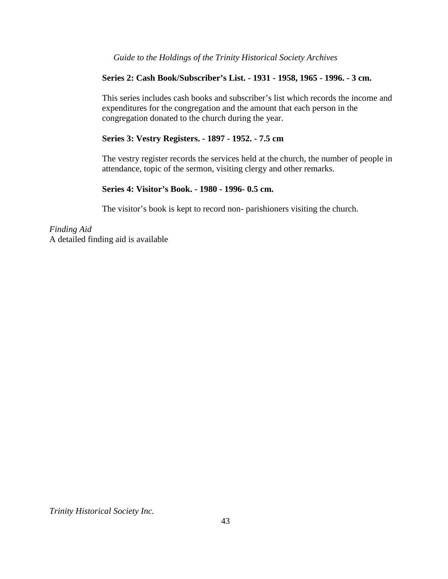*Guide to the Holdings of the Trinity Historical Society Archives*

## **Series 2: Cash Book/Subscriber's List. - 1931 - 1958, 1965 - 1996. - 3 cm.**

This series includes cash books and subscriber's list which records the income and expenditures for the congregation and the amount that each person in the congregation donated to the church during the year.

## **Series 3: Vestry Registers. - 1897 - 1952. - 7.5 cm**

The vestry register records the services held at the church, the number of people in attendance, topic of the sermon, visiting clergy and other remarks.

## **Series 4: Visitor's Book. - 1980 - 1996- 0.5 cm.**

The visitor's book is kept to record non- parishioners visiting the church.

*Finding Aid* A detailed finding aid is available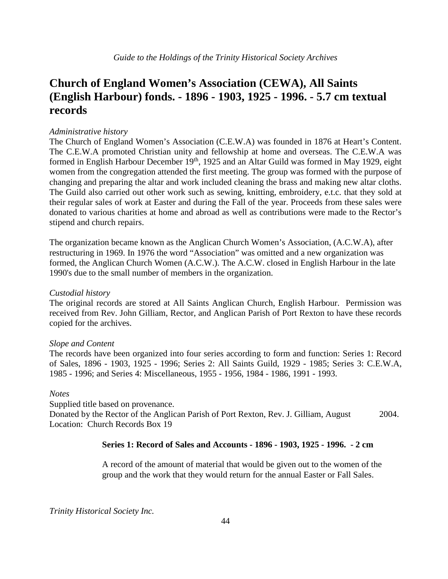## **Church of England Women's Association (CEWA), All Saints (English Harbour) fonds. - 1896 - 1903, 1925 - 1996. - 5.7 cm textual records**

#### *Administrative history*

The Church of England Women's Association (C.E.W.A) was founded in 1876 at Heart's Content. The C.E.W.A promoted Christian unity and fellowship at home and overseas. The C.E.W.A was formed in English Harbour December 19<sup>th</sup>, 1925 and an Altar Guild was formed in May 1929, eight women from the congregation attended the first meeting. The group was formed with the purpose of changing and preparing the altar and work included cleaning the brass and making new altar cloths. The Guild also carried out other work such as sewing, knitting, embroidery, e.t.c. that they sold at their regular sales of work at Easter and during the Fall of the year. Proceeds from these sales were donated to various charities at home and abroad as well as contributions were made to the Rector's stipend and church repairs.

The organization became known as the Anglican Church Women's Association, (A.C.W.A), after restructuring in 1969. In 1976 the word "Association" was omitted and a new organization was formed, the Anglican Church Women (A.C.W.). The A.C.W. closed in English Harbour in the late 1990's due to the small number of members in the organization.

#### *Custodial history*

The original records are stored at All Saints Anglican Church, English Harbour. Permission was received from Rev. John Gilliam, Rector, and Anglican Parish of Port Rexton to have these records copied for the archives.

#### *Slope and Content*

The records have been organized into four series according to form and function: Series 1: Record of Sales, 1896 - 1903, 1925 - 1996; Series 2: All Saints Guild, 1929 - 1985; Series 3: C.E.W.A, 1985 - 1996; and Series 4: Miscellaneous, 1955 - 1956, 1984 - 1986, 1991 - 1993.

#### *Notes*

Supplied title based on provenance. Donated by the Rector of the Anglican Parish of Port Rexton, Rev. J. Gilliam, August 2004. Location: Church Records Box 19

#### **Series 1: Record of Sales and Accounts - 1896 - 1903, 1925 - 1996. - 2 cm**

A record of the amount of material that would be given out to the women of the group and the work that they would return for the annual Easter or Fall Sales.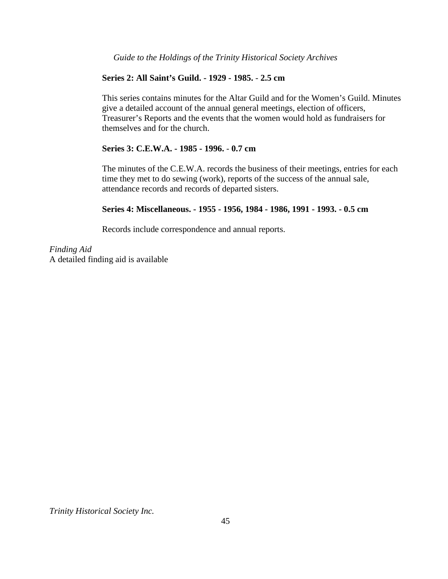*Guide to the Holdings of the Trinity Historical Society Archives*

## **Series 2: All Saint's Guild. - 1929 - 1985.** - **2.5 cm**

This series contains minutes for the Altar Guild and for the Women's Guild. Minutes give a detailed account of the annual general meetings, election of officers, Treasurer's Reports and the events that the women would hold as fundraisers for themselves and for the church.

## **Series 3: C.E.W.A. - 1985 - 1996.** - **0.7 cm**

The minutes of the C.E.W.A. records the business of their meetings, entries for each time they met to do sewing (work), reports of the success of the annual sale, attendance records and records of departed sisters.

## **Series 4: Miscellaneous. - 1955 - 1956, 1984 - 1986, 1991 - 1993. - 0.5 cm**

Records include correspondence and annual reports.

*Finding Aid* A detailed finding aid is available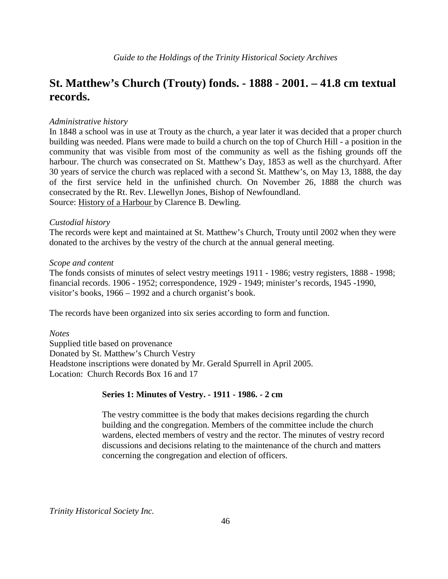# **St. Matthew's Church (Trouty) fonds. - 1888 - 2001. – 41.8 cm textual records.**

## *Administrative history*

In 1848 a school was in use at Trouty as the church, a year later it was decided that a proper church building was needed. Plans were made to build a church on the top of Church Hill - a position in the community that was visible from most of the community as well as the fishing grounds off the harbour. The church was consecrated on St. Matthew's Day, 1853 as well as the churchyard. After 30 years of service the church was replaced with a second St. Matthew's, on May 13, 1888, the day of the first service held in the unfinished church. On November 26, 1888 the church was consecrated by the Rt. Rev. Llewellyn Jones, Bishop of Newfoundland. Source: History of a Harbour by Clarence B. Dewling.

#### *Custodial history*

The records were kept and maintained at St. Matthew's Church, Trouty until 2002 when they were donated to the archives by the vestry of the church at the annual general meeting.

#### *Scope and content*

The fonds consists of minutes of select vestry meetings 1911 - 1986; vestry registers, 1888 - 1998; financial records. 1906 - 1952; correspondence, 1929 - 1949; minister's records, 1945 -1990, visitor's books, 1966 – 1992 and a church organist's book.

The records have been organized into six series according to form and function.

#### *Notes*

Supplied title based on provenance Donated by St. Matthew's Church Vestry Headstone inscriptions were donated by Mr. Gerald Spurrell in April 2005. Location: Church Records Box 16 and 17

#### **Series 1: Minutes of Vestry. - 1911 - 1986. - 2 cm**

The vestry committee is the body that makes decisions regarding the church building and the congregation. Members of the committee include the church wardens, elected members of vestry and the rector. The minutes of vestry record discussions and decisions relating to the maintenance of the church and matters concerning the congregation and election of officers.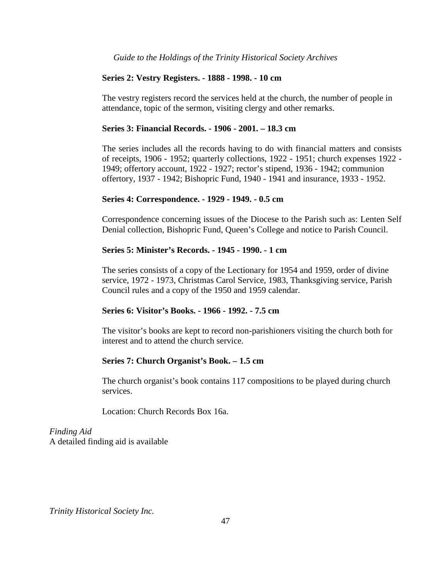## **Series 2: Vestry Registers. - 1888 - 1998. - 10 cm**

The vestry registers record the services held at the church, the number of people in attendance, topic of the sermon, visiting clergy and other remarks.

## **Series 3: Financial Records. - 1906 - 2001. – 18.3 cm**

The series includes all the records having to do with financial matters and consists of receipts, 1906 - 1952; quarterly collections, 1922 - 1951; church expenses 1922 - 1949; offertory account, 1922 - 1927; rector's stipend, 1936 - 1942; communion offertory, 1937 - 1942; Bishopric Fund, 1940 - 1941 and insurance, 1933 - 1952.

#### **Series 4: Correspondence. - 1929 - 1949. - 0.5 cm**

Correspondence concerning issues of the Diocese to the Parish such as: Lenten Self Denial collection, Bishopric Fund, Queen's College and notice to Parish Council.

## **Series 5: Minister's Records. - 1945 - 1990. - 1 cm**

The series consists of a copy of the Lectionary for 1954 and 1959, order of divine service, 1972 - 1973, Christmas Carol Service, 1983, Thanksgiving service, Parish Council rules and a copy of the 1950 and 1959 calendar.

## **Series 6: Visitor's Books. - 1966 - 1992. - 7.5 cm**

The visitor's books are kept to record non-parishioners visiting the church both for interest and to attend the church service.

## **Series 7: Church Organist's Book. – 1.5 cm**

The church organist's book contains 117 compositions to be played during church services.

Location: Church Records Box 16a.

*Finding Aid* A detailed finding aid is available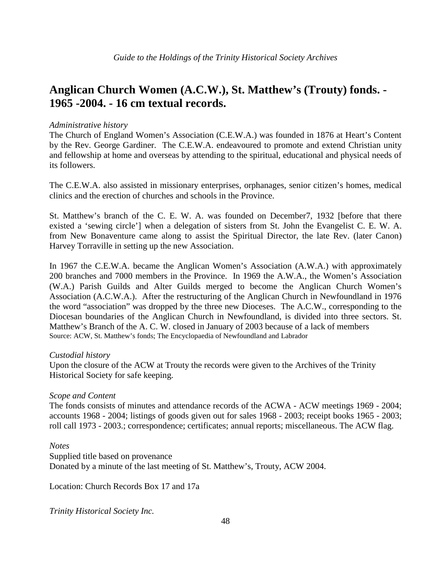# **Anglican Church Women (A.C.W.), St. Matthew's (Trouty) fonds. - 1965 -2004. - 16 cm textual records.**

## *Administrative history*

The Church of England Women's Association (C.E.W.A.) was founded in 1876 at Heart's Content by the Rev. George Gardiner. The C.E.W.A. endeavoured to promote and extend Christian unity and fellowship at home and overseas by attending to the spiritual, educational and physical needs of its followers.

The C.E.W.A. also assisted in missionary enterprises, orphanages, senior citizen's homes, medical clinics and the erection of churches and schools in the Province.

St. Matthew's branch of the C. E. W. A. was founded on December7, 1932 [before that there existed a 'sewing circle'] when a delegation of sisters from St. John the Evangelist C. E. W. A. from New Bonaventure came along to assist the Spiritual Director, the late Rev. (later Canon) Harvey Torraville in setting up the new Association.

In 1967 the C.E.W.A. became the Anglican Women's Association (A.W.A.) with approximately 200 branches and 7000 members in the Province. In 1969 the A.W.A., the Women's Association (W.A.) Parish Guilds and Alter Guilds merged to become the Anglican Church Women's Association (A.C.W.A.). After the restructuring of the Anglican Church in Newfoundland in 1976 the word "association" was dropped by the three new Dioceses. The A.C.W., corresponding to the Diocesan boundaries of the Anglican Church in Newfoundland, is divided into three sectors. St. Matthew's Branch of the A. C. W. closed in January of 2003 because of a lack of members Source: ACW, St. Matthew's fonds; The Encyclopaedia of Newfoundland and Labrador

## *Custodial history*

Upon the closure of the ACW at Trouty the records were given to the Archives of the Trinity Historical Society for safe keeping.

## *Scope and Content*

The fonds consists of minutes and attendance records of the ACWA - ACW meetings 1969 - 2004; accounts 1968 - 2004; listings of goods given out for sales 1968 - 2003; receipt books 1965 - 2003; roll call 1973 - 2003.; correspondence; certificates; annual reports; miscellaneous. The ACW flag.

*Notes* Supplied title based on provenance Donated by a minute of the last meeting of St. Matthew's, Trouty, ACW 2004.

Location: Church Records Box 17 and 17a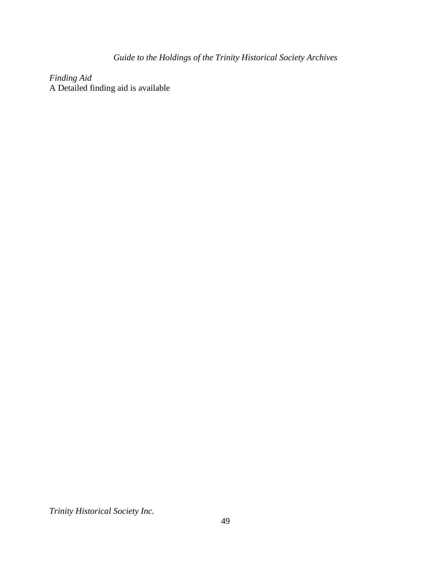*Finding Aid*  A Detailed finding aid is available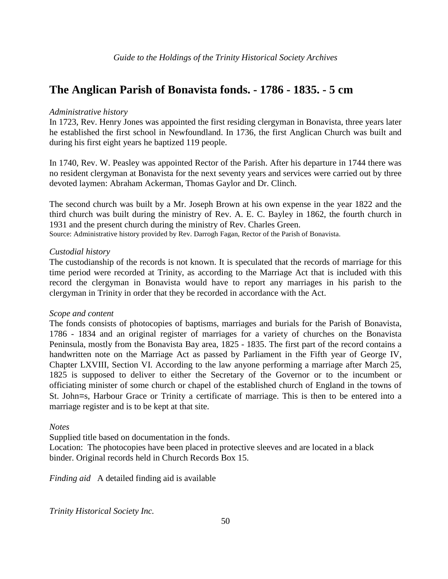## **The Anglican Parish of Bonavista fonds. - 1786 - 1835. - 5 cm**

## *Administrative history*

In 1723, Rev. Henry Jones was appointed the first residing clergyman in Bonavista, three years later he established the first school in Newfoundland. In 1736, the first Anglican Church was built and during his first eight years he baptized 119 people.

In 1740, Rev. W. Peasley was appointed Rector of the Parish. After his departure in 1744 there was no resident clergyman at Bonavista for the next seventy years and services were carried out by three devoted laymen: Abraham Ackerman, Thomas Gaylor and Dr. Clinch.

The second church was built by a Mr. Joseph Brown at his own expense in the year 1822 and the third church was built during the ministry of Rev. A. E. C. Bayley in 1862, the fourth church in 1931 and the present church during the ministry of Rev. Charles Green.

Source: Administrative history provided by Rev. Darrogh Fagan, Rector of the Parish of Bonavista.

## *Custodial history*

The custodianship of the records is not known. It is speculated that the records of marriage for this time period were recorded at Trinity, as according to the Marriage Act that is included with this record the clergyman in Bonavista would have to report any marriages in his parish to the clergyman in Trinity in order that they be recorded in accordance with the Act.

## *Scope and content*

The fonds consists of photocopies of baptisms, marriages and burials for the Parish of Bonavista, 1786 - 1834 and an original register of marriages for a variety of churches on the Bonavista Peninsula, mostly from the Bonavista Bay area, 1825 - 1835. The first part of the record contains a handwritten note on the Marriage Act as passed by Parliament in the Fifth year of George IV, Chapter LXVIII, Section VI. According to the law anyone performing a marriage after March 25, 1825 is supposed to deliver to either the Secretary of the Governor or to the incumbent or officiating minister of some church or chapel of the established church of England in the towns of St. John=s, Harbour Grace or Trinity a certificate of marriage. This is then to be entered into a marriage register and is to be kept at that site.

## *Notes*

Supplied title based on documentation in the fonds. Location: The photocopies have been placed in protective sleeves and are located in a black binder. Original records held in Church Records Box 15.

*Finding aid* A detailed finding aid is available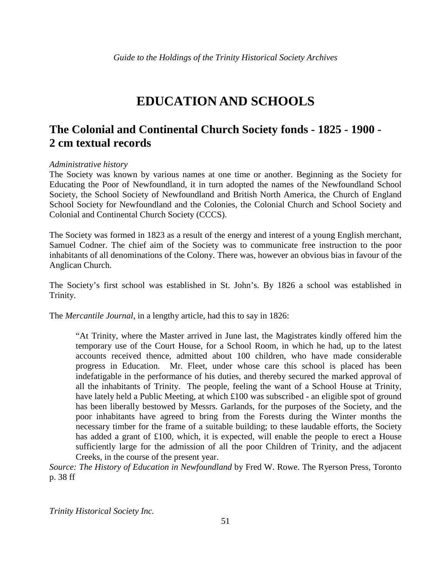# **EDUCATION AND SCHOOLS**

# **The Colonial and Continental Church Society fonds - 1825 - 1900 - 2 cm textual records**

#### *Administrative history*

The Society was known by various names at one time or another. Beginning as the Society for Educating the Poor of Newfoundland, it in turn adopted the names of the Newfoundland School Society, the School Society of Newfoundland and British North America, the Church of England School Society for Newfoundland and the Colonies, the Colonial Church and School Society and Colonial and Continental Church Society (CCCS).

The Society was formed in 1823 as a result of the energy and interest of a young English merchant, Samuel Codner. The chief aim of the Society was to communicate free instruction to the poor inhabitants of all denominations of the Colony. There was, however an obvious bias in favour of the Anglican Church.

The Society's first school was established in St. John's. By 1826 a school was established in Trinity.

The *Mercantile Journal*, in a lengthy article, had this to say in 1826:

"At Trinity, where the Master arrived in June last, the Magistrates kindly offered him the temporary use of the Court House, for a School Room, in which he had, up to the latest accounts received thence, admitted about 100 children, who have made considerable progress in Education. Mr. Fleet, under whose care this school is placed has been indefatigable in the performance of his duties, and thereby secured the marked approval of all the inhabitants of Trinity. The people, feeling the want of a School House at Trinity, have lately held a Public Meeting, at which £100 was subscribed - an eligible spot of ground has been liberally bestowed by Messrs. Garlands, for the purposes of the Society, and the poor inhabitants have agreed to bring from the Forests during the Winter months the necessary timber for the frame of a suitable building; to these laudable efforts, the Society has added a grant of £100, which, it is expected, will enable the people to erect a House sufficiently large for the admission of all the poor Children of Trinity, and the adjacent Creeks, in the course of the present year.

*Source: The History of Education in Newfoundland* by Fred W. Rowe. The Ryerson Press, Toronto p. 38 ff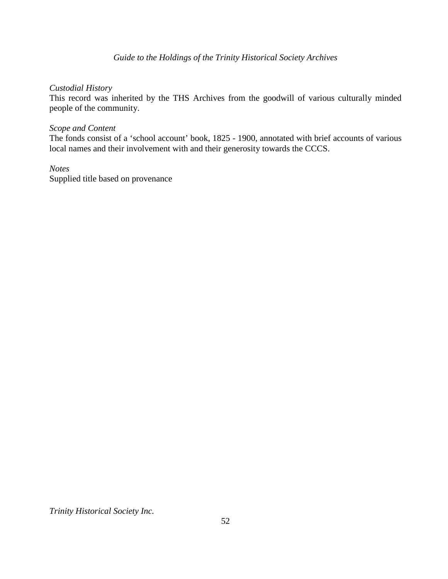## *Custodial History*

This record was inherited by the THS Archives from the goodwill of various culturally minded people of the community.

## *Scope and Content*

The fonds consist of a 'school account' book, 1825 - 1900, annotated with brief accounts of various local names and their involvement with and their generosity towards the CCCS.

*Notes* Supplied title based on provenance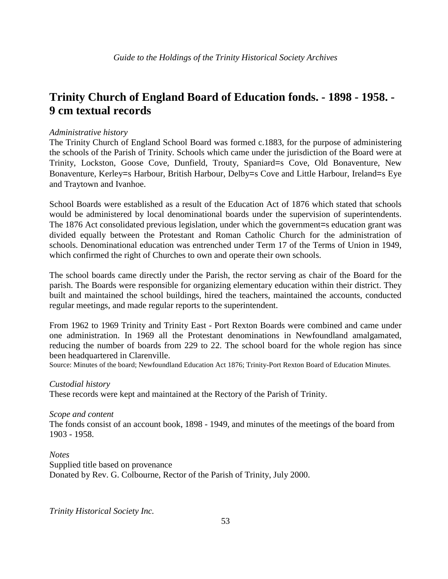# **Trinity Church of England Board of Education fonds. - 1898 - 1958. - 9 cm textual records**

## *Administrative history*

The Trinity Church of England School Board was formed c.1883, for the purpose of administering the schools of the Parish of Trinity. Schools which came under the jurisdiction of the Board were at Trinity, Lockston, Goose Cove, Dunfield, Trouty, Spaniard=s Cove, Old Bonaventure, New Bonaventure, Kerley=s Harbour, British Harbour, Delby=s Cove and Little Harbour, Ireland=s Eye and Traytown and Ivanhoe.

School Boards were established as a result of the Education Act of 1876 which stated that schools would be administered by local denominational boards under the supervision of superintendents. The 1876 Act consolidated previous legislation, under which the government=s education grant was divided equally between the Protestant and Roman Catholic Church for the administration of schools. Denominational education was entrenched under Term 17 of the Terms of Union in 1949, which confirmed the right of Churches to own and operate their own schools.

The school boards came directly under the Parish, the rector serving as chair of the Board for the parish. The Boards were responsible for organizing elementary education within their district. They built and maintained the school buildings, hired the teachers, maintained the accounts, conducted regular meetings, and made regular reports to the superintendent.

From 1962 to 1969 Trinity and Trinity East - Port Rexton Boards were combined and came under one administration. In 1969 all the Protestant denominations in Newfoundland amalgamated, reducing the number of boards from 229 to 22. The school board for the whole region has since been headquartered in Clarenville.

Source: Minutes of the board; Newfoundland Education Act 1876; Trinity-Port Rexton Board of Education Minutes.

## *Custodial history*

These records were kept and maintained at the Rectory of the Parish of Trinity.

## *Scope and content*

The fonds consist of an account book, 1898 - 1949, and minutes of the meetings of the board from 1903 - 1958.

## *Notes*

Supplied title based on provenance

Donated by Rev. G. Colbourne, Rector of the Parish of Trinity, July 2000.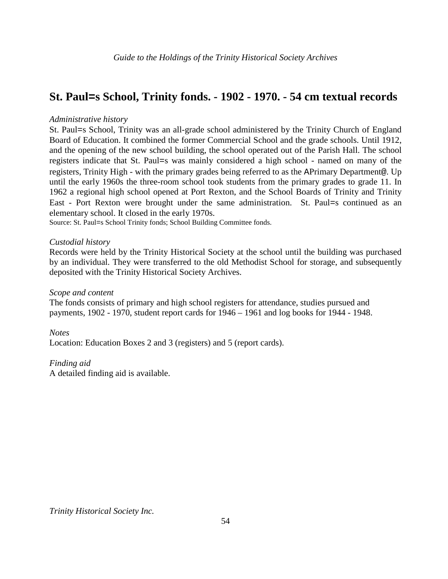## **St. Paul=s School, Trinity fonds. - 1902 - 1970. - 54 cm textual records**

#### *Administrative history*

St. Paul=s School, Trinity was an all-grade school administered by the Trinity Church of England Board of Education. It combined the former Commercial School and the grade schools. Until 1912, and the opening of the new school building, the school operated out of the Parish Hall. The school registers indicate that St. Paul=s was mainly considered a high school - named on many of the registers, Trinity High - with the primary grades being referred to as the APrimary Department@. Up until the early 1960s the three-room school took students from the primary grades to grade 11. In 1962 a regional high school opened at Port Rexton, and the School Boards of Trinity and Trinity East - Port Rexton were brought under the same administration. St. Paul=s continued as an elementary school. It closed in the early 1970s.

Source: St. Paul=s School Trinity fonds; School Building Committee fonds.

#### *Custodial history*

Records were held by the Trinity Historical Society at the school until the building was purchased by an individual. They were transferred to the old Methodist School for storage, and subsequently deposited with the Trinity Historical Society Archives.

#### *Scope and content*

The fonds consists of primary and high school registers for attendance, studies pursued and payments, 1902 - 1970, student report cards for 1946 – 1961 and log books for 1944 - 1948.

#### *Notes*

Location: Education Boxes 2 and 3 (registers) and 5 (report cards).

## *Finding aid*

A detailed finding aid is available.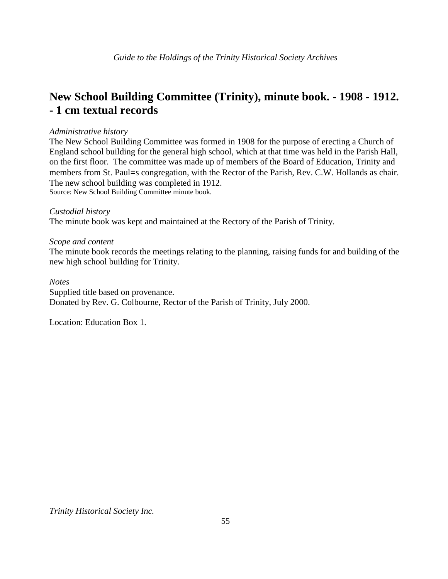# **New School Building Committee (Trinity), minute book. - 1908 - 1912. - 1 cm textual records**

## *Administrative history*

The New School Building Committee was formed in 1908 for the purpose of erecting a Church of England school building for the general high school, which at that time was held in the Parish Hall, on the first floor. The committee was made up of members of the Board of Education, Trinity and members from St. Paul=s congregation, with the Rector of the Parish, Rev. C.W. Hollands as chair. The new school building was completed in 1912. Source: New School Building Committee minute book.

## *Custodial history*

The minute book was kept and maintained at the Rectory of the Parish of Trinity.

## *Scope and content*

The minute book records the meetings relating to the planning, raising funds for and building of the new high school building for Trinity.

#### *Notes*

Supplied title based on provenance. Donated by Rev. G. Colbourne, Rector of the Parish of Trinity, July 2000.

Location: Education Box 1.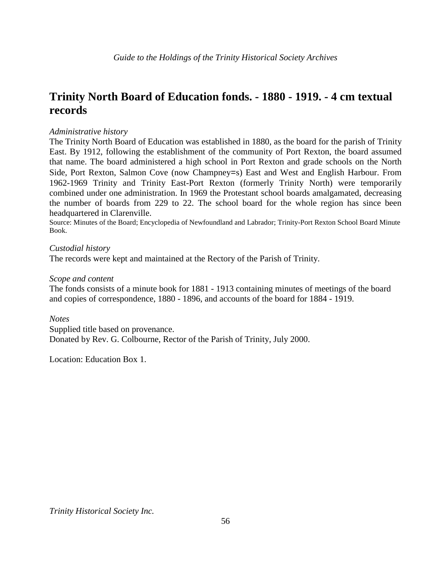# **Trinity North Board of Education fonds. - 1880 - 1919. - 4 cm textual records**

## *Administrative history*

The Trinity North Board of Education was established in 1880, as the board for the parish of Trinity East. By 1912, following the establishment of the community of Port Rexton, the board assumed that name. The board administered a high school in Port Rexton and grade schools on the North Side, Port Rexton, Salmon Cove (now Champney=s) East and West and English Harbour. From 1962-1969 Trinity and Trinity East-Port Rexton (formerly Trinity North) were temporarily combined under one administration. In 1969 the Protestant school boards amalgamated, decreasing the number of boards from 229 to 22. The school board for the whole region has since been headquartered in Clarenville.

Source: Minutes of the Board; Encyclopedia of Newfoundland and Labrador; Trinity-Port Rexton School Board Minute Book.

*Custodial history*

The records were kept and maintained at the Rectory of the Parish of Trinity.

## *Scope and content*

The fonds consists of a minute book for 1881 - 1913 containing minutes of meetings of the board and copies of correspondence, 1880 - 1896, and accounts of the board for 1884 - 1919.

*Notes*

Supplied title based on provenance. Donated by Rev. G. Colbourne, Rector of the Parish of Trinity, July 2000.

Location: Education Box 1.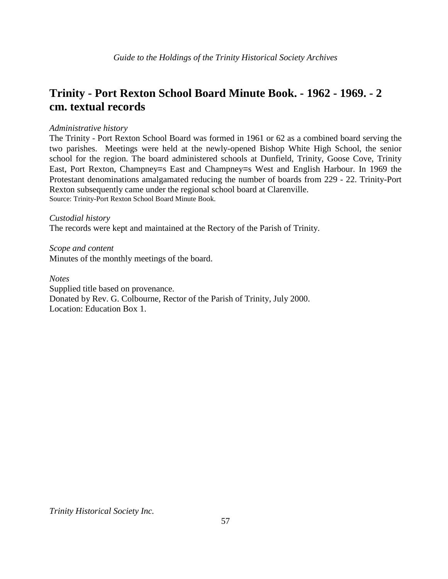# **Trinity - Port Rexton School Board Minute Book. - 1962 - 1969. - 2 cm. textual records**

## *Administrative history*

The Trinity - Port Rexton School Board was formed in 1961 or 62 as a combined board serving the two parishes. Meetings were held at the newly-opened Bishop White High School, the senior school for the region. The board administered schools at Dunfield, Trinity, Goose Cove, Trinity East, Port Rexton, Champney=s East and Champney=s West and English Harbour. In 1969 the Protestant denominations amalgamated reducing the number of boards from 229 - 22. Trinity-Port Rexton subsequently came under the regional school board at Clarenville. Source: Trinity-Port Rexton School Board Minute Book.

*Custodial history*

The records were kept and maintained at the Rectory of the Parish of Trinity.

*Scope and content* Minutes of the monthly meetings of the board.

*Notes* Supplied title based on provenance. Donated by Rev. G. Colbourne, Rector of the Parish of Trinity, July 2000. Location: Education Box 1.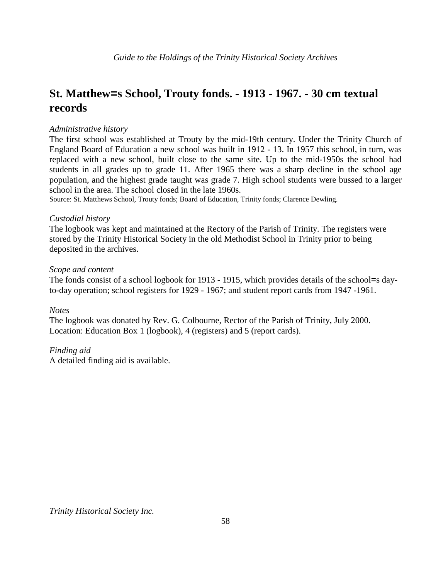# **St. Matthew=s School, Trouty fonds. - 1913 - 1967. - 30 cm textual records**

## *Administrative history*

The first school was established at Trouty by the mid-19th century. Under the Trinity Church of England Board of Education a new school was built in 1912 - 13. In 1957 this school, in turn, was replaced with a new school, built close to the same site. Up to the mid-1950s the school had students in all grades up to grade 11. After 1965 there was a sharp decline in the school age population, and the highest grade taught was grade 7. High school students were bussed to a larger school in the area. The school closed in the late 1960s.

Source: St. Matthews School, Trouty fonds; Board of Education, Trinity fonds; Clarence Dewling.

## *Custodial history*

The logbook was kept and maintained at the Rectory of the Parish of Trinity. The registers were stored by the Trinity Historical Society in the old Methodist School in Trinity prior to being deposited in the archives.

## *Scope and content*

The fonds consist of a school logbook for 1913 - 1915, which provides details of the school=s dayto-day operation; school registers for 1929 - 1967; and student report cards from 1947 -1961.

## *Notes*

The logbook was donated by Rev. G. Colbourne, Rector of the Parish of Trinity, July 2000. Location: Education Box 1 (logbook), 4 (registers) and 5 (report cards).

## *Finding aid*

A detailed finding aid is available.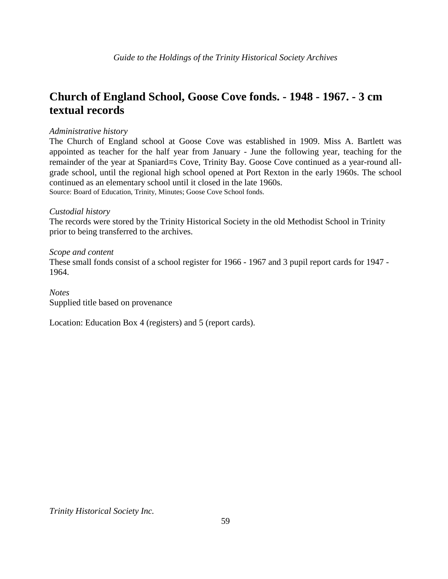# **Church of England School, Goose Cove fonds. - 1948 - 1967. - 3 cm textual records**

## *Administrative history*

The Church of England school at Goose Cove was established in 1909. Miss A. Bartlett was appointed as teacher for the half year from January - June the following year, teaching for the remainder of the year at Spaniard=s Cove, Trinity Bay. Goose Cove continued as a year-round allgrade school, until the regional high school opened at Port Rexton in the early 1960s. The school continued as an elementary school until it closed in the late 1960s. Source: Board of Education, Trinity, Minutes; Goose Cove School fonds.

## *Custodial history*

The records were stored by the Trinity Historical Society in the old Methodist School in Trinity prior to being transferred to the archives.

*Scope and content* These small fonds consist of a school register for 1966 - 1967 and 3 pupil report cards for 1947 - 1964.

*Notes* Supplied title based on provenance

Location: Education Box 4 (registers) and 5 (report cards).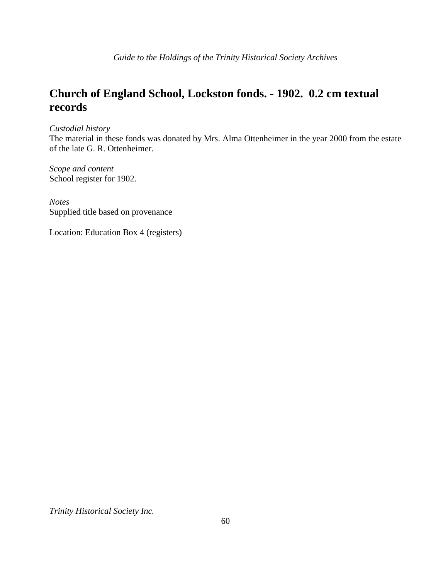# **Church of England School, Lockston fonds. - 1902. 0.2 cm textual records**

*Custodial history*

The material in these fonds was donated by Mrs. Alma Ottenheimer in the year 2000 from the estate of the late G. R. Ottenheimer.

*Scope and content* School register for 1902.

*Notes* Supplied title based on provenance

Location: Education Box 4 (registers)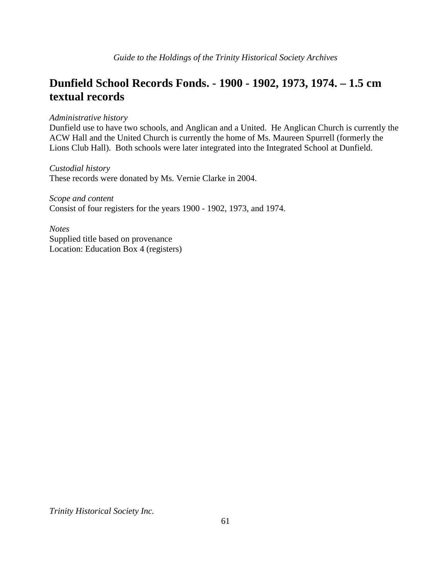# **Dunfield School Records Fonds. - 1900 - 1902, 1973, 1974. – 1.5 cm textual records**

#### *Administrative history*

Dunfield use to have two schools, and Anglican and a United. He Anglican Church is currently the ACW Hall and the United Church is currently the home of Ms. Maureen Spurrell (formerly the Lions Club Hall). Both schools were later integrated into the Integrated School at Dunfield.

*Custodial history* These records were donated by Ms. Vernie Clarke in 2004.

*Scope and content* Consist of four registers for the years 1900 - 1902, 1973, and 1974.

*Notes* Supplied title based on provenance Location: Education Box 4 (registers)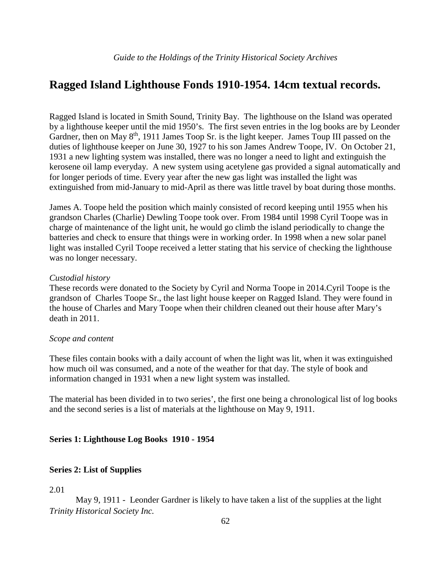## **Ragged Island Lighthouse Fonds 1910-1954. 14cm textual records.**

Ragged Island is located in Smith Sound, Trinity Bay. The lighthouse on the Island was operated by a lighthouse keeper until the mid 1950's. The first seven entries in the log books are by Leonder Gardner, then on May 8<sup>th</sup>, 1911 James Toop Sr. is the light keeper. James Toup III passed on the duties of lighthouse keeper on June 30, 1927 to his son James Andrew Toope, IV. On October 21, 1931 a new lighting system was installed, there was no longer a need to light and extinguish the kerosene oil lamp everyday. A new system using acetylene gas provided a signal automatically and for longer periods of time. Every year after the new gas light was installed the light was extinguished from mid-January to mid-April as there was little travel by boat during those months.

James A. Toope held the position which mainly consisted of record keeping until 1955 when his grandson Charles (Charlie) Dewling Toope took over. From 1984 until 1998 Cyril Toope was in charge of maintenance of the light unit, he would go climb the island periodically to change the batteries and check to ensure that things were in working order. In 1998 when a new solar panel light was installed Cyril Toope received a letter stating that his service of checking the lighthouse was no longer necessary.

## *Custodial history*

These records were donated to the Society by Cyril and Norma Toope in 2014.Cyril Toope is the grandson of Charles Toope Sr., the last light house keeper on Ragged Island. They were found in the house of Charles and Mary Toope when their children cleaned out their house after Mary's death in 2011.

## *Scope and content*

These files contain books with a daily account of when the light was lit, when it was extinguished how much oil was consumed, and a note of the weather for that day. The style of book and information changed in 1931 when a new light system was installed.

The material has been divided in to two series', the first one being a chronological list of log books and the second series is a list of materials at the lighthouse on May 9, 1911.

## **Series 1: Lighthouse Log Books 1910 - 1954**

## **Series 2: List of Supplies**

2.01

*Trinity Historical Society Inc.* May 9, 1911 - Leonder Gardner is likely to have taken a list of the supplies at the light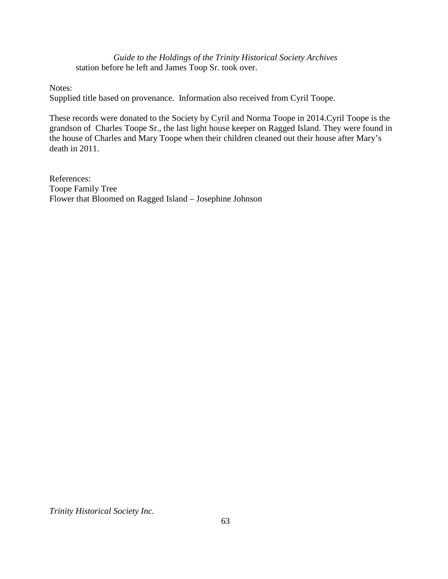*Guide to the Holdings of the Trinity Historical Society Archives* station before he left and James Toop Sr. took over.

Notes:

Supplied title based on provenance. Information also received from Cyril Toope.

These records were donated to the Society by Cyril and Norma Toope in 2014.Cyril Toope is the grandson of Charles Toope Sr., the last light house keeper on Ragged Island. They were found in the house of Charles and Mary Toope when their children cleaned out their house after Mary's death in 2011.

References: Toope Family Tree Flower that Bloomed on Ragged Island – Josephine Johnson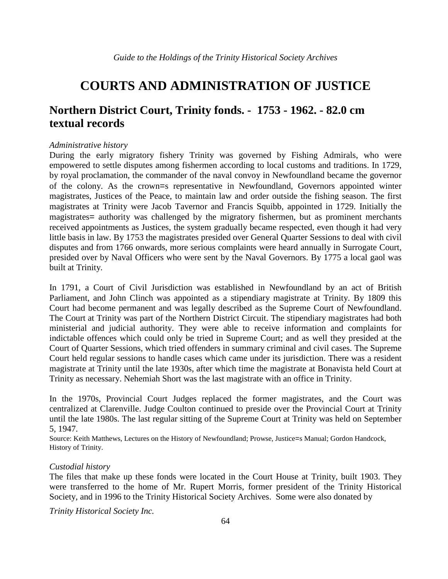## **COURTS AND ADMINISTRATION OF JUSTICE**

# **Northern District Court, Trinity fonds. - 1753 - 1962. - 82.0 cm textual records**

#### *Administrative history*

During the early migratory fishery Trinity was governed by Fishing Admirals, who were empowered to settle disputes among fishermen according to local customs and traditions. In 1729, by royal proclamation, the commander of the naval convoy in Newfoundland became the governor of the colony. As the crown=s representative in Newfoundland, Governors appointed winter magistrates, Justices of the Peace, to maintain law and order outside the fishing season. The first magistrates at Trinity were Jacob Tavernor and Francis Squibb, appointed in 1729. Initially the magistrates= authority was challenged by the migratory fishermen, but as prominent merchants received appointments as Justices, the system gradually became respected, even though it had very little basis in law. By 1753 the magistrates presided over General Quarter Sessions to deal with civil disputes and from 1766 onwards, more serious complaints were heard annually in Surrogate Court, presided over by Naval Officers who were sent by the Naval Governors. By 1775 a local gaol was built at Trinity.

In 1791, a Court of Civil Jurisdiction was established in Newfoundland by an act of British Parliament, and John Clinch was appointed as a stipendiary magistrate at Trinity. By 1809 this Court had become permanent and was legally described as the Supreme Court of Newfoundland. The Court at Trinity was part of the Northern District Circuit. The stipendiary magistrates had both ministerial and judicial authority. They were able to receive information and complaints for indictable offences which could only be tried in Supreme Court; and as well they presided at the Court of Quarter Sessions, which tried offenders in summary criminal and civil cases. The Supreme Court held regular sessions to handle cases which came under its jurisdiction. There was a resident magistrate at Trinity until the late 1930s, after which time the magistrate at Bonavista held Court at Trinity as necessary. Nehemiah Short was the last magistrate with an office in Trinity.

In the 1970s, Provincial Court Judges replaced the former magistrates, and the Court was centralized at Clarenville. Judge Coulton continued to preside over the Provincial Court at Trinity until the late 1980s. The last regular sitting of the Supreme Court at Trinity was held on September 5, 1947.

Source: Keith Matthews, Lectures on the History of Newfoundland; Prowse, Justice=s Manual; Gordon Handcock, History of Trinity.

## *Custodial history*

The files that make up these fonds were located in the Court House at Trinity, built 1903. They were transferred to the home of Mr. Rupert Morris, former president of the Trinity Historical Society, and in 1996 to the Trinity Historical Society Archives. Some were also donated by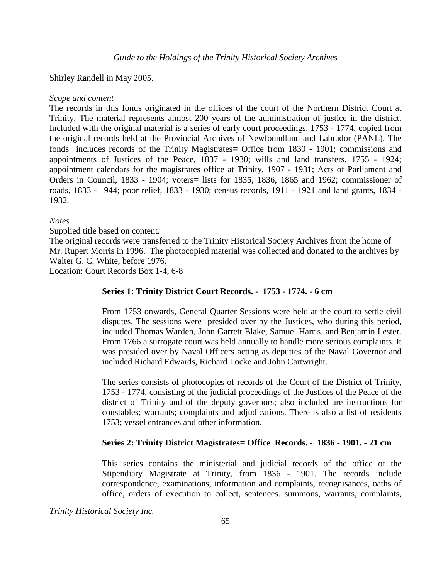Shirley Randell in May 2005.

#### *Scope and content*

The records in this fonds originated in the offices of the court of the Northern District Court at Trinity. The material represents almost 200 years of the administration of justice in the district. Included with the original material is a series of early court proceedings, 1753 - 1774, copied from the original records held at the Provincial Archives of Newfoundland and Labrador (PANL). The fonds includes records of the Trinity Magistrates= Office from 1830 - 1901; commissions and appointments of Justices of the Peace, 1837 - 1930; wills and land transfers, 1755 - 1924; appointment calendars for the magistrates office at Trinity, 1907 - 1931; Acts of Parliament and Orders in Council, 1833 - 1904; voters= lists for 1835, 1836, 1865 and 1962; commissioner of roads, 1833 - 1944; poor relief, 1833 - 1930; census records, 1911 - 1921 and land grants, 1834 - 1932.

#### *Notes*

Supplied title based on content.

The original records were transferred to the Trinity Historical Society Archives from the home of Mr. Rupert Morris in 1996. The photocopied material was collected and donated to the archives by Walter G. C. White, before 1976.

Location: Court Records Box 1-4, 6-8

## **Series 1: Trinity District Court Records. - 1753 - 1774. - 6 cm**

From 1753 onwards, General Quarter Sessions were held at the court to settle civil disputes. The sessions were presided over by the Justices, who during this period, included Thomas Warden, John Garrett Blake, Samuel Harris, and Benjamin Lester. From 1766 a surrogate court was held annually to handle more serious complaints. It was presided over by Naval Officers acting as deputies of the Naval Governor and included Richard Edwards, Richard Locke and John Cartwright.

The series consists of photocopies of records of the Court of the District of Trinity, 1753 - 1774, consisting of the judicial proceedings of the Justices of the Peace of the district of Trinity and of the deputy governors; also included are instructions for constables; warrants; complaints and adjudications. There is also a list of residents 1753; vessel entrances and other information.

#### **Series 2: Trinity District Magistrates= Office Records. - 1836 - 1901. - 21 cm**

This series contains the ministerial and judicial records of the office of the Stipendiary Magistrate at Trinity, from 1836 - 1901. The records include correspondence, examinations, information and complaints, recognisances, oaths of office, orders of execution to collect, sentences. summons, warrants, complaints,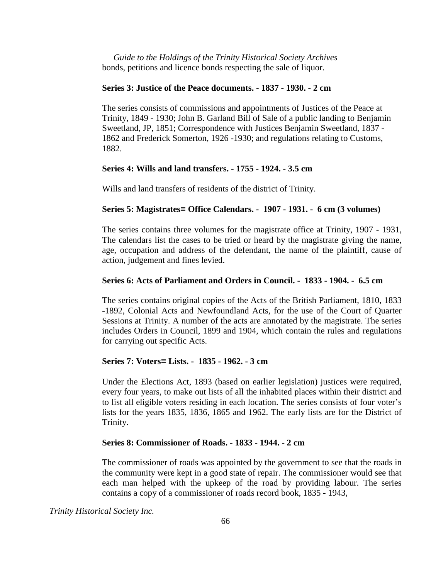*Guide to the Holdings of the Trinity Historical Society Archives* bonds, petitions and licence bonds respecting the sale of liquor.

## **Series 3: Justice of the Peace documents. - 1837 - 1930. - 2 cm**

The series consists of commissions and appointments of Justices of the Peace at Trinity, 1849 - 1930; John B. Garland Bill of Sale of a public landing to Benjamin Sweetland, JP, 1851; Correspondence with Justices Benjamin Sweetland, 1837 - 1862 and Frederick Somerton, 1926 -1930; and regulations relating to Customs, 1882.

## **Series 4: Wills and land transfers. - 1755 - 1924. - 3.5 cm**

Wills and land transfers of residents of the district of Trinity.

#### **Series 5: Magistrates= Office Calendars. - 1907 - 1931. - 6 cm (3 volumes)**

The series contains three volumes for the magistrate office at Trinity, 1907 - 1931, The calendars list the cases to be tried or heard by the magistrate giving the name, age, occupation and address of the defendant, the name of the plaintiff, cause of action, judgement and fines levied.

## **Series 6: Acts of Parliament and Orders in Council. - 1833 - 1904. - 6.5 cm**

The series contains original copies of the Acts of the British Parliament, 1810, 1833 -1892, Colonial Acts and Newfoundland Acts, for the use of the Court of Quarter Sessions at Trinity. A number of the acts are annotated by the magistrate. The series includes Orders in Council, 1899 and 1904, which contain the rules and regulations for carrying out specific Acts.

## **Series 7: Voters= Lists. - 1835 - 1962. - 3 cm**

Under the Elections Act, 1893 (based on earlier legislation) justices were required, every four years, to make out lists of all the inhabited places within their district and to list all eligible voters residing in each location. The series consists of four voter's lists for the years 1835, 1836, 1865 and 1962. The early lists are for the District of Trinity.

#### **Series 8: Commissioner of Roads. - 1833 - 1944. - 2 cm**

The commissioner of roads was appointed by the government to see that the roads in the community were kept in a good state of repair. The commissioner would see that each man helped with the upkeep of the road by providing labour. The series contains a copy of a commissioner of roads record book, 1835 - 1943,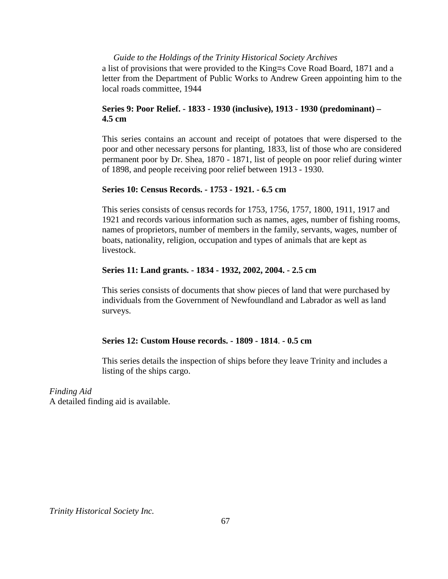#### *Guide to the Holdings of the Trinity Historical Society Archives*

a list of provisions that were provided to the King=s Cove Road Board, 1871 and a letter from the Department of Public Works to Andrew Green appointing him to the local roads committee, 1944

## **Series 9: Poor Relief. - 1833 - 1930 (inclusive), 1913 - 1930 (predominant) – 4.5 cm**

This series contains an account and receipt of potatoes that were dispersed to the poor and other necessary persons for planting, 1833, list of those who are considered permanent poor by Dr. Shea, 1870 - 1871, list of people on poor relief during winter of 1898, and people receiving poor relief between 1913 - 1930.

#### **Series 10: Census Records. - 1753 - 1921. - 6.5 cm**

This series consists of census records for 1753, 1756, 1757, 1800, 1911, 1917 and 1921 and records various information such as names, ages, number of fishing rooms, names of proprietors, number of members in the family, servants, wages, number of boats, nationality, religion, occupation and types of animals that are kept as livestock.

#### **Series 11: Land grants. - 1834 - 1932, 2002, 2004. - 2.5 cm**

This series consists of documents that show pieces of land that were purchased by individuals from the Government of Newfoundland and Labrador as well as land surveys.

#### **Series 12: Custom House records. - 1809 - 1814**. **- 0.5 cm**

This series details the inspection of ships before they leave Trinity and includes a listing of the ships cargo.

#### *Finding Aid*

A detailed finding aid is available.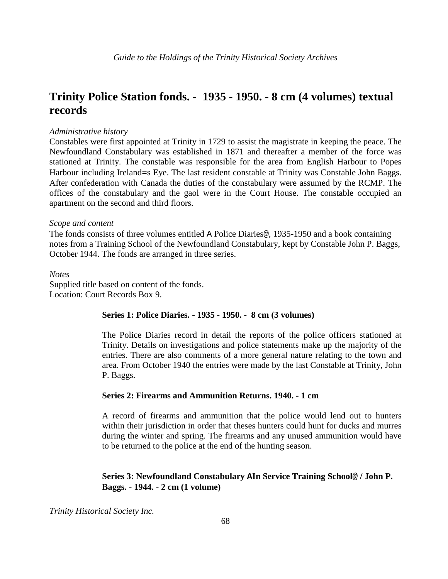## **Trinity Police Station fonds. - 1935 - 1950. - 8 cm (4 volumes) textual records**

#### *Administrative history*

Constables were first appointed at Trinity in 1729 to assist the magistrate in keeping the peace. The Newfoundland Constabulary was established in 1871 and thereafter a member of the force was stationed at Trinity. The constable was responsible for the area from English Harbour to Popes Harbour including Ireland=s Eye. The last resident constable at Trinity was Constable John Baggs. After confederation with Canada the duties of the constabulary were assumed by the RCMP. The offices of the constabulary and the gaol were in the Court House. The constable occupied an apartment on the second and third floors.

#### *Scope and content*

The fonds consists of three volumes entitled A Police Diaries@, 1935-1950 and a book containing notes from a Training School of the Newfoundland Constabulary, kept by Constable John P. Baggs, October 1944. The fonds are arranged in three series.

*Notes* Supplied title based on content of the fonds. Location: Court Records Box 9.

#### **Series 1: Police Diaries. - 1935 - 1950. - 8 cm (3 volumes)**

The Police Diaries record in detail the reports of the police officers stationed at Trinity. Details on investigations and police statements make up the majority of the entries. There are also comments of a more general nature relating to the town and area. From October 1940 the entries were made by the last Constable at Trinity, John P. Baggs.

## **Series 2: Firearms and Ammunition Returns. 1940. - 1 cm**

A record of firearms and ammunition that the police would lend out to hunters within their jurisdiction in order that theses hunters could hunt for ducks and murres during the winter and spring. The firearms and any unused ammunition would have to be returned to the police at the end of the hunting season.

## **Series 3: Newfoundland Constabulary AIn Service Training School@ / John P. Baggs. - 1944. - 2 cm (1 volume)**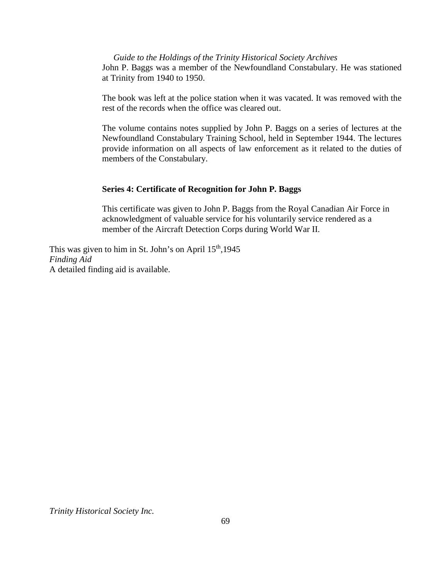#### *Guide to the Holdings of the Trinity Historical Society Archives*

John P. Baggs was a member of the Newfoundland Constabulary. He was stationed at Trinity from 1940 to 1950.

The book was left at the police station when it was vacated. It was removed with the rest of the records when the office was cleared out.

The volume contains notes supplied by John P. Baggs on a series of lectures at the Newfoundland Constabulary Training School, held in September 1944. The lectures provide information on all aspects of law enforcement as it related to the duties of members of the Constabulary.

#### **Series 4: Certificate of Recognition for John P. Baggs**

This certificate was given to John P. Baggs from the Royal Canadian Air Force in acknowledgment of valuable service for his voluntarily service rendered as a member of the Aircraft Detection Corps during World War II.

This was given to him in St. John's on April  $15<sup>th</sup>$ ,1945 *Finding Aid* A detailed finding aid is available.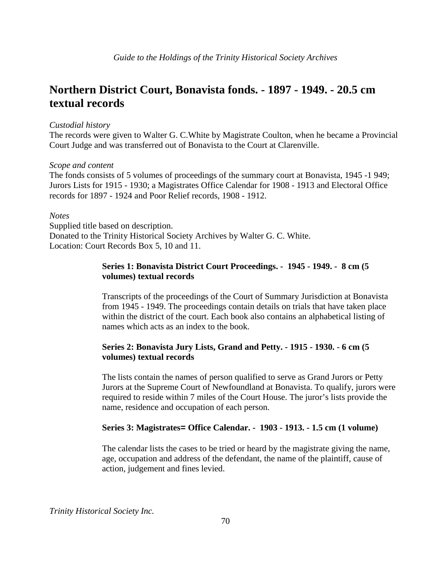# **Northern District Court, Bonavista fonds. - 1897 - 1949. - 20.5 cm textual records**

## *Custodial history*

The records were given to Walter G. C.White by Magistrate Coulton, when he became a Provincial Court Judge and was transferred out of Bonavista to the Court at Clarenville.

## *Scope and content*

The fonds consists of 5 volumes of proceedings of the summary court at Bonavista, 1945 -1 949; Jurors Lists for 1915 - 1930; a Magistrates Office Calendar for 1908 - 1913 and Electoral Office records for 1897 - 1924 and Poor Relief records, 1908 - 1912.

## *Notes*

Supplied title based on description. Donated to the Trinity Historical Society Archives by Walter G. C. White. Location: Court Records Box 5, 10 and 11.

## **Series 1: Bonavista District Court Proceedings. - 1945 - 1949. - 8 cm (5 volumes) textual records**

Transcripts of the proceedings of the Court of Summary Jurisdiction at Bonavista from 1945 - 1949. The proceedings contain details on trials that have taken place within the district of the court. Each book also contains an alphabetical listing of names which acts as an index to the book.

## **Series 2: Bonavista Jury Lists, Grand and Petty. - 1915 - 1930. - 6 cm (5 volumes) textual records**

The lists contain the names of person qualified to serve as Grand Jurors or Petty Jurors at the Supreme Court of Newfoundland at Bonavista. To qualify, jurors were required to reside within 7 miles of the Court House. The juror's lists provide the name, residence and occupation of each person.

## **Series 3: Magistrates= Office Calendar. - 1903 - 1913. - 1.5 cm (1 volume)**

The calendar lists the cases to be tried or heard by the magistrate giving the name, age, occupation and address of the defendant, the name of the plaintiff, cause of action, judgement and fines levied.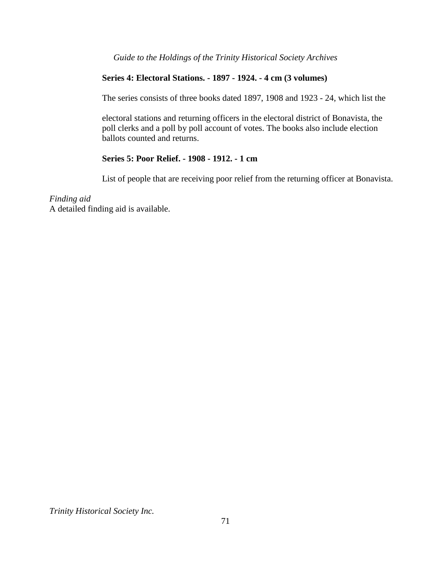*Guide to the Holdings of the Trinity Historical Society Archives*

## **Series 4: Electoral Stations. - 1897 - 1924. - 4 cm (3 volumes)**

The series consists of three books dated 1897, 1908 and 1923 - 24, which list the

electoral stations and returning officers in the electoral district of Bonavista, the poll clerks and a poll by poll account of votes. The books also include election ballots counted and returns.

## **Series 5: Poor Relief. - 1908 - 1912. - 1 cm**

List of people that are receiving poor relief from the returning officer at Bonavista.

*Finding aid*

A detailed finding aid is available.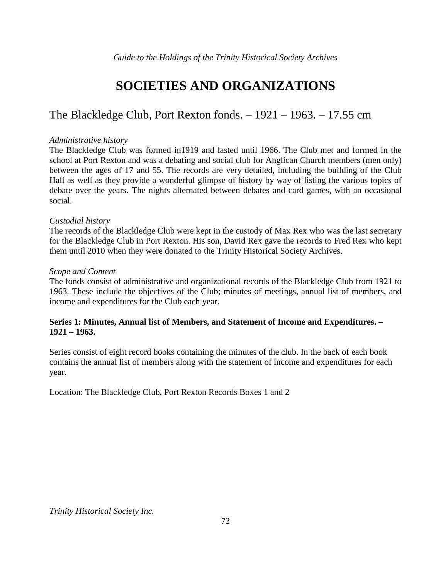# **SOCIETIES AND ORGANIZATIONS**

## The Blackledge Club, Port Rexton fonds. – 1921 – 1963. – 17.55 cm

## *Administrative history*

The Blackledge Club was formed in1919 and lasted until 1966. The Club met and formed in the school at Port Rexton and was a debating and social club for Anglican Church members (men only) between the ages of 17 and 55. The records are very detailed, including the building of the Club Hall as well as they provide a wonderful glimpse of history by way of listing the various topics of debate over the years. The nights alternated between debates and card games, with an occasional social.

## *Custodial history*

The records of the Blackledge Club were kept in the custody of Max Rex who was the last secretary for the Blackledge Club in Port Rexton. His son, David Rex gave the records to Fred Rex who kept them until 2010 when they were donated to the Trinity Historical Society Archives.

## *Scope and Content*

The fonds consist of administrative and organizational records of the Blackledge Club from 1921 to 1963. These include the objectives of the Club; minutes of meetings, annual list of members, and income and expenditures for the Club each year.

## **Series 1: Minutes, Annual list of Members, and Statement of Income and Expenditures. – 1921 – 1963.**

Series consist of eight record books containing the minutes of the club. In the back of each book contains the annual list of members along with the statement of income and expenditures for each year.

Location: The Blackledge Club, Port Rexton Records Boxes 1 and 2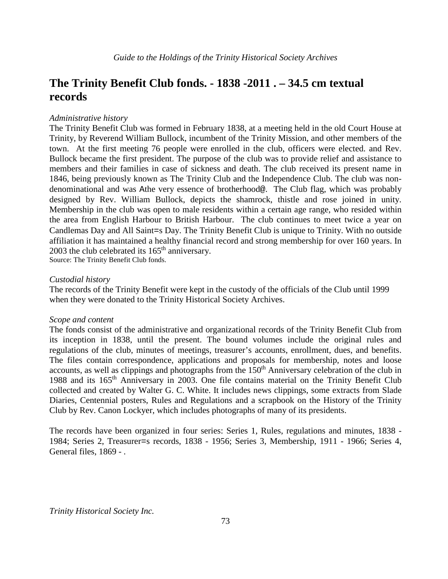# **The Trinity Benefit Club fonds. - 1838 -2011 . – 34.5 cm textual records**

## *Administrative history*

The Trinity Benefit Club was formed in February 1838, at a meeting held in the old Court House at Trinity, by Reverend William Bullock, incumbent of the Trinity Mission, and other members of the town. At the first meeting 76 people were enrolled in the club, officers were elected. and Rev. Bullock became the first president. The purpose of the club was to provide relief and assistance to members and their families in case of sickness and death. The club received its present name in 1846, being previously known as The Trinity Club and the Independence Club. The club was nondenominational and was Athe very essence of brotherhood@. The Club flag, which was probably designed by Rev. William Bullock, depicts the shamrock, thistle and rose joined in unity. Membership in the club was open to male residents within a certain age range, who resided within the area from English Harbour to British Harbour. The club continues to meet twice a year on Candlemas Day and All Saint=s Day. The Trinity Benefit Club is unique to Trinity. With no outside affiliation it has maintained a healthy financial record and strong membership for over 160 years. In 2003 the club celebrated its  $165<sup>th</sup>$  anniversary.

Source: The Trinity Benefit Club fonds.

#### *Custodial history*

The records of the Trinity Benefit were kept in the custody of the officials of the Club until 1999 when they were donated to the Trinity Historical Society Archives.

#### *Scope and content*

The fonds consist of the administrative and organizational records of the Trinity Benefit Club from its inception in 1838, until the present. The bound volumes include the original rules and regulations of the club, minutes of meetings, treasurer's accounts, enrollment, dues, and benefits. The files contain correspondence, applications and proposals for membership, notes and loose accounts, as well as clippings and photographs from the 150<sup>th</sup> Anniversary celebration of the club in 1988 and its 165<sup>th</sup> Anniversary in 2003. One file contains material on the Trinity Benefit Club collected and created by Walter G. C. White. It includes news clippings, some extracts from Slade Diaries, Centennial posters, Rules and Regulations and a scrapbook on the History of the Trinity Club by Rev. Canon Lockyer, which includes photographs of many of its presidents.

The records have been organized in four series: Series 1, Rules, regulations and minutes, 1838 - 1984; Series 2, Treasurer=s records, 1838 - 1956; Series 3, Membership, 1911 - 1966; Series 4, General files, 1869 - .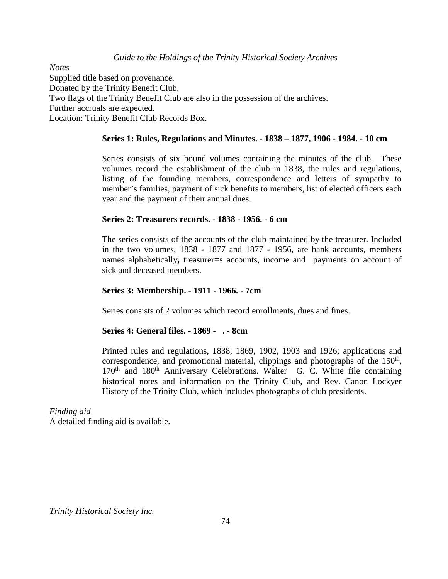*Guide to the Holdings of the Trinity Historical Society Archives*

*Notes* Supplied title based on provenance. Donated by the Trinity Benefit Club. Two flags of the Trinity Benefit Club are also in the possession of the archives. Further accruals are expected. Location: Trinity Benefit Club Records Box.

## **Series 1: Rules, Regulations and Minutes. - 1838 – 1877, 1906 - 1984. - 10 cm**

Series consists of six bound volumes containing the minutes of the club. These volumes record the establishment of the club in 1838, the rules and regulations, listing of the founding members, correspondence and letters of sympathy to member's families, payment of sick benefits to members, list of elected officers each year and the payment of their annual dues.

## **Series 2: Treasurers records. - 1838 - 1956. - 6 cm**

The series consists of the accounts of the club maintained by the treasurer. Included in the two volumes, 1838 - 1877 and 1877 - 1956, are bank accounts, members names alphabetically**,** treasurer=s accounts, income and payments on account of sick and deceased members.

#### **Series 3: Membership. - 1911 - 1966. - 7cm**

Series consists of 2 volumes which record enrollments, dues and fines.

## **Series 4: General files. - 1869 - . - 8cm**

Printed rules and regulations, 1838, 1869, 1902, 1903 and 1926; applications and correspondence, and promotional material, clippings and photographs of the  $150<sup>th</sup>$ ,  $170<sup>th</sup>$  and  $180<sup>th</sup>$  Anniversary Celebrations. Walter G. C. White file containing historical notes and information on the Trinity Club, and Rev. Canon Lockyer History of the Trinity Club, which includes photographs of club presidents.

## *Finding aid*

A detailed finding aid is available.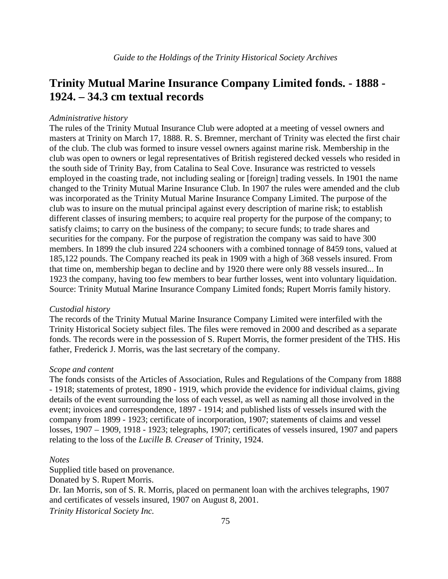## **Trinity Mutual Marine Insurance Company Limited fonds. - 1888 - 1924. – 34.3 cm textual records**

#### *Administrative history*

The rules of the Trinity Mutual Insurance Club were adopted at a meeting of vessel owners and masters at Trinity on March 17, 1888. R. S. Bremner, merchant of Trinity was elected the first chair of the club. The club was formed to insure vessel owners against marine risk. Membership in the club was open to owners or legal representatives of British registered decked vessels who resided in the south side of Trinity Bay, from Catalina to Seal Cove. Insurance was restricted to vessels employed in the coasting trade, not including sealing or [foreign] trading vessels. In 1901 the name changed to the Trinity Mutual Marine Insurance Club. In 1907 the rules were amended and the club was incorporated as the Trinity Mutual Marine Insurance Company Limited. The purpose of the club was to insure on the mutual principal against every description of marine risk; to establish different classes of insuring members; to acquire real property for the purpose of the company; to satisfy claims; to carry on the business of the company; to secure funds; to trade shares and securities for the company. For the purpose of registration the company was said to have 300 members. In 1899 the club insured 224 schooners with a combined tonnage of 8459 tons, valued at 185,122 pounds. The Company reached its peak in 1909 with a high of 368 vessels insured. From that time on, membership began to decline and by 1920 there were only 88 vessels insured... In 1923 the company, having too few members to bear further losses, went into voluntary liquidation. Source: Trinity Mutual Marine Insurance Company Limited fonds; Rupert Morris family history.

#### *Custodial history*

The records of the Trinity Mutual Marine Insurance Company Limited were interfiled with the Trinity Historical Society subject files. The files were removed in 2000 and described as a separate fonds. The records were in the possession of S. Rupert Morris, the former president of the THS. His father, Frederick J. Morris, was the last secretary of the company.

#### *Scope and content*

The fonds consists of the Articles of Association, Rules and Regulations of the Company from 1888 - 1918; statements of protest, 1890 - 1919, which provide the evidence for individual claims, giving details of the event surrounding the loss of each vessel, as well as naming all those involved in the event; invoices and correspondence, 1897 - 1914; and published lists of vessels insured with the company from 1899 - 1923; certificate of incorporation, 1907; statements of claims and vessel losses, 1907 – 1909, 1918 - 1923; telegraphs, 1907; certificates of vessels insured, 1907 and papers relating to the loss of the *Lucille B. Creaser* of Trinity, 1924.

#### *Notes*

Supplied title based on provenance.

Donated by S. Rupert Morris.

Dr. Ian Morris, son of S. R. Morris, placed on permanent loan with the archives telegraphs, 1907 and certificates of vessels insured, 1907 on August 8, 2001.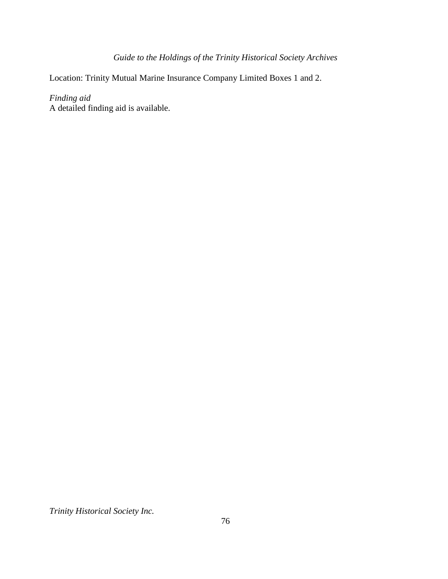## *Guide to the Holdings of the Trinity Historical Society Archives*

Location: Trinity Mutual Marine Insurance Company Limited Boxes 1 and 2.

*Finding aid* A detailed finding aid is available.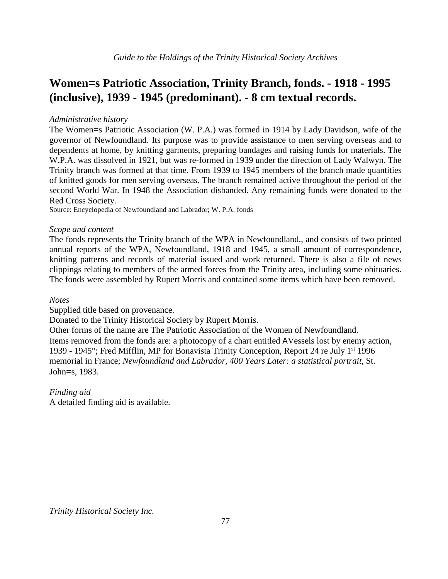## **Women=s Patriotic Association, Trinity Branch, fonds. - 1918 - 1995 (inclusive), 1939 - 1945 (predominant). - 8 cm textual records.**

#### *Administrative history*

The Women=s Patriotic Association (W. P.A.) was formed in 1914 by Lady Davidson, wife of the governor of Newfoundland. Its purpose was to provide assistance to men serving overseas and to dependents at home, by knitting garments, preparing bandages and raising funds for materials. The W.P.A. was dissolved in 1921, but was re-formed in 1939 under the direction of Lady Walwyn. The Trinity branch was formed at that time. From 1939 to 1945 members of the branch made quantities of knitted goods for men serving overseas. The branch remained active throughout the period of the second World War. In 1948 the Association disbanded. Any remaining funds were donated to the Red Cross Society.

Source: Encyclopedia of Newfoundland and Labrador; W. P.A. fonds

#### *Scope and content*

The fonds represents the Trinity branch of the WPA in Newfoundland., and consists of two printed annual reports of the WPA, Newfoundland, 1918 and 1945, a small amount of correspondence, knitting patterns and records of material issued and work returned. There is also a file of news clippings relating to members of the armed forces from the Trinity area, including some obituaries. The fonds were assembled by Rupert Morris and contained some items which have been removed.

#### *Notes*

Supplied title based on provenance.

Donated to the Trinity Historical Society by Rupert Morris.

Other forms of the name are The Patriotic Association of the Women of Newfoundland. Items removed from the fonds are: a photocopy of a chart entitled AVessels lost by enemy action, 1939 - 1945"; Fred Mifflin, MP for Bonavista Trinity Conception, Report 24 re July 1st 1996 memorial in France; *Newfoundland and Labrador, 400 Years Later: a statistical portrait*, St. John=s, 1983.

## *Finding aid*

A detailed finding aid is available.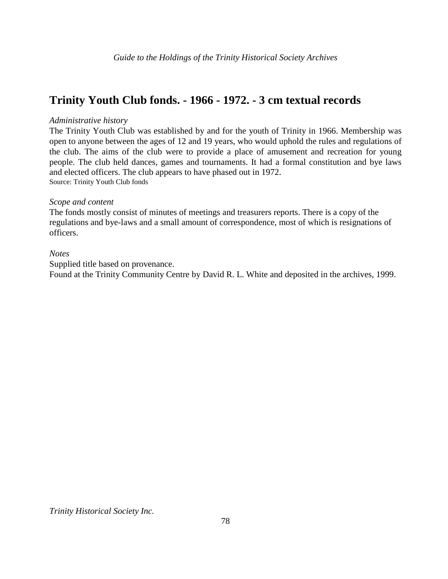## **Trinity Youth Club fonds. - 1966 - 1972. - 3 cm textual records**

## *Administrative history*

The Trinity Youth Club was established by and for the youth of Trinity in 1966. Membership was open to anyone between the ages of 12 and 19 years, who would uphold the rules and regulations of the club. The aims of the club were to provide a place of amusement and recreation for young people. The club held dances, games and tournaments. It had a formal constitution and bye laws and elected officers. The club appears to have phased out in 1972. Source: Trinity Youth Club fonds

## *Scope and content*

The fonds mostly consist of minutes of meetings and treasurers reports. There is a copy of the regulations and bye-laws and a small amount of correspondence, most of which is resignations of officers.

## *Notes*

Supplied title based on provenance.

Found at the Trinity Community Centre by David R. L. White and deposited in the archives, 1999.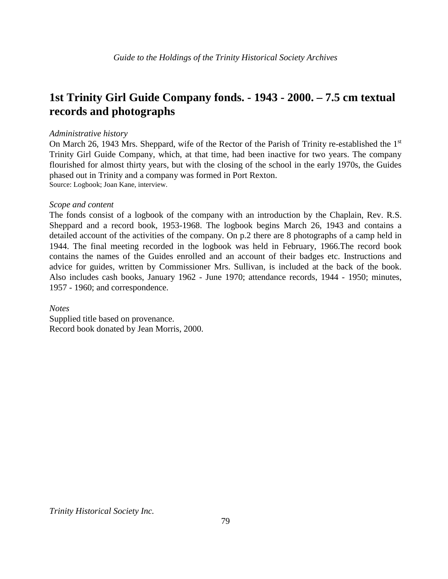## **1st Trinity Girl Guide Company fonds. - 1943 - 2000. – 7.5 cm textual records and photographs**

#### *Administrative history*

On March 26, 1943 Mrs. Sheppard, wife of the Rector of the Parish of Trinity re-established the 1<sup>st</sup> Trinity Girl Guide Company, which, at that time, had been inactive for two years. The company flourished for almost thirty years, but with the closing of the school in the early 1970s, the Guides phased out in Trinity and a company was formed in Port Rexton. Source: Logbook; Joan Kane, interview.

#### *Scope and content*

The fonds consist of a logbook of the company with an introduction by the Chaplain, Rev. R.S. Sheppard and a record book, 1953-1968. The logbook begins March 26, 1943 and contains a detailed account of the activities of the company. On p.2 there are 8 photographs of a camp held in 1944. The final meeting recorded in the logbook was held in February, 1966.The record book contains the names of the Guides enrolled and an account of their badges etc. Instructions and advice for guides, written by Commissioner Mrs. Sullivan, is included at the back of the book. Also includes cash books, January 1962 - June 1970; attendance records, 1944 - 1950; minutes, 1957 - 1960; and correspondence.

#### *Notes*

Supplied title based on provenance. Record book donated by Jean Morris, 2000.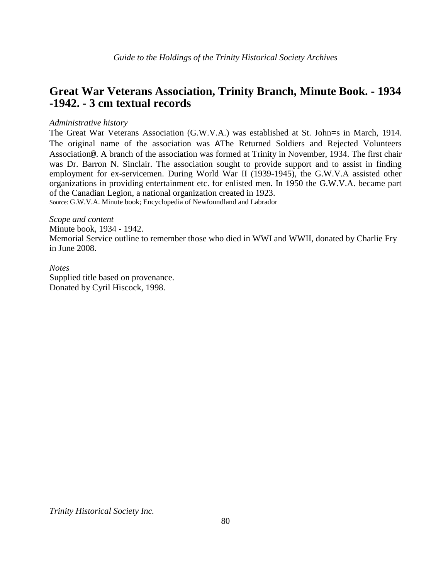## **Great War Veterans Association, Trinity Branch, Minute Book. - 1934 -1942. - 3 cm textual records**

#### *Administrative history*

The Great War Veterans Association (G.W.V.A.) was established at St. John=s in March, 1914. The original name of the association was AThe Returned Soldiers and Rejected Volunteers Association@. A branch of the association was formed at Trinity in November, 1934. The first chair was Dr. Barron N. Sinclair. The association sought to provide support and to assist in finding employment for ex-servicemen. During World War II (1939-1945), the G.W.V.A assisted other organizations in providing entertainment etc. for enlisted men. In 1950 the G.W.V.A. became part of the Canadian Legion, a national organization created in 1923. Source: G.W.V.A. Minute book; Encyclopedia of Newfoundland and Labrador

*Scope and content*

Minute book, 1934 - 1942. Memorial Service outline to remember those who died in WWI and WWII, donated by Charlie Fry in June 2008.

*Notes* Supplied title based on provenance. Donated by Cyril Hiscock, 1998.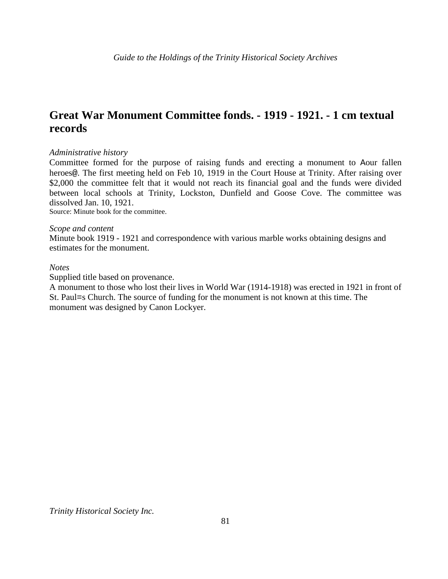# **Great War Monument Committee fonds. - 1919 - 1921. - 1 cm textual records**

## *Administrative history*

Committee formed for the purpose of raising funds and erecting a monument to Aour fallen heroes@. The first meeting held on Feb 10, 1919 in the Court House at Trinity. After raising over \$2,000 the committee felt that it would not reach its financial goal and the funds were divided between local schools at Trinity, Lockston, Dunfield and Goose Cove. The committee was dissolved Jan. 10, 1921.

Source: Minute book for the committee.

#### *Scope and content*

Minute book 1919 - 1921 and correspondence with various marble works obtaining designs and estimates for the monument.

#### *Notes*

Supplied title based on provenance.

A monument to those who lost their lives in World War (1914-1918) was erected in 1921 in front of St. Paul=s Church. The source of funding for the monument is not known at this time. The monument was designed by Canon Lockyer.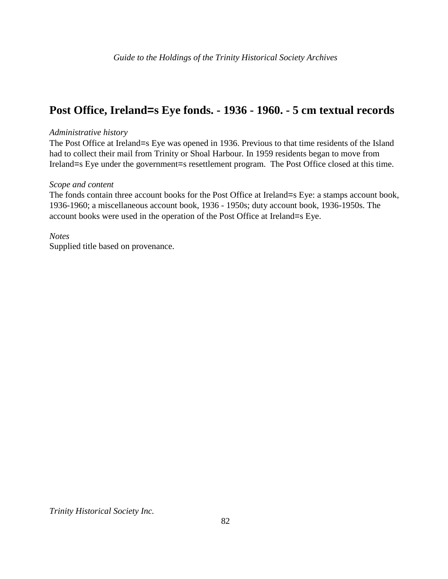# **Post Office, Ireland=s Eye fonds. - 1936 - 1960. - 5 cm textual records**

## *Administrative history*

The Post Office at Ireland=s Eye was opened in 1936. Previous to that time residents of the Island had to collect their mail from Trinity or Shoal Harbour*.* In 1959 residents began to move from Ireland=s Eye under the government=s resettlement program. The Post Office closed at this time.

## *Scope and content*

The fonds contain three account books for the Post Office at Ireland=s Eye: a stamps account book, 1936-1960; a miscellaneous account book, 1936 - 1950s; duty account book, 1936-1950s. The account books were used in the operation of the Post Office at Ireland=s Eye.

## *Notes*

Supplied title based on provenance.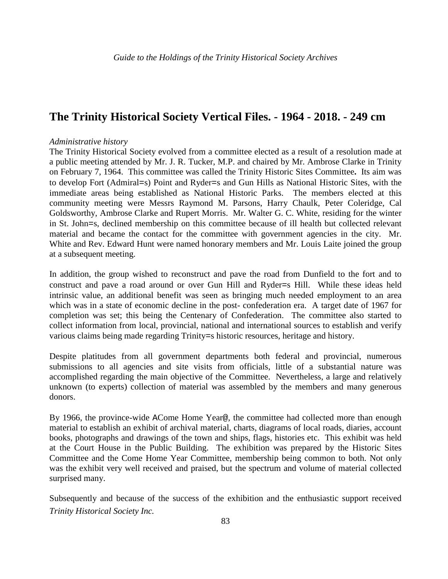## **The Trinity Historical Society Vertical Files. - 1964 - 2018. - 249 cm**

## *Administrative history*

The Trinity Historical Society evolved from a committee elected as a result of a resolution made at a public meeting attended by Mr. J. R. Tucker, M.P. and chaired by Mr. Ambrose Clarke in Trinity on February 7, 1964. This committee was called the Trinity Historic Sites Committee**.** Its aim was to develop Fort (Admiral=s) Point and Ryder=s and Gun Hills as National Historic Sites, with the immediate areas being established as National Historic Parks. The members elected at this community meeting were Messrs Raymond M. Parsons, Harry Chaulk, Peter Coleridge, Cal Goldsworthy, Ambrose Clarke and Rupert Morris. Mr. Walter G. C. White, residing for the winter in St. John=s, declined membership on this committee because of ill health but collected relevant material and became the contact for the committee with government agencies in the city. Mr. White and Rev. Edward Hunt were named honorary members and Mr. Louis Laite joined the group at a subsequent meeting.

In addition, the group wished to reconstruct and pave the road from Dunfield to the fort and to construct and pave a road around or over Gun Hill and Ryder=s Hill. While these ideas held intrinsic value, an additional benefit was seen as bringing much needed employment to an area which was in a state of economic decline in the post- confederation era. A target date of 1967 for completion was set; this being the Centenary of Confederation. The committee also started to collect information from local, provincial, national and international sources to establish and verify various claims being made regarding Trinity=s historic resources, heritage and history.

Despite platitudes from all government departments both federal and provincial, numerous submissions to all agencies and site visits from officials, little of a substantial nature was accomplished regarding the main objective of the Committee. Nevertheless, a large and relatively unknown (to experts) collection of material was assembled by the members and many generous donors.

By 1966, the province-wide ACome Home Year@, the committee had collected more than enough material to establish an exhibit of archival material, charts, diagrams of local roads, diaries, account books, photographs and drawings of the town and ships, flags, histories etc. This exhibit was held at the Court House in the Public Building. The exhibition was prepared by the Historic Sites Committee and the Come Home Year Committee, membership being common to both. Not only was the exhibit very well received and praised, but the spectrum and volume of material collected surprised many.

*Trinity Historical Society Inc.* Subsequently and because of the success of the exhibition and the enthusiastic support received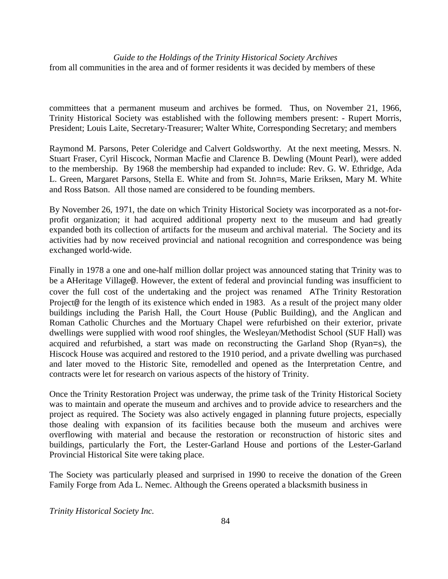*Guide to the Holdings of the Trinity Historical Society Archives* from all communities in the area and of former residents it was decided by members of these

committees that a permanent museum and archives be formed. Thus, on November 21, 1966, Trinity Historical Society was established with the following members present: - Rupert Morris, President; Louis Laite, Secretary-Treasurer; Walter White, Corresponding Secretary; and members

Raymond M. Parsons, Peter Coleridge and Calvert Goldsworthy. At the next meeting, Messrs. N. Stuart Fraser, Cyril Hiscock, Norman Macfie and Clarence B. Dewling (Mount Pearl), were added to the membership. By 1968 the membership had expanded to include: Rev. G. W. Ethridge, Ada L. Green, Margaret Parsons, Stella E. White and from St. John=s, Marie Eriksen, Mary M. White and Ross Batson. All those named are considered to be founding members.

By November 26, 1971, the date on which Trinity Historical Society was incorporated as a not-forprofit organization; it had acquired additional property next to the museum and had greatly expanded both its collection of artifacts for the museum and archival material. The Society and its activities had by now received provincial and national recognition and correspondence was being exchanged world-wide.

Finally in 1978 a one and one-half million dollar project was announced stating that Trinity was to be a AHeritage Village@. However, the extent of federal and provincial funding was insufficient to cover the full cost of the undertaking and the project was renamed AThe Trinity Restoration Project<sup>®</sup> for the length of its existence which ended in 1983. As a result of the project many older buildings including the Parish Hall, the Court House (Public Building), and the Anglican and Roman Catholic Churches and the Mortuary Chapel were refurbished on their exterior, private dwellings were supplied with wood roof shingles, the Wesleyan/Methodist School (SUF Hall) was acquired and refurbished, a start was made on reconstructing the Garland Shop (Ryan=s), the Hiscock House was acquired and restored to the 1910 period, and a private dwelling was purchased and later moved to the Historic Site, remodelled and opened as the Interpretation Centre, and contracts were let for research on various aspects of the history of Trinity.

Once the Trinity Restoration Project was underway, the prime task of the Trinity Historical Society was to maintain and operate the museum and archives and to provide advice to researchers and the project as required. The Society was also actively engaged in planning future projects, especially those dealing with expansion of its facilities because both the museum and archives were overflowing with material and because the restoration or reconstruction of historic sites and buildings, particularly the Fort, the Lester-Garland House and portions of the Lester-Garland Provincial Historical Site were taking place.

The Society was particularly pleased and surprised in 1990 to receive the donation of the Green Family Forge from Ada L. Nemec. Although the Greens operated a blacksmith business in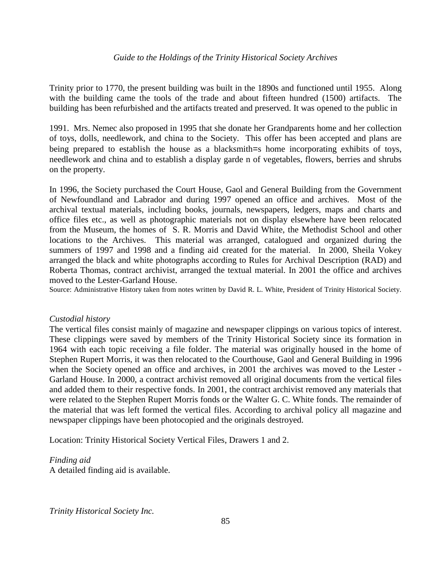#### *Guide to the Holdings of the Trinity Historical Society Archives*

Trinity prior to 1770, the present building was built in the 1890s and functioned until 1955. Along with the building came the tools of the trade and about fifteen hundred (1500) artifacts. The building has been refurbished and the artifacts treated and preserved. It was opened to the public in

1991. Mrs. Nemec also proposed in 1995 that she donate her Grandparents home and her collection of toys, dolls, needlework, and china to the Society. This offer has been accepted and plans are being prepared to establish the house as a blacksmith=s home incorporating exhibits of toys, needlework and china and to establish a display garde n of vegetables, flowers, berries and shrubs on the property.

In 1996, the Society purchased the Court House, Gaol and General Building from the Government of Newfoundland and Labrador and during 1997 opened an office and archives. Most of the archival textual materials, including books, journals, newspapers, ledgers, maps and charts and office files etc., as well as photographic materials not on display elsewhere have been relocated from the Museum, the homes of S. R. Morris and David White, the Methodist School and other locations to the Archives. This material was arranged, catalogued and organized during the summers of 1997 and 1998 and a finding aid created for the material. In 2000, Sheila Vokey arranged the black and white photographs according to Rules for Archival Description (RAD) and Roberta Thomas, contract archivist, arranged the textual material. In 2001 the office and archives moved to the Lester-Garland House.

Source: Administrative History taken from notes written by David R. L. White, President of Trinity Historical Society.

## *Custodial history*

The vertical files consist mainly of magazine and newspaper clippings on various topics of interest. These clippings were saved by members of the Trinity Historical Society since its formation in 1964 with each topic receiving a file folder. The material was originally housed in the home of Stephen Rupert Morris, it was then relocated to the Courthouse, Gaol and General Building in 1996 when the Society opened an office and archives, in 2001 the archives was moved to the Lester - Garland House. In 2000, a contract archivist removed all original documents from the vertical files and added them to their respective fonds. In 2001, the contract archivist removed any materials that were related to the Stephen Rupert Morris fonds or the Walter G. C. White fonds. The remainder of the material that was left formed the vertical files. According to archival policy all magazine and newspaper clippings have been photocopied and the originals destroyed.

Location: Trinity Historical Society Vertical Files, Drawers 1 and 2.

## *Finding aid*

A detailed finding aid is available.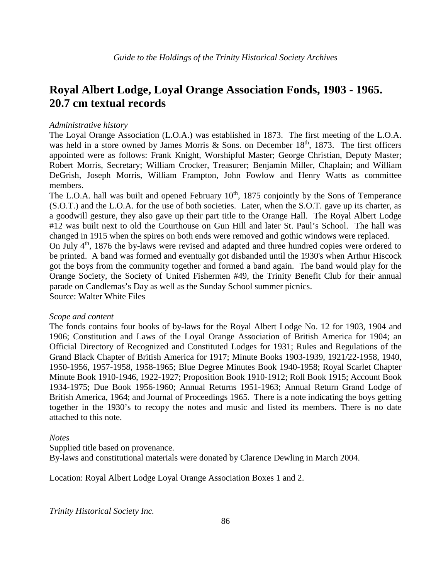## **Royal Albert Lodge, Loyal Orange Association Fonds, 1903 - 1965. 20.7 cm textual records**

#### *Administrative history*

The Loyal Orange Association (L.O.A.) was established in 1873. The first meeting of the L.O.A. was held in a store owned by James Morris & Sons. on December  $18<sup>th</sup>$ , 1873. The first officers appointed were as follows: Frank Knight, Worshipful Master; George Christian, Deputy Master; Robert Morris, Secretary; William Crocker, Treasurer; Benjamin Miller, Chaplain; and William DeGrish, Joseph Morris, William Frampton, John Fowlow and Henry Watts as committee members.

The L.O.A. hall was built and opened February  $10<sup>th</sup>$ , 1875 conjointly by the Sons of Temperance (S.O.T.) and the L.O.A. for the use of both societies. Later, when the S.O.T. gave up its charter, as a goodwill gesture, they also gave up their part title to the Orange Hall. The Royal Albert Lodge #12 was built next to old the Courthouse on Gun Hill and later St. Paul's School. The hall was changed in 1915 when the spires on both ends were removed and gothic windows were replaced.

On July  $4<sup>th</sup>$ , 1876 the by-laws were revised and adapted and three hundred copies were ordered to be printed. A band was formed and eventually got disbanded until the 1930's when Arthur Hiscock got the boys from the community together and formed a band again. The band would play for the Orange Society, the Society of United Fishermen #49, the Trinity Benefit Club for their annual parade on Candlemas's Day as well as the Sunday School summer picnics.

Source: Walter White Files

#### *Scope and content*

The fonds contains four books of by-laws for the Royal Albert Lodge No. 12 for 1903, 1904 and 1906; Constitution and Laws of the Loyal Orange Association of British America for 1904; an Official Directory of Recognized and Constituted Lodges for 1931; Rules and Regulations of the Grand Black Chapter of British America for 1917; Minute Books 1903-1939, 1921/22-1958, 1940, 1950-1956, 1957-1958, 1958-1965; Blue Degree Minutes Book 1940-1958; Royal Scarlet Chapter Minute Book 1910-1946, 1922-1927; Proposition Book 1910-1912; Roll Book 1915; Account Book 1934-1975; Due Book 1956-1960; Annual Returns 1951-1963; Annual Return Grand Lodge of British America, 1964; and Journal of Proceedings 1965. There is a note indicating the boys getting together in the 1930's to recopy the notes and music and listed its members. There is no date attached to this note.

#### *Notes*

Supplied title based on provenance. By-laws and constitutional materials were donated by Clarence Dewling in March 2004.

Location: Royal Albert Lodge Loyal Orange Association Boxes 1 and 2.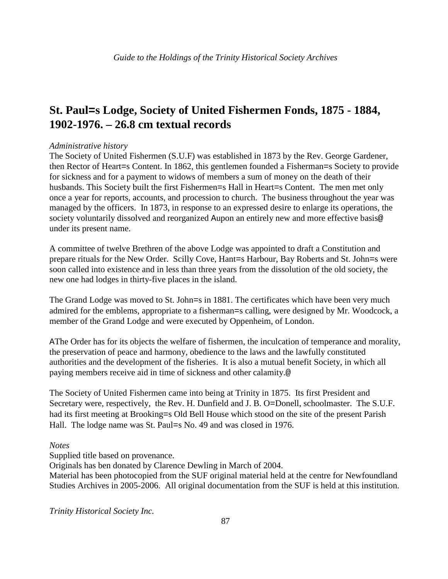# **St. Paul=s Lodge, Society of United Fishermen Fonds, 1875 - 1884, 1902-1976. – 26.8 cm textual records**

## *Administrative history*

The Society of United Fishermen (S.U.F) was established in 1873 by the Rev. George Gardener, then Rector of Heart=s Content. In 1862, this gentlemen founded a Fisherman=s Society to provide for sickness and for a payment to widows of members a sum of money on the death of their husbands. This Society built the first Fishermen=s Hall in Heart=s Content. The men met only once a year for reports, accounts, and procession to church. The business throughout the year was managed by the officers. In 1873, in response to an expressed desire to enlarge its operations, the society voluntarily dissolved and reorganized Aupon an entirely new and more effective basis@ under its present name.

A committee of twelve Brethren of the above Lodge was appointed to draft a Constitution and prepare rituals for the New Order. Scilly Cove, Hant=s Harbour, Bay Roberts and St. John=s were soon called into existence and in less than three years from the dissolution of the old society, the new one had lodges in thirty-five places in the island.

The Grand Lodge was moved to St. John=s in 1881. The certificates which have been very much admired for the emblems, appropriate to a fisherman=s calling, were designed by Mr. Woodcock, a member of the Grand Lodge and were executed by Oppenheim, of London.

AThe Order has for its objects the welfare of fishermen, the inculcation of temperance and morality, the preservation of peace and harmony, obedience to the laws and the lawfully constituted authorities and the development of the fisheries. It is also a mutual benefit Society, in which all paying members receive aid in time of sickness and other calamity.@

The Society of United Fishermen came into being at Trinity in 1875. Its first President and Secretary were, respectively, the Rev. H. Dunfield and J. B. O=Donell, schoolmaster. The S.U.F. had its first meeting at Brooking=s Old Bell House which stood on the site of the present Parish Hall. The lodge name was St. Paul=s No. 49 and was closed in 1976.

*Notes*

Supplied title based on provenance.

Originals has ben donated by Clarence Dewling in March of 2004.

Material has been photocopied from the SUF original material held at the centre for Newfoundland Studies Archives in 2005-2006. All original documentation from the SUF is held at this institution.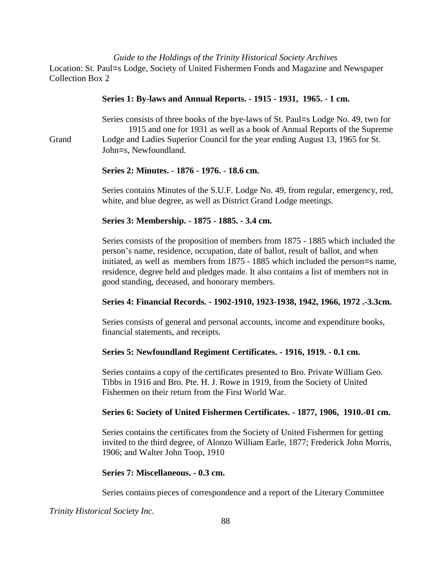*Guide to the Holdings of the Trinity Historical Society Archives* Location: St. Paul=s Lodge, Society of United Fishermen Fonds and Magazine and Newspaper Collection Box 2

#### **Series 1: By-laws and Annual Reports. - 1915 - 1931, 1965. - 1 cm.**

Series consists of three books of the bye-laws of St. Paul=s Lodge No. 49, two for 1915 and one for 1931 as well as a book of Annual Reports of the Supreme Grand Lodge and Ladies Superior Council for the year ending August 13, 1965 for St. John=s, Newfoundland.

## **Series 2: Minutes. - 1876 - 1976. - 18.6 cm.**

Series contains Minutes of the S.U.F. Lodge No. 49, from regular, emergency, red, white, and blue degree, as well as District Grand Lodge meetings.

## **Series 3: Membership. - 1875 - 1885. - 3.4 cm.**

Series consists of the proposition of members from 1875 - 1885 which included the person's name, residence, occupation, date of ballot, result of ballot, and when initiated, as well as members from 1875 - 1885 which included the person=s name, residence, degree held and pledges made. It also contains a list of members not in good standing, deceased, and honorary members.

#### **Series 4: Financial Records. - 1902-1910, 1923-1938, 1942, 1966, 1972 .-3.3cm.**

Series consists of general and personal accounts, income and expenditure books, financial statements, and receipts.

#### **Series 5: Newfoundland Regiment Certificates. - 1916, 1919. - 0.1 cm.**

Series contains a copy of the certificates presented to Bro. Private William Geo. Tibbs in 1916 and Bro. Pte. H. J. Rowe in 1919, from the Society of United Fishermen on their return from the First World War.

#### **Series 6: Society of United Fishermen Certificates. - 1877, 1906, 1910.-01 cm.**

Series contains the certificates from the Society of United Fishermen for getting invited to the third degree, of Alonzo William Earle, 1877; Frederick John Morris, 1906; and Walter John Toop, 1910

#### **Series 7: Miscellaneous. - 0.3 cm.**

Series contains pieces of correspondence and a report of the Literary Committee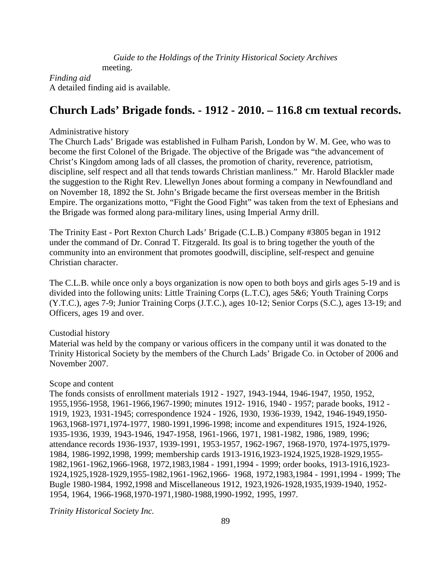*Guide to the Holdings of the Trinity Historical Society Archives* meeting.

## *Finding aid* A detailed finding aid is available.

## **Church Lads' Brigade fonds. - 1912 - 2010. – 116.8 cm textual records.**

## Administrative history

The Church Lads' Brigade was established in Fulham Parish, London by W. M. Gee, who was to become the first Colonel of the Brigade. The objective of the Brigade was "the advancement of Christ's Kingdom among lads of all classes, the promotion of charity, reverence, patriotism, discipline, self respect and all that tends towards Christian manliness." Mr. Harold Blackler made the suggestion to the Right Rev. Llewellyn Jones about forming a company in Newfoundland and on November 18, 1892 the St. John's Brigade became the first overseas member in the British Empire. The organizations motto, "Fight the Good Fight" was taken from the text of Ephesians and the Brigade was formed along para-military lines, using Imperial Army drill.

The Trinity East - Port Rexton Church Lads' Brigade (C.L.B.) Company #3805 began in 1912 under the command of Dr. Conrad T. Fitzgerald. Its goal is to bring together the youth of the community into an environment that promotes goodwill, discipline, self-respect and genuine Christian character.

The C.L.B. while once only a boys organization is now open to both boys and girls ages 5-19 and is divided into the following units: Little Training Corps (L.T.C), ages 5&6; Youth Training Corps (Y.T.C.), ages 7-9; Junior Training Corps (J.T.C.), ages 10-12; Senior Corps (S.C.), ages 13-19; and Officers, ages 19 and over.

## Custodial history

Material was held by the company or various officers in the company until it was donated to the Trinity Historical Society by the members of the Church Lads' Brigade Co. in October of 2006 and November 2007.

## Scope and content

The fonds consists of enrollment materials 1912 - 1927, 1943-1944, 1946-1947, 1950, 1952, 1955,1956-1958, 1961-1966,1967-1990; minutes 1912- 1916, 1940 - 1957; parade books, 1912 - 1919, 1923, 1931-1945; correspondence 1924 - 1926, 1930, 1936-1939, 1942, 1946-1949,1950- 1963,1968-1971,1974-1977, 1980-1991,1996-1998; income and expenditures 1915, 1924-1926, 1935-1936, 1939, 1943-1946, 1947-1958, 1961-1966, 1971, 1981-1982, 1986, 1989, 1996; attendance records 1936-1937, 1939-1991, 1953-1957, 1962-1967, 1968-1970, 1974-1975,1979- 1984, 1986-1992,1998, 1999; membership cards 1913-1916,1923-1924,1925,1928-1929,1955- 1982,1961-1962,1966-1968, 1972,1983,1984 - 1991,1994 - 1999; order books, 1913-1916,1923- 1924,1925,1928-1929,1955-1982,1961-1962,1966- 1968, 1972,1983,1984 - 1991,1994 - 1999; The Bugle 1980-1984, 1992,1998 and Miscellaneous 1912, 1923,1926-1928,1935,1939-1940, 1952- 1954, 1964, 1966-1968,1970-1971,1980-1988,1990-1992, 1995, 1997.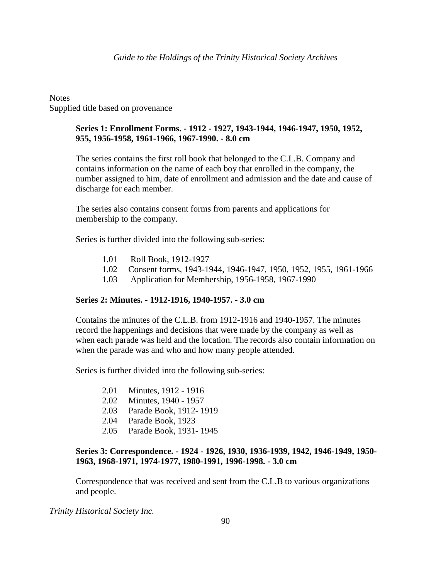**Notes** Supplied title based on provenance

## **Series 1: Enrollment Forms. - 1912 - 1927, 1943-1944, 1946-1947, 1950, 1952, 955, 1956-1958, 1961-1966, 1967-1990. - 8.0 cm**

The series contains the first roll book that belonged to the C.L.B. Company and contains information on the name of each boy that enrolled in the company, the number assigned to him, date of enrollment and admission and the date and cause of discharge for each member.

The series also contains consent forms from parents and applications for membership to the company.

Series is further divided into the following sub-series:

- 1.01 Roll Book, 1912-1927
- 1.02 Consent forms, 1943-1944, 1946-1947, 1950, 1952, 1955, 1961-1966
- 1.03 Application for Membership, 1956-1958, 1967-1990

## **Series 2: Minutes. - 1912-1916, 1940-1957. - 3.0 cm**

Contains the minutes of the C.L.B. from 1912-1916 and 1940-1957. The minutes record the happenings and decisions that were made by the company as well as when each parade was held and the location. The records also contain information on when the parade was and who and how many people attended.

Series is further divided into the following sub-series:

- 2.01 Minutes, 1912 1916
- 2.02 Minutes, 1940 1957
- 2.03 Parade Book, 1912- 1919
- 2.04 Parade Book, 1923
- 2.05 Parade Book, 1931- 1945

## **Series 3: Correspondence. - 1924 - 1926, 1930, 1936-1939, 1942, 1946-1949, 1950- 1963, 1968-1971, 1974-1977, 1980-1991, 1996-1998. - 3.0 cm**

Correspondence that was received and sent from the C.L.B to various organizations and people.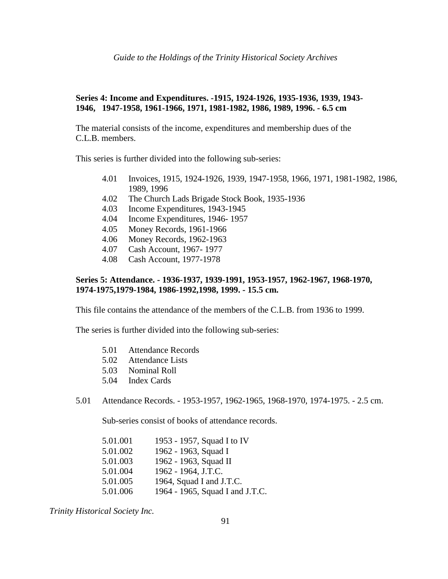*Guide to the Holdings of the Trinity Historical Society Archives*

## **Series 4: Income and Expenditures. -1915, 1924-1926, 1935-1936, 1939, 1943- 1946, 1947-1958, 1961-1966, 1971, 1981-1982, 1986, 1989, 1996. - 6.5 cm**

The material consists of the income, expenditures and membership dues of the C.L.B. members.

This series is further divided into the following sub-series:

- 4.01 Invoices, 1915, 1924-1926, 1939, 1947-1958, 1966, 1971, 1981-1982, 1986, 1989, 1996
- 4.02 The Church Lads Brigade Stock Book, 1935-1936
- 4.03 Income Expenditures, 1943-1945
- 4.04 Income Expenditures, 1946- 1957
- 4.05 Money Records, 1961-1966
- 4.06 Money Records, 1962-1963
- 4.07 Cash Account, 1967- 1977
- 4.08 Cash Account, 1977-1978

## **Series 5: Attendance. - 1936-1937, 1939-1991, 1953-1957, 1962-1967, 1968-1970, 1974-1975,1979-1984, 1986-1992,1998, 1999. - 15.5 cm.**

This file contains the attendance of the members of the C.L.B. from 1936 to 1999.

The series is further divided into the following sub-series:

- 5.01 Attendance Records
- 5.02 Attendance Lists
- 5.03 Nominal Roll
- 5.04 Index Cards
- 5.01 Attendance Records. 1953-1957, 1962-1965, 1968-1970, 1974-1975. 2.5 cm.

Sub-series consist of books of attendance records.

| 5.01.001 | 1953 - 1957, Squad I to IV      |
|----------|---------------------------------|
| 5.01.002 | 1962 - 1963, Squad I            |
| 5.01.003 | 1962 - 1963, Squad II           |
| 5.01.004 | 1962 - 1964, J.T.C.             |
| 5.01.005 | 1964, Squad I and J.T.C.        |
| 5.01.006 | 1964 - 1965, Squad I and J.T.C. |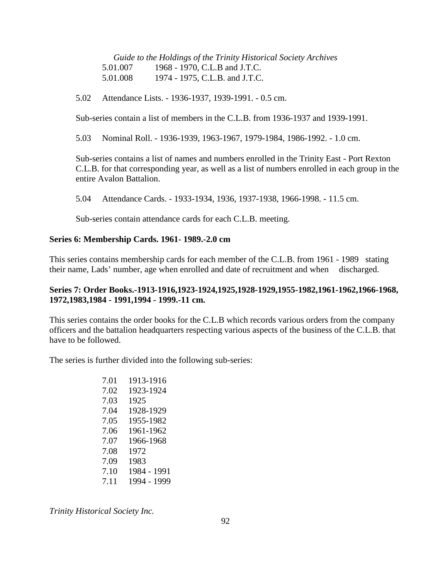|          | Guide to the Holdings of the Trinity Historical Society Archives |
|----------|------------------------------------------------------------------|
| 5.01.007 | 1968 - 1970, C.L.B and J.T.C.                                    |
| 5.01.008 | 1974 - 1975, C.L.B. and J.T.C.                                   |

5.02 Attendance Lists. - 1936-1937, 1939-1991. - 0.5 cm.

Sub-series contain a list of members in the C.L.B. from 1936-1937 and 1939-1991.

5.03 Nominal Roll. - 1936-1939, 1963-1967, 1979-1984, 1986-1992. - 1.0 cm.

Sub-series contains a list of names and numbers enrolled in the Trinity East - Port Rexton C.L.B. for that corresponding year, as well as a list of numbers enrolled in each group in the entire Avalon Battalion.

5.04 Attendance Cards. - 1933-1934, 1936, 1937-1938, 1966-1998. - 11.5 cm.

Sub-series contain attendance cards for each C.L.B. meeting.

## **Series 6: Membership Cards. 1961- 1989.-2.0 cm**

This series contains membership cards for each member of the C.L.B. from 1961 - 1989 stating their name, Lads' number, age when enrolled and date of recruitment and when discharged.

## **Series 7: Order Books.-1913-1916,1923-1924,1925,1928-1929,1955-1982,1961-1962,1966-1968, 1972,1983,1984 - 1991,1994 - 1999.-11 cm.**

This series contains the order books for the C.L.B which records various orders from the company officers and the battalion headquarters respecting various aspects of the business of the C.L.B. that have to be followed.

The series is further divided into the following sub-series:

| 7.01 | 1913-1916   |
|------|-------------|
| 7.02 | 1923-1924   |
| 7.03 | 1925        |
| 7.04 | 1928-1929   |
| 7.05 | 1955-1982   |
| 7.06 | 1961-1962   |
| 7.07 | 1966-1968   |
| 7.08 | 1972        |
| 7.09 | 1983        |
| 7.10 | 1984 - 1991 |
| 7.11 | 1994 - 1999 |
|      |             |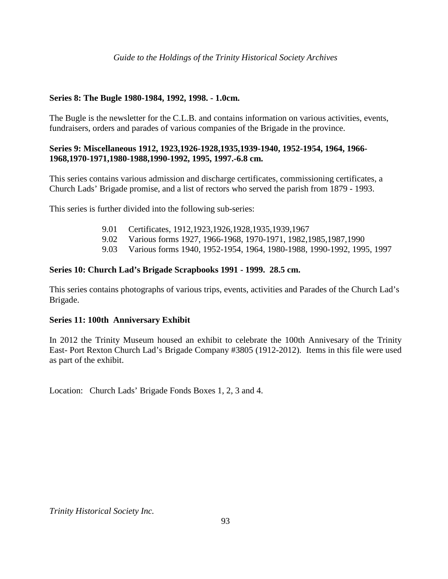## **Series 8: The Bugle 1980-1984, 1992, 1998. - 1.0cm.**

The Bugle is the newsletter for the C.L.B. and contains information on various activities, events, fundraisers, orders and parades of various companies of the Brigade in the province.

## **Series 9: Miscellaneous 1912, 1923,1926-1928,1935,1939-1940, 1952-1954, 1964, 1966- 1968,1970-1971,1980-1988,1990-1992, 1995, 1997.-6.8 cm.**

This series contains various admission and discharge certificates, commissioning certificates, a Church Lads' Brigade promise, and a list of rectors who served the parish from 1879 - 1993.

This series is further divided into the following sub-series:

- 9.01 Certificates, 1912,1923,1926,1928,1935,1939,1967
- 9.02 Various forms 1927, 1966-1968, 1970-1971, 1982,1985,1987,1990
- 9.03 Various forms 1940, 1952-1954, 1964, 1980-1988, 1990-1992, 1995, 1997

## **Series 10: Church Lad's Brigade Scrapbooks 1991 - 1999. 28.5 cm.**

This series contains photographs of various trips, events, activities and Parades of the Church Lad's Brigade.

## **Series 11: 100th Anniversary Exhibit**

In 2012 the Trinity Museum housed an exhibit to celebrate the 100th Annivesary of the Trinity East- Port Rexton Church Lad's Brigade Company #3805 (1912-2012). Items in this file were used as part of the exhibit.

Location: Church Lads' Brigade Fonds Boxes 1, 2, 3 and 4.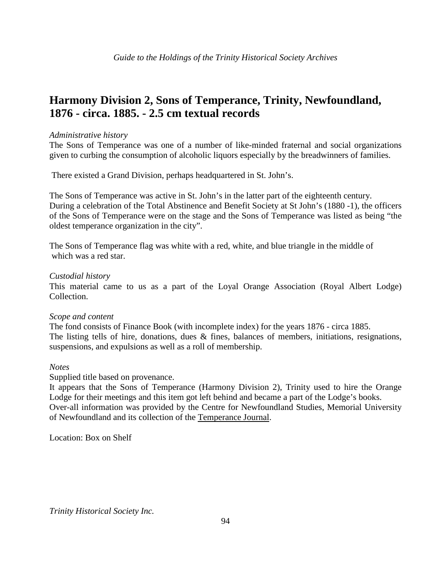# **Harmony Division 2, Sons of Temperance, Trinity, Newfoundland, 1876 - circa. 1885. - 2.5 cm textual records**

## *Administrative history*

The Sons of Temperance was one of a number of like-minded fraternal and social organizations given to curbing the consumption of alcoholic liquors especially by the breadwinners of families.

There existed a Grand Division, perhaps headquartered in St. John's.

The Sons of Temperance was active in St. John's in the latter part of the eighteenth century. During a celebration of the Total Abstinence and Benefit Society at St John's (1880 -1), the officers of the Sons of Temperance were on the stage and the Sons of Temperance was listed as being "the oldest temperance organization in the city".

The Sons of Temperance flag was white with a red, white, and blue triangle in the middle of which was a red star.

## *Custodial history*

This material came to us as a part of the Loyal Orange Association (Royal Albert Lodge) Collection.

## *Scope and content*

The fond consists of Finance Book (with incomplete index) for the years 1876 - circa 1885. The listing tells of hire, donations, dues & fines, balances of members, initiations, resignations, suspensions, and expulsions as well as a roll of membership.

## *Notes*

Supplied title based on provenance.

It appears that the Sons of Temperance (Harmony Division 2), Trinity used to hire the Orange Lodge for their meetings and this item got left behind and became a part of the Lodge's books. Over-all information was provided by the Centre for Newfoundland Studies, Memorial University of Newfoundland and its collection of the Temperance Journal.

Location: Box on Shelf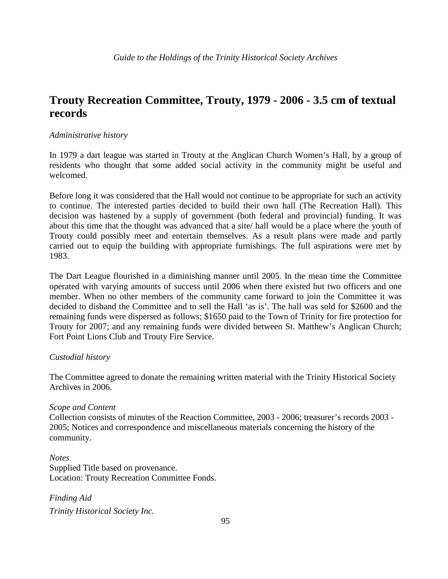# **Trouty Recreation Committee, Trouty, 1979 - 2006 - 3.5 cm of textual records**

## *Administrative history*

In 1979 a dart league was started in Trouty at the Anglican Church Women's Hall, by a group of residents who thought that some added social activity in the community might be useful and welcomed.

Before long it was considered that the Hall would not continue to be appropriate for such an activity to continue. The interested parties decided to build their own hall (The Recreation Hall). This decision was hastened by a supply of government (both federal and provincial) funding. It was about this time that the thought was advanced that a site/ hall would be a place where the youth of Trouty could possibly meet and entertain themselves. As a result plans were made and partly carried out to equip the building with appropriate furnishings. The full aspirations were met by 1983.

The Dart League flourished in a diminishing manner until 2005. In the mean time the Committee operated with varying amounts of success until 2006 when there existed but two officers and one member. When no other members of the community came forward to join the Committee it was decided to disband the Committee and to sell the Hall 'as is'. The hall was sold for \$2600 and the remaining funds were dispersed as follows; \$1650 paid to the Town of Trinity for fire protection for Trouty for 2007; and any remaining funds were divided between St. Matthew's Anglican Church; Fort Point Lions Club and Trouty Fire Service.

## *Custodial history*

The Committee agreed to donate the remaining written material with the Trinity Historical Society Archives in 2006.

## *Scope and Content*

Collection consists of minutes of the Reaction Committee, 2003 - 2006; treasurer's records 2003 - 2005; Notices and correspondence and miscellaneous materials concerning the history of the community.

*Notes* Supplied Title based on provenance. Location: Trouty Recreation Committee Fonds.

*Trinity Historical Society Inc. Finding Aid*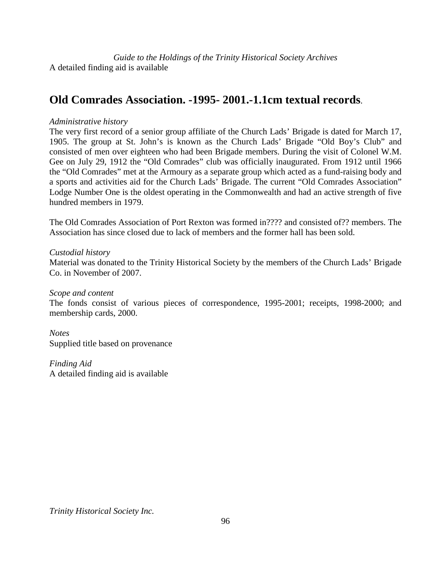*Guide to the Holdings of the Trinity Historical Society Archives* A detailed finding aid is available

## **Old Comrades Association. -1995- 2001.-1.1cm textual records**.

## *Administrative history*

The very first record of a senior group affiliate of the Church Lads' Brigade is dated for March 17, 1905. The group at St. John's is known as the Church Lads' Brigade "Old Boy's Club" and consisted of men over eighteen who had been Brigade members. During the visit of Colonel W.M. Gee on July 29, 1912 the "Old Comrades" club was officially inaugurated. From 1912 until 1966 the "Old Comrades" met at the Armoury as a separate group which acted as a fund-raising body and a sports and activities aid for the Church Lads' Brigade. The current "Old Comrades Association" Lodge Number One is the oldest operating in the Commonwealth and had an active strength of five hundred members in 1979.

The Old Comrades Association of Port Rexton was formed in???? and consisted of?? members. The Association has since closed due to lack of members and the former hall has been sold.

*Custodial history*

Material was donated to the Trinity Historical Society by the members of the Church Lads' Brigade Co. in November of 2007.

## *Scope and content*

The fonds consist of various pieces of correspondence, 1995-2001; receipts, 1998-2000; and membership cards, 2000.

## *Notes*

Supplied title based on provenance

## *Finding Aid*

A detailed finding aid is available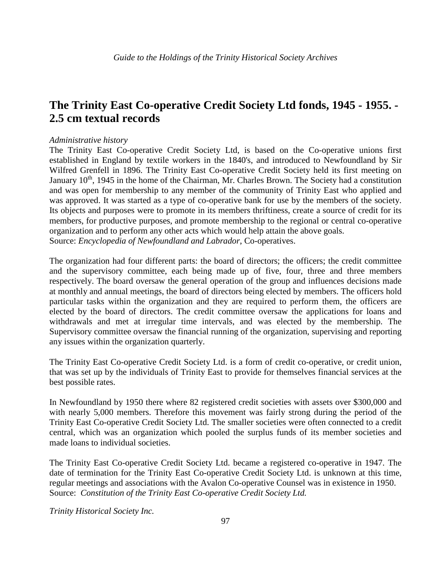## **The Trinity East Co-operative Credit Society Ltd fonds, 1945 - 1955. - 2.5 cm textual records**

## *Administrative history*

The Trinity East Co-operative Credit Society Ltd, is based on the Co-operative unions first established in England by textile workers in the 1840's, and introduced to Newfoundland by Sir Wilfred Grenfell in 1896. The Trinity East Co-operative Credit Society held its first meeting on January  $10<sup>th</sup>$ , 1945 in the home of the Chairman, Mr. Charles Brown. The Society had a constitution and was open for membership to any member of the community of Trinity East who applied and was approved. It was started as a type of co-operative bank for use by the members of the society. Its objects and purposes were to promote in its members thriftiness, create a source of credit for its members, for productive purposes, and promote membership to the regional or central co-operative organization and to perform any other acts which would help attain the above goals. Source: *Encyclopedia of Newfoundland and Labrador*, Co-operatives.

The organization had four different parts: the board of directors; the officers; the credit committee and the supervisory committee, each being made up of five, four, three and three members respectively. The board oversaw the general operation of the group and influences decisions made at monthly and annual meetings, the board of directors being elected by members. The officers hold particular tasks within the organization and they are required to perform them, the officers are elected by the board of directors. The credit committee oversaw the applications for loans and withdrawals and met at irregular time intervals, and was elected by the membership. The Supervisory committee oversaw the financial running of the organization, supervising and reporting any issues within the organization quarterly.

The Trinity East Co-operative Credit Society Ltd. is a form of credit co-operative, or credit union, that was set up by the individuals of Trinity East to provide for themselves financial services at the best possible rates.

In Newfoundland by 1950 there where 82 registered credit societies with assets over \$300,000 and with nearly 5,000 members. Therefore this movement was fairly strong during the period of the Trinity East Co-operative Credit Society Ltd. The smaller societies were often connected to a credit central, which was an organization which pooled the surplus funds of its member societies and made loans to individual societies.

The Trinity East Co-operative Credit Society Ltd. became a registered co-operative in 1947. The date of termination for the Trinity East Co-operative Credit Society Ltd. is unknown at this time, regular meetings and associations with the Avalon Co-operative Counsel was in existence in 1950. Source: *Constitution of the Trinity East Co-operative Credit Society Ltd.*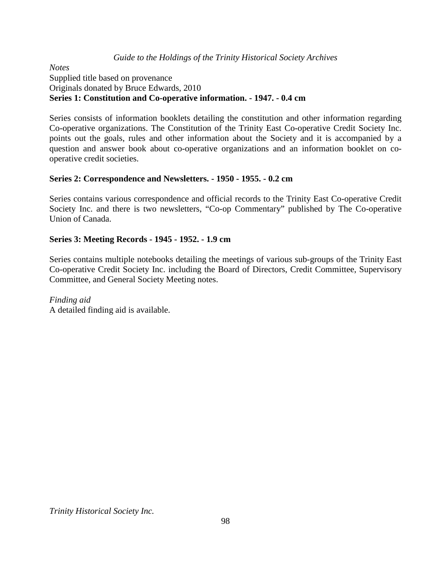*Guide to the Holdings of the Trinity Historical Society Archives*

*Notes* Supplied title based on provenance Originals donated by Bruce Edwards, 2010 **Series 1: Constitution and Co-operative information. - 1947. - 0.4 cm**

Series consists of information booklets detailing the constitution and other information regarding Co-operative organizations. The Constitution of the Trinity East Co-operative Credit Society Inc. points out the goals, rules and other information about the Society and it is accompanied by a question and answer book about co-operative organizations and an information booklet on cooperative credit societies.

## **Series 2: Correspondence and Newsletters. - 1950 - 1955. - 0.2 cm**

Series contains various correspondence and official records to the Trinity East Co-operative Credit Society Inc. and there is two newsletters, "Co-op Commentary" published by The Co-operative Union of Canada.

## **Series 3: Meeting Records - 1945 - 1952. - 1.9 cm**

Series contains multiple notebooks detailing the meetings of various sub-groups of the Trinity East Co-operative Credit Society Inc. including the Board of Directors, Credit Committee, Supervisory Committee, and General Society Meeting notes.

*Finding aid* A detailed finding aid is available.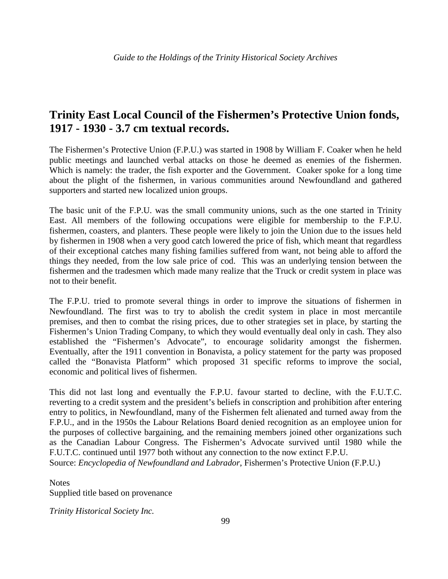## **Trinity East Local Council of the Fishermen's Protective Union fonds, 1917 - 1930 - 3.7 cm textual records.**

The Fishermen's Protective Union (F.P.U.) was started in 1908 by William F. Coaker when he held public meetings and launched verbal attacks on those he deemed as enemies of the fishermen. Which is namely: the trader, the fish exporter and the Government. Coaker spoke for a long time about the plight of the fishermen, in various communities around Newfoundland and gathered supporters and started new localized union groups.

The basic unit of the F.P.U. was the small community unions, such as the one started in Trinity East. All members of the following occupations were eligible for membership to the F.P.U. fishermen, coasters, and planters. These people were likely to join the Union due to the issues held by fishermen in 1908 when a very good catch lowered the price of fish, which meant that regardless of their exceptional catches many fishing families suffered from want, not being able to afford the things they needed, from the low sale price of cod. This was an underlying tension between the fishermen and the tradesmen which made many realize that the Truck or credit system in place was not to their benefit.

The F.P.U. tried to promote several things in order to improve the situations of fishermen in Newfoundland. The first was to try to abolish the credit system in place in most mercantile premises, and then to combat the rising prices, due to other strategies set in place, by starting the Fishermen's Union Trading Company, to which they would eventually deal only in cash. They also established the "Fishermen's Advocate", to encourage solidarity amongst the fishermen. Eventually, after the 1911 convention in Bonavista, a policy statement for the party was proposed called the "Bonavista Platform" which proposed 31 specific reforms to improve the social, economic and political lives of fishermen.

This did not last long and eventually the F.P.U. favour started to decline, with the F.U.T.C. reverting to a credit system and the president's beliefs in conscription and prohibition after entering entry to politics, in Newfoundland, many of the Fishermen felt alienated and turned away from the F.P.U., and in the 1950s the Labour Relations Board denied recognition as an employee union for the purposes of collective bargaining, and the remaining members joined other organizations such as the Canadian Labour Congress. The Fishermen's Advocate survived until 1980 while the F.U.T.C. continued until 1977 both without any connection to the now extinct F.P.U. Source: *Encyclopedia of Newfoundland and Labrador*, Fishermen's Protective Union (F.P.U.)

**Notes** Supplied title based on provenance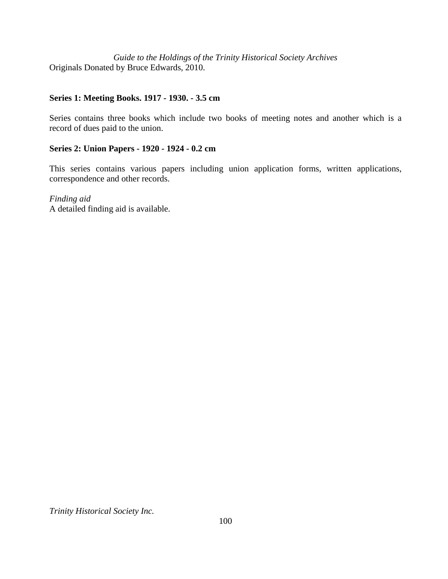*Guide to the Holdings of the Trinity Historical Society Archives* Originals Donated by Bruce Edwards, 2010.

## **Series 1: Meeting Books. 1917 - 1930. - 3.5 cm**

Series contains three books which include two books of meeting notes and another which is a record of dues paid to the union.

## **Series 2: Union Papers - 1920 - 1924 - 0.2 cm**

This series contains various papers including union application forms, written applications, correspondence and other records.

*Finding aid* A detailed finding aid is available.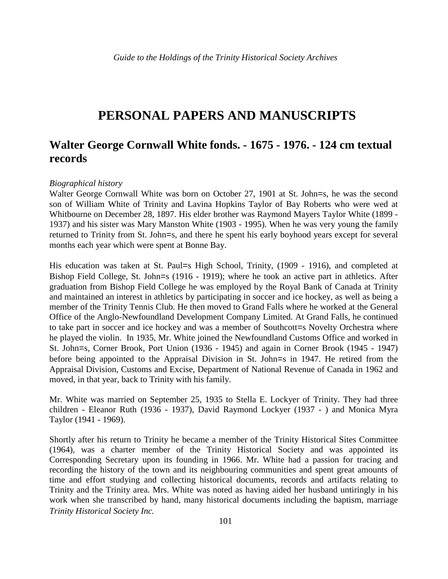## **PERSONAL PAPERS AND MANUSCRIPTS**

## **Walter George Cornwall White fonds. - 1675 - 1976. - 124 cm textual records**

#### *Biographical history*

Walter George Cornwall White was born on October 27, 1901 at St. John=s, he was the second son of William White of Trinity and Lavina Hopkins Taylor of Bay Roberts who were wed at Whitbourne on December 28, 1897. His elder brother was Raymond Mayers Taylor White (1899 - 1937) and his sister was Mary Manston White (1903 - 1995). When he was very young the family returned to Trinity from St. John=s, and there he spent his early boyhood years except for several months each year which were spent at Bonne Bay.

His education was taken at St. Paul=s High School, Trinity, (1909 - 1916), and completed at Bishop Field College, St. John=s (1916 - 1919); where he took an active part in athletics. After graduation from Bishop Field College he was employed by the Royal Bank of Canada at Trinity and maintained an interest in athletics by participating in soccer and ice hockey, as well as being a member of the Trinity Tennis Club. He then moved to Grand Falls where he worked at the General Office of the Anglo-Newfoundland Development Company Limited. At Grand Falls, he continued to take part in soccer and ice hockey and was a member of Southcott=s Novelty Orchestra where he played the violin. In 1935, Mr. White joined the Newfoundland Customs Office and worked in St. John=s, Corner Brook, Port Union (1936 - 1945) and again in Corner Brook (1945 - 1947) before being appointed to the Appraisal Division in St. John=s in 1947. He retired from the Appraisal Division, Customs and Excise, Department of National Revenue of Canada in 1962 and moved, in that year, back to Trinity with his family.

Mr. White was married on September 25, 1935 to Stella E. Lockyer of Trinity. They had three children - Eleanor Ruth (1936 - 1937), David Raymond Lockyer (1937 - ) and Monica Myra Taylor (1941 - 1969).

*Trinity Historical Society Inc.* Shortly after his return to Trinity he became a member of the Trinity Historical Sites Committee (1964), was a charter member of the Trinity Historical Society and was appointed its Corresponding Secretary upon its founding in 1966. Mr. White had a passion for tracing and recording the history of the town and its neighbouring communities and spent great amounts of time and effort studying and collecting historical documents, records and artifacts relating to Trinity and the Trinity area. Mrs. White was noted as having aided her husband untiringly in his work when she transcribed by hand, many historical documents including the baptism, marriage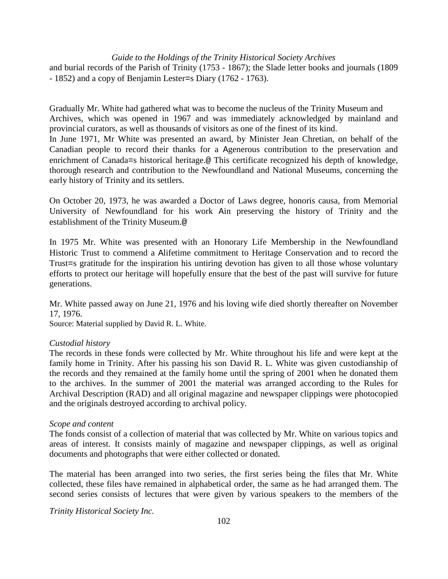## *Guide to the Holdings of the Trinity Historical Society Archives* and burial records of the Parish of Trinity (1753 - 1867); the Slade letter books and journals (1809 - 1852) and a copy of Benjamin Lester=s Diary (1762 - 1763).

Gradually Mr. White had gathered what was to become the nucleus of the Trinity Museum and Archives, which was opened in 1967 and was immediately acknowledged by mainland and provincial curators, as well as thousands of visitors as one of the finest of its kind. In June 1971, Mr White was presented an award, by Minister Jean Chretian, on behalf of the Canadian people to record their thanks for a Agenerous contribution to the preservation and enrichment of Canada=s historical heritage.@ This certificate recognized his depth of knowledge, thorough research and contribution to the Newfoundland and National Museums, concerning the early history of Trinity and its settlers.

On October 20, 1973, he was awarded a Doctor of Laws degree, honoris causa, from Memorial University of Newfoundland for his work Ain preserving the history of Trinity and the establishment of the Trinity Museum*.*@

In 1975 Mr. White was presented with an Honorary Life Membership in the Newfoundland Historic Trust to commend a Alifetime commitment to Heritage Conservation and to record the Trust=s gratitude for the inspiration his untiring devotion has given to all those whose voluntary efforts to protect our heritage will hopefully ensure that the best of the past will survive for future generations.

Mr. White passed away on June 21, 1976 and his loving wife died shortly thereafter on November 17, 1976.

Source: Material supplied by David R. L. White.

## *Custodial history*

The records in these fonds were collected by Mr. White throughout his life and were kept at the family home in Trinity. After his passing his son David R. L. White was given custodianship of the records and they remained at the family home until the spring of 2001 when he donated them to the archives. In the summer of 2001 the material was arranged according to the Rules for Archival Description (RAD) and all original magazine and newspaper clippings were photocopied and the originals destroyed according to archival policy.

## *Scope and content*

The fonds consist of a collection of material that was collected by Mr. White on various topics and areas of interest. It consists mainly of magazine and newspaper clippings, as well as original documents and photographs that were either collected or donated.

The material has been arranged into two series, the first series being the files that Mr. White collected, these files have remained in alphabetical order, the same as he had arranged them. The second series consists of lectures that were given by various speakers to the members of the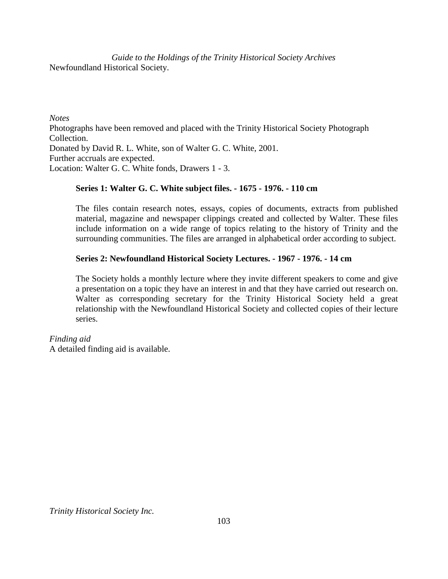*Guide to the Holdings of the Trinity Historical Society Archives* Newfoundland Historical Society.

*Notes* Photographs have been removed and placed with the Trinity Historical Society Photograph Collection. Donated by David R. L. White, son of Walter G. C. White, 2001. Further accruals are expected. Location: Walter G. C. White fonds, Drawers 1 - 3.

## **Series 1: Walter G. C. White subject files. - 1675 - 1976. - 110 cm**

The files contain research notes, essays, copies of documents, extracts from published material, magazine and newspaper clippings created and collected by Walter. These files include information on a wide range of topics relating to the history of Trinity and the surrounding communities. The files are arranged in alphabetical order according to subject.

## **Series 2: Newfoundland Historical Society Lectures. - 1967 - 1976. - 14 cm**

The Society holds a monthly lecture where they invite different speakers to come and give a presentation on a topic they have an interest in and that they have carried out research on. Walter as corresponding secretary for the Trinity Historical Society held a great relationship with the Newfoundland Historical Society and collected copies of their lecture series.

*Finding aid* A detailed finding aid is available.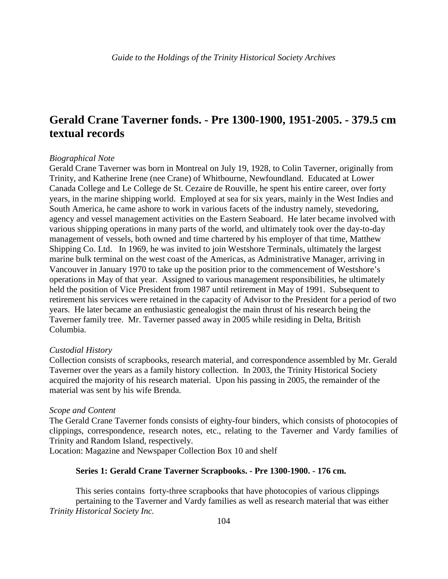## **Gerald Crane Taverner fonds. - Pre 1300-1900, 1951-2005. - 379.5 cm textual records**

#### *Biographical Note*

Gerald Crane Taverner was born in Montreal on July 19, 1928, to Colin Taverner, originally from Trinity, and Katherine Irene (nee Crane) of Whitbourne, Newfoundland. Educated at Lower Canada College and Le College de St. Cezaire de Rouville, he spent his entire career, over forty years, in the marine shipping world. Employed at sea for six years, mainly in the West Indies and South America, he came ashore to work in various facets of the industry namely, stevedoring, agency and vessel management activities on the Eastern Seaboard. He later became involved with various shipping operations in many parts of the world, and ultimately took over the day-to-day management of vessels, both owned and time chartered by his employer of that time, Matthew Shipping Co. Ltd. In 1969, he was invited to join Westshore Terminals, ultimately the largest marine bulk terminal on the west coast of the Americas, as Administrative Manager, arriving in Vancouver in January 1970 to take up the position prior to the commencement of Westshore's operations in May of that year. Assigned to various management responsibilities, he ultimately held the position of Vice President from 1987 until retirement in May of 1991. Subsequent to retirement his services were retained in the capacity of Advisor to the President for a period of two years. He later became an enthusiastic genealogist the main thrust of his research being the Taverner family tree. Mr. Taverner passed away in 2005 while residing in Delta, British Columbia.

#### *Custodial History*

Collection consists of scrapbooks, research material, and correspondence assembled by Mr. Gerald Taverner over the years as a family history collection. In 2003, the Trinity Historical Society acquired the majority of his research material. Upon his passing in 2005, the remainder of the material was sent by his wife Brenda.

## *Scope and Content*

The Gerald Crane Taverner fonds consists of eighty-four binders, which consists of photocopies of clippings, correspondence, research notes, etc., relating to the Taverner and Vardy families of Trinity and Random Island, respectively.

Location: Magazine and Newspaper Collection Box 10 and shelf

#### **Series 1: Gerald Crane Taverner Scrapbooks. - Pre 1300-1900. - 176 cm.**

*Trinity Historical Society Inc.* This series contains forty-three scrapbooks that have photocopies of various clippings pertaining to the Taverner and Vardy families as well as research material that was either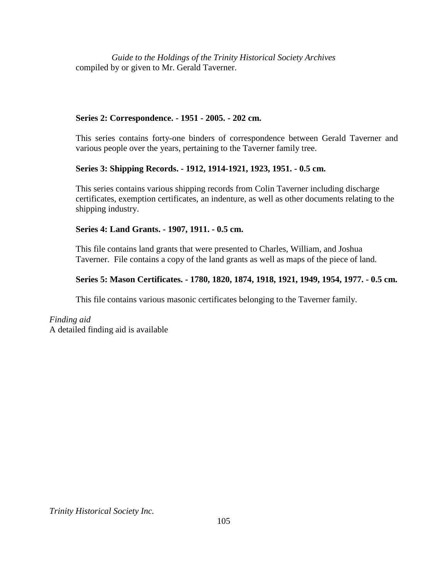*Guide to the Holdings of the Trinity Historical Society Archives* compiled by or given to Mr. Gerald Taverner.

## **Series 2: Correspondence. - 1951 - 2005. - 202 cm.**

This series contains forty-one binders of correspondence between Gerald Taverner and various people over the years, pertaining to the Taverner family tree.

## **Series 3: Shipping Records. - 1912, 1914-1921, 1923, 1951. - 0.5 cm.**

This series contains various shipping records from Colin Taverner including discharge certificates, exemption certificates, an indenture, as well as other documents relating to the shipping industry.

## **Series 4: Land Grants. - 1907, 1911. - 0.5 cm.**

This file contains land grants that were presented to Charles, William, and Joshua Taverner. File contains a copy of the land grants as well as maps of the piece of land.

## **Series 5: Mason Certificates. - 1780, 1820, 1874, 1918, 1921, 1949, 1954, 1977. - 0.5 cm.**

This file contains various masonic certificates belonging to the Taverner family.

*Finding aid* A detailed finding aid is available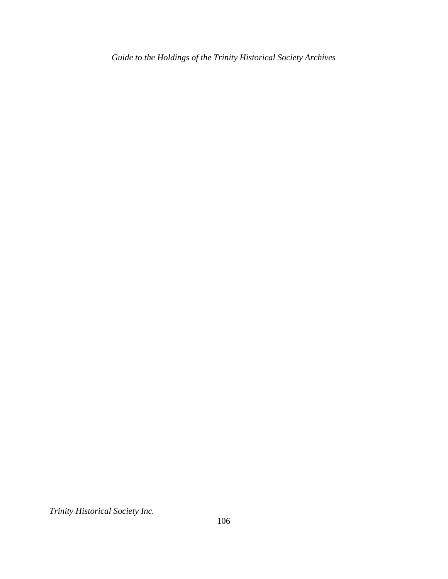*Guide to the Holdings of the Trinity Historical Society Archives*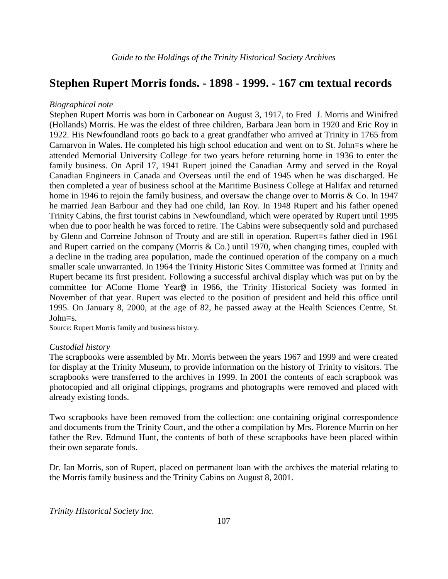## **Stephen Rupert Morris fonds. - 1898 - 1999. - 167 cm textual records**

#### *Biographical note*

Stephen Rupert Morris was born in Carbonear on August 3, 1917, to Fred J. Morris and Winifred (Hollands) Morris. He was the eldest of three children, Barbara Jean born in 1920 and Eric Roy in 1922. His Newfoundland roots go back to a great grandfather who arrived at Trinity in 1765 from Carnarvon in Wales. He completed his high school education and went on to St. John=s where he attended Memorial University College for two years before returning home in 1936 to enter the family business. On April 17, 1941 Rupert joined the Canadian Army and served in the Royal Canadian Engineers in Canada and Overseas until the end of 1945 when he was discharged. He then completed a year of business school at the Maritime Business College at Halifax and returned home in 1946 to rejoin the family business, and oversaw the change over to Morris & Co. In 1947 he married Jean Barbour and they had one child, Ian Roy. In 1948 Rupert and his father opened Trinity Cabins, the first tourist cabins in Newfoundland, which were operated by Rupert until 1995 when due to poor health he was forced to retire. The Cabins were subsequently sold and purchased by Glenn and Correine Johnson of Trouty and are still in operation. Rupert=s father died in 1961 and Rupert carried on the company (Morris  $& Co.$ ) until 1970, when changing times, coupled with a decline in the trading area population, made the continued operation of the company on a much smaller scale unwarranted. In 1964 the Trinity Historic Sites Committee was formed at Trinity and Rupert became its first president. Following a successful archival display which was put on by the committee for ACome Home Year@ in 1966, the Trinity Historical Society was formed in November of that year. Rupert was elected to the position of president and held this office until 1995. On January 8, 2000, at the age of 82, he passed away at the Health Sciences Centre, St. John=s.

Source: Rupert Morris family and business history*.*

#### *Custodial history*

The scrapbooks were assembled by Mr. Morris between the years 1967 and 1999 and were created for display at the Trinity Museum, to provide information on the history of Trinity to visitors. The scrapbooks were transferred to the archives in 1999. In 2001 the contents of each scrapbook was photocopied and all original clippings, programs and photographs were removed and placed with already existing fonds.

Two scrapbooks have been removed from the collection: one containing original correspondence and documents from the Trinity Court, and the other a compilation by Mrs. Florence Murrin on her father the Rev. Edmund Hunt, the contents of both of these scrapbooks have been placed within their own separate fonds.

Dr. Ian Morris, son of Rupert, placed on permanent loan with the archives the material relating to the Morris family business and the Trinity Cabins on August 8, 2001.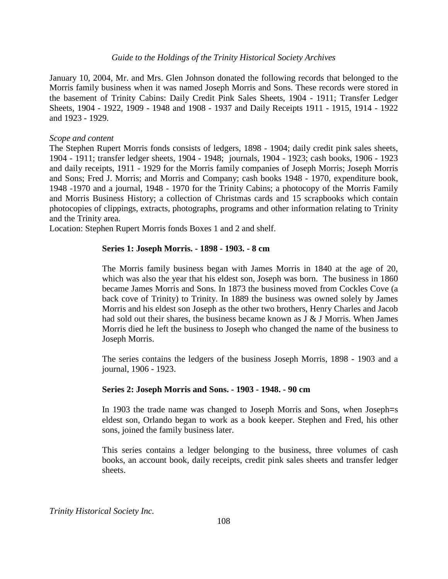#### *Guide to the Holdings of the Trinity Historical Society Archives*

January 10, 2004*,* Mr. and Mrs. Glen Johnson donated the following records that belonged to the Morris family business when it was named Joseph Morris and Sons. These records were stored in the basement of Trinity Cabins: Daily Credit Pink Sales Sheets, 1904 - 1911; Transfer Ledger Sheets, 1904 - 1922, 1909 - 1948 and 1908 - 1937 and Daily Receipts 1911 - 1915, 1914 - 1922 and 1923 - 1929.

#### *Scope and content*

The Stephen Rupert Morris fonds consists of ledgers, 1898 - 1904; daily credit pink sales sheets, 1904 - 1911; transfer ledger sheets, 1904 - 1948; journals, 1904 - 1923; cash books, 1906 - 1923 and daily receipts, 1911 - 1929 for the Morris family companies of Joseph Morris; Joseph Morris and Sons; Fred J. Morris; and Morris and Company; cash books 1948 - 1970, expenditure book, 1948 -1970 and a journal, 1948 - 1970 for the Trinity Cabins; a photocopy of the Morris Family and Morris Business History; a collection of Christmas cards and 15 scrapbooks which contain photocopies of clippings, extracts, photographs, programs and other information relating to Trinity and the Trinity area.

Location: Stephen Rupert Morris fonds Boxes 1 and 2 and shelf.

## **Series 1: Joseph Morris. - 1898 - 1903. - 8 cm**

The Morris family business began with James Morris in 1840 at the age of 20, which was also the year that his eldest son, Joseph was born. The business in 1860 became James Morris and Sons. In 1873 the business moved from Cockles Cove (a back cove of Trinity) to Trinity. In 1889 the business was owned solely by James Morris and his eldest son Joseph as the other two brothers, Henry Charles and Jacob had sold out their shares, the business became known as  $J \& J$  Morris. When James Morris died he left the business to Joseph who changed the name of the business to Joseph Morris.

The series contains the ledgers of the business Joseph Morris, 1898 - 1903 and a journal, 1906 - 1923.

## **Series 2: Joseph Morris and Sons. - 1903 - 1948. - 90 cm**

In 1903 the trade name was changed to Joseph Morris and Sons, when Joseph=s eldest son, Orlando began to work as a book keeper. Stephen and Fred, his other sons, joined the family business later.

This series contains a ledger belonging to the business, three volumes of cash books, an account book, daily receipts, credit pink sales sheets and transfer ledger sheets.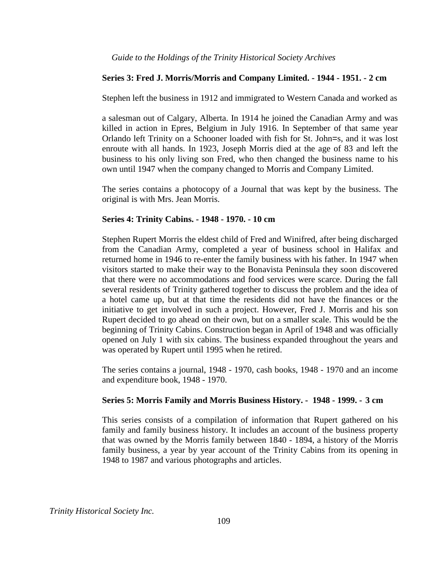### **Series 3: Fred J. Morris/Morris and Company Limited. - 1944 - 1951. - 2 cm**

Stephen left the business in 1912 and immigrated to Western Canada and worked as

a salesman out of Calgary, Alberta. In 1914 he joined the Canadian Army and was killed in action in Epres, Belgium in July 1916. In September of that same year Orlando left Trinity on a Schooner loaded with fish for St. John=s, and it was lost enroute with all hands. In 1923, Joseph Morris died at the age of 83 and left the business to his only living son Fred, who then changed the business name to his own until 1947 when the company changed to Morris and Company Limited.

The series contains a photocopy of a Journal that was kept by the business. The original is with Mrs. Jean Morris.

#### **Series 4: Trinity Cabins. - 1948 - 1970. - 10 cm**

Stephen Rupert Morris the eldest child of Fred and Winifred, after being discharged from the Canadian Army, completed a year of business school in Halifax and returned home in 1946 to re-enter the family business with his father. In 1947 when visitors started to make their way to the Bonavista Peninsula they soon discovered that there were no accommodations and food services were scarce. During the fall several residents of Trinity gathered together to discuss the problem and the idea of a hotel came up, but at that time the residents did not have the finances or the initiative to get involved in such a project. However, Fred J. Morris and his son Rupert decided to go ahead on their own, but on a smaller scale. This would be the beginning of Trinity Cabins. Construction began in April of 1948 and was officially opened on July 1 with six cabins. The business expanded throughout the years and was operated by Rupert until 1995 when he retired.

The series contains a journal, 1948 - 1970, cash books, 1948 - 1970 and an income and expenditure book, 1948 - 1970.

#### **Series 5: Morris Family and Morris Business History. - 1948 - 1999. - 3 cm**

This series consists of a compilation of information that Rupert gathered on his family and family business history. It includes an account of the business property that was owned by the Morris family between 1840 - 1894, a history of the Morris family business, a year by year account of the Trinity Cabins from its opening in 1948 to 1987 and various photographs and articles.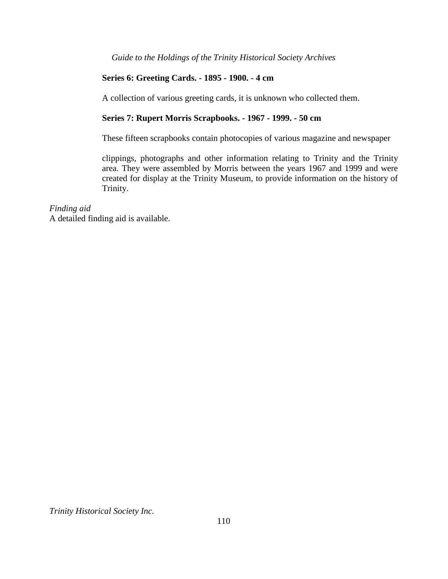# **Series 6: Greeting Cards. - 1895 - 1900. - 4 cm**

A collection of various greeting cards, it is unknown who collected them.

# **Series 7: Rupert Morris Scrapbooks. - 1967 - 1999. - 50 cm**

These fifteen scrapbooks contain photocopies of various magazine and newspaper

clippings, photographs and other information relating to Trinity and the Trinity area. They were assembled by Morris between the years 1967 and 1999 and were created for display at the Trinity Museum, to provide information on the history of Trinity.

### *Finding aid*

A detailed finding aid is available.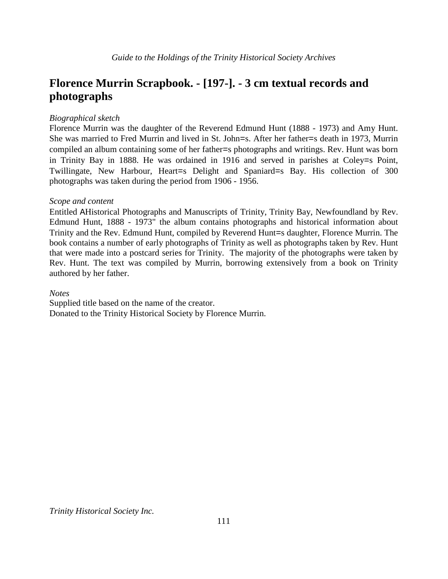# **Florence Murrin Scrapbook. - [197-]. - 3 cm textual records and photographs**

# *Biographical sketch*

Florence Murrin was the daughter of the Reverend Edmund Hunt (1888 - 1973) and Amy Hunt. She was married to Fred Murrin and lived in St. John=s. After her father=s death in 1973, Murrin compiled an album containing some of her father=s photographs and writings. Rev. Hunt was born in Trinity Bay in 1888. He was ordained in 1916 and served in parishes at Coley=s Point, Twillingate, New Harbour, Heart=s Delight and Spaniard=s Bay. His collection of 300 photographs was taken during the period from 1906 - 1956.

#### *Scope and content*

Entitled AHistorical Photographs and Manuscripts of Trinity, Trinity Bay, Newfoundland by Rev. Edmund Hunt, 1888 - 1973" the album contains photographs and historical information about Trinity and the Rev. Edmund Hunt, compiled by Reverend Hunt=s daughter, Florence Murrin. The book contains a number of early photographs of Trinity as well as photographs taken by Rev. Hunt that were made into a postcard series for Trinity. The majority of the photographs were taken by Rev. Hunt. The text was compiled by Murrin, borrowing extensively from a book on Trinity authored by her father.

#### *Notes*

Supplied title based on the name of the creator. Donated to the Trinity Historical Society by Florence Murrin.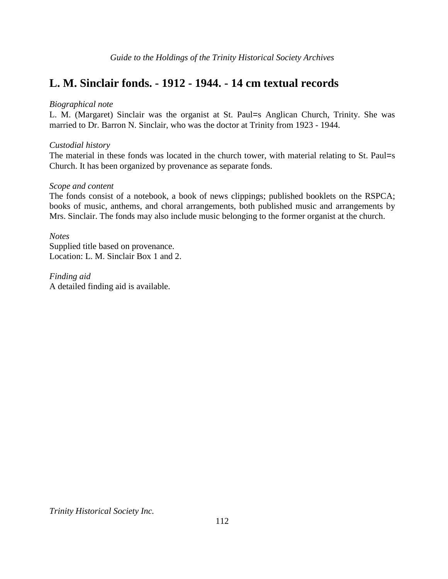# **L. M. Sinclair fonds. - 1912 - 1944. - 14 cm textual records**

# *Biographical note*

L. M. (Margaret) Sinclair was the organist at St. Paul=s Anglican Church, Trinity. She was married to Dr. Barron N. Sinclair, who was the doctor at Trinity from 1923 - 1944.

# *Custodial history*

The material in these fonds was located in the church tower, with material relating to St. Paul=s Church. It has been organized by provenance as separate fonds.

# *Scope and content*

The fonds consist of a notebook, a book of news clippings; published booklets on the RSPCA; books of music, anthems, and choral arrangements, both published music and arrangements by Mrs. Sinclair. The fonds may also include music belonging to the former organist at the church.

*Notes* Supplied title based on provenance. Location: L. M. Sinclair Box 1 and 2.

*Finding aid* A detailed finding aid is available.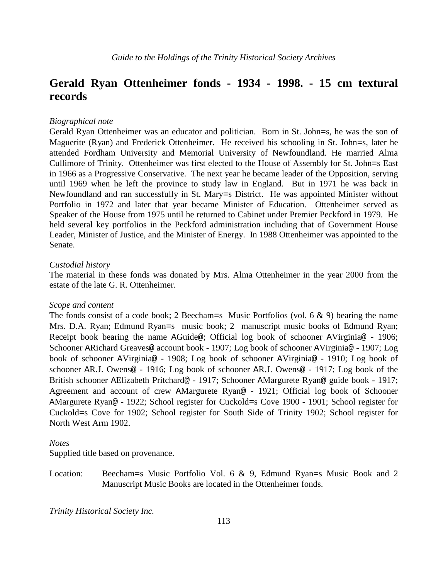# **Gerald Ryan Ottenheimer fonds - 1934 - 1998. - 15 cm textural records**

#### *Biographical note*

Gerald Ryan Ottenheimer was an educator and politician. Born in St. John=s, he was the son of Maguerite (Ryan) and Frederick Ottenheimer. He received his schooling in St. John=s, later he attended Fordham University and Memorial University of Newfoundland. He married Alma Cullimore of Trinity. Ottenheimer was first elected to the House of Assembly for St. John=s East in 1966 as a Progressive Conservative. The next year he became leader of the Opposition, serving until 1969 when he left the province to study law in England. But in 1971 he was back in Newfoundland and ran successfully in St. Mary=s District. He was appointed Minister without Portfolio in 1972 and later that year became Minister of Education. Ottenheimer served as Speaker of the House from 1975 until he returned to Cabinet under Premier Peckford in 1979. He held several key portfolios in the Peckford administration including that of Government House Leader, Minister of Justice, and the Minister of Energy. In 1988 Ottenheimer was appointed to the Senate.

#### *Custodial history*

The material in these fonds was donated by Mrs. Alma Ottenheimer in the year 2000 from the estate of the late G. R. Ottenheimer.

#### *Scope and content*

The fonds consist of a code book; 2 Beecham=s Music Portfolios (vol. 6  $\&$  9) bearing the name Mrs. D.A. Ryan; Edmund Ryan=s music book; 2 manuscript music books of Edmund Ryan; Receipt book bearing the name AGuide@; Official log book of schooner AVirginia@ - 1906; Schooner ARichard Greaves@ account book - 1907; Log book of schooner AVirginia@ - 1907; Log book of schooner AVirginia@ - 1908; Log book of schooner AVirginia@ - 1910; Log book of schooner AR.J. Owens@ - 1916; Log book of schooner AR.J. Owens@ - 1917; Log book of the British schooner AElizabeth Pritchard@ - 1917; Schooner AMargurete Ryan@ guide book - 1917; Agreement and account of crew AMargurete Ryan@ - 1921; Official log book of Schooner AMargurete Ryan@ - 1922; School register for Cuckold=s Cove 1900 - 1901; School register for Cuckold=s Cove for 1902; School register for South Side of Trinity 1902; School register for North West Arm 1902.

#### *Notes*

Supplied title based on provenance.

Location: Beecham=s Music Portfolio Vol. 6 & 9, Edmund Ryan=s Music Book and 2 Manuscript Music Books are located in the Ottenheimer fonds.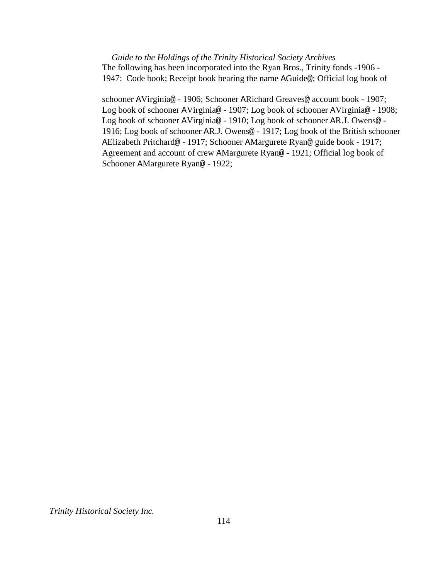*Guide to the Holdings of the Trinity Historical Society Archives* The following has been incorporated into the Ryan Bros., Trinity fonds -1906 - 1947: Code book; Receipt book bearing the name AGuide@; Official log book of

schooner AVirginia@ - 1906; Schooner ARichard Greaves@ account book - 1907; Log book of schooner AVirginia@ - 1907; Log book of schooner AVirginia@ - 1908; Log book of schooner AVirginia@ - 1910; Log book of schooner AR.J. Owens@ - 1916; Log book of schooner AR.J. Owens@ - 1917; Log book of the British schooner AElizabeth Pritchard@ - 1917; Schooner AMargurete Ryan@ guide book - 1917; Agreement and account of crew AMargurete Ryan@ - 1921; Official log book of Schooner AMargurete Ryan@ - 1922;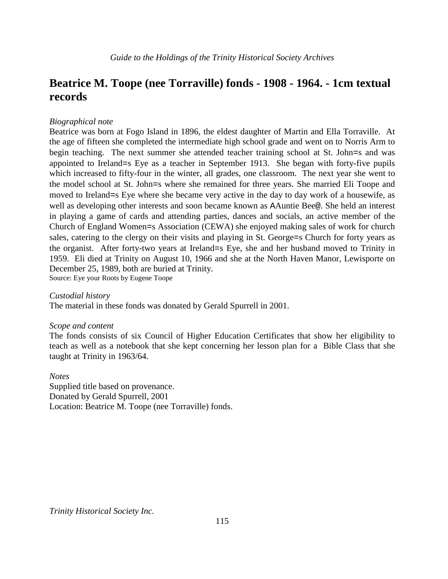# **Beatrice M. Toope (nee Torraville) fonds - 1908 - 1964. - 1cm textual records**

#### *Biographical note*

Beatrice was born at Fogo Island in 1896, the eldest daughter of Martin and Ella Torraville. At the age of fifteen she completed the intermediate high school grade and went on to Norris Arm to begin teaching. The next summer she attended teacher training school at St. John=s and was appointed to Ireland=s Eye as a teacher in September 1913. She began with forty-five pupils which increased to fifty-four in the winter, all grades, one classroom. The next year she went to the model school at St. John=s where she remained for three years. She married Eli Toope and moved to Ireland=s Eye where she became very active in the day to day work of a housewife, as well as developing other interests and soon became known as AAuntie Bee@. She held an interest in playing a game of cards and attending parties, dances and socials, an active member of the Church of England Women=s Association (CEWA) she enjoyed making sales of work for church sales, catering to the clergy on their visits and playing in St. George=s Church for forty years as the organist. After forty-two years at Ireland=s Eye, she and her husband moved to Trinity in 1959. Eli died at Trinity on August 10, 1966 and she at the North Haven Manor, Lewisporte on December 25, 1989, both are buried at Trinity. Source: Eye your Roots by Eugene Toope

*Custodial history*

The material in these fonds was donated by Gerald Spurrell in 2001.

#### *Scope and content*

The fonds consists of six Council of Higher Education Certificates that show her eligibility to teach as well as a notebook that she kept concerning her lesson plan for a Bible Class that she taught at Trinity in 1963/64.

*Notes* Supplied title based on provenance. Donated by Gerald Spurrell, 2001 Location: Beatrice M. Toope (nee Torraville) fonds.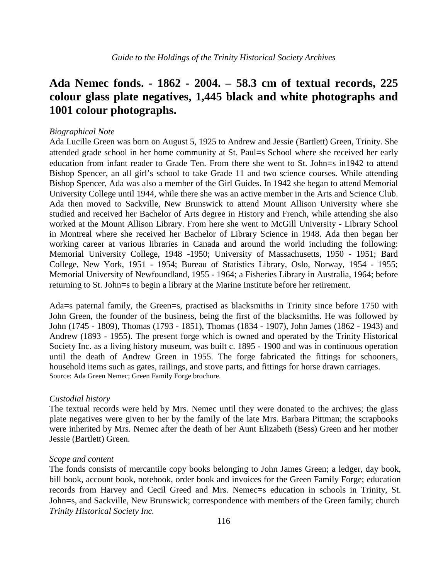# **Ada Nemec fonds. - 1862 - 2004. – 58.3 cm of textual records, 225 colour glass plate negatives, 1,445 black and white photographs and 1001 colour photographs.**

#### *Biographical Note*

Ada Lucille Green was born on August 5, 1925 to Andrew and Jessie (Bartlett) Green, Trinity. She attended grade school in her home community at St. Paul=s School where she received her early education from infant reader to Grade Ten. From there she went to St. John=s in1942 to attend Bishop Spencer, an all girl's school to take Grade 11 and two science courses. While attending Bishop Spencer, Ada was also a member of the Girl Guides. In 1942 she began to attend Memorial University College until 1944, while there she was an active member in the Arts and Science Club. Ada then moved to Sackville, New Brunswick to attend Mount Allison University where she studied and received her Bachelor of Arts degree in History and French, while attending she also worked at the Mount Allison Library. From here she went to McGill University - Library School in Montreal where she received her Bachelor of Library Science in 1948. Ada then began her working career at various libraries in Canada and around the world including the following: Memorial University College, 1948 -1950; University of Massachusetts, 1950 - 1951; Bard College, New York, 1951 - 1954; Bureau of Statistics Library, Oslo, Norway, 1954 - 1955; Memorial University of Newfoundland, 1955 - 1964; a Fisheries Library in Australia, 1964; before returning to St. John=s to begin a library at the Marine Institute before her retirement.

Ada=s paternal family, the Green=s, practised as blacksmiths in Trinity since before 1750 with John Green, the founder of the business, being the first of the blacksmiths. He was followed by John (1745 - 1809), Thomas (1793 - 1851), Thomas (1834 - 1907), John James (1862 - 1943) and Andrew (1893 - 1955). The present forge which is owned and operated by the Trinity Historical Society Inc. as a living history museum, was built c. 1895 - 1900 and was in continuous operation until the death of Andrew Green in 1955. The forge fabricated the fittings for schooners, household items such as gates, railings, and stove parts, and fittings for horse drawn carriages. Source: Ada Green Nemec; Green Family Forge brochure.

#### *Custodial history*

The textual records were held by Mrs. Nemec until they were donated to the archives; the glass plate negatives were given to her by the family of the late Mrs. Barbara Pittman; the scrapbooks were inherited by Mrs. Nemec after the death of her Aunt Elizabeth (Bess) Green and her mother Jessie (Bartlett) Green.

#### *Scope and content*

*Trinity Historical Society Inc.* The fonds consists of mercantile copy books belonging to John James Green; a ledger, day book, bill book, account book, notebook, order book and invoices for the Green Family Forge; education records from Harvey and Cecil Greed and Mrs. Nemec=s education in schools in Trinity, St. John=s, and Sackville, New Brunswick; correspondence with members of the Green family; church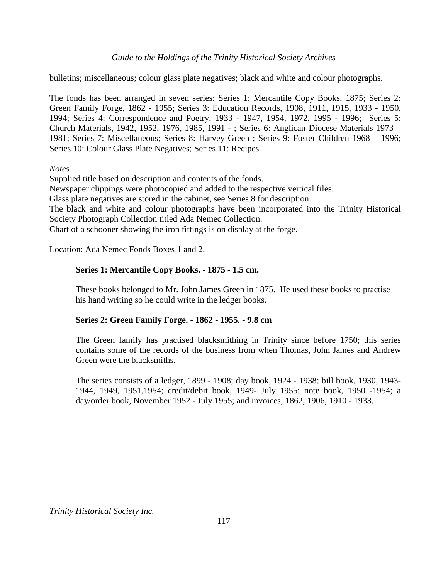bulletins; miscellaneous; colour glass plate negatives; black and white and colour photographs.

The fonds has been arranged in seven series: Series 1: Mercantile Copy Books, 1875; Series 2: Green Family Forge, 1862 - 1955; Series 3: Education Records, 1908, 1911, 1915, 1933 - 1950, 1994; Series 4: Correspondence and Poetry, 1933 - 1947, 1954, 1972, 1995 - 1996; Series 5: Church Materials, 1942, 1952, 1976, 1985, 1991 - ; Series 6: Anglican Diocese Materials 1973 – 1981; Series 7: Miscellaneous; Series 8: Harvey Green ; Series 9: Foster Children 1968 – 1996; Series 10: Colour Glass Plate Negatives; Series 11: Recipes.

*Notes*

Supplied title based on description and contents of the fonds. Newspaper clippings were photocopied and added to the respective vertical files. Glass plate negatives are stored in the cabinet, see Series 8 for description. The black and white and colour photographs have been incorporated into the Trinity Historical Society Photograph Collection titled Ada Nemec Collection. Chart of a schooner showing the iron fittings is on display at the forge.

Location: Ada Nemec Fonds Boxes 1 and 2.

# **Series 1: Mercantile Copy Books. - 1875 - 1.5 cm.**

These books belonged to Mr. John James Green in 1875. He used these books to practise his hand writing so he could write in the ledger books.

# **Series 2: Green Family Forge. - 1862 - 1955. - 9.8 cm**

The Green family has practised blacksmithing in Trinity since before 1750; this series contains some of the records of the business from when Thomas, John James and Andrew Green were the blacksmiths.

The series consists of a ledger, 1899 - 1908; day book, 1924 - 1938; bill book, 1930, 1943- 1944, 1949, 1951,1954; credit/debit book, 1949- July 1955; note book, 1950 -1954; a day/order book, November 1952 - July 1955; and invoices, 1862, 1906, 1910 - 1933.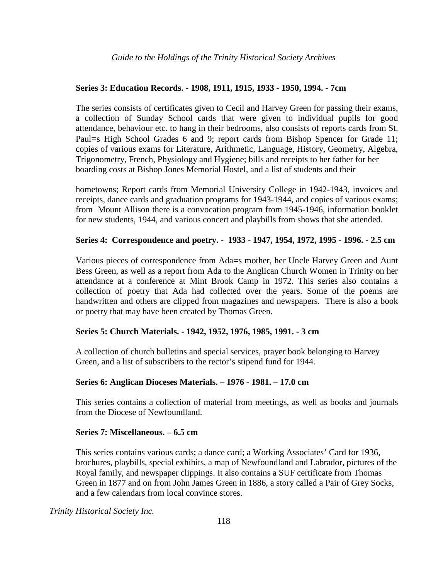# **Series 3: Education Records. - 1908, 1911, 1915, 1933 - 1950, 1994. - 7cm**

The series consists of certificates given to Cecil and Harvey Green for passing their exams, a collection of Sunday School cards that were given to individual pupils for good attendance, behaviour etc. to hang in their bedrooms, also consists of reports cards from St. Paul=s High School Grades 6 and 9; report cards from Bishop Spencer for Grade 11; copies of various exams for Literature, Arithmetic, Language, History, Geometry, Algebra, Trigonometry, French, Physiology and Hygiene; bills and receipts to her father for her boarding costs at Bishop Jones Memorial Hostel, and a list of students and their

hometowns; Report cards from Memorial University College in 1942-1943, invoices and receipts, dance cards and graduation programs for 1943-1944, and copies of various exams; from Mount Allison there is a convocation program from 1945-1946, information booklet for new students, 1944, and various concert and playbills from shows that she attended.

# **Series 4: Correspondence and poetry. - 1933 - 1947, 1954, 1972, 1995 - 1996. - 2.5 cm**

Various pieces of correspondence from Ada=s mother, her Uncle Harvey Green and Aunt Bess Green, as well as a report from Ada to the Anglican Church Women in Trinity on her attendance at a conference at Mint Brook Camp in 1972. This series also contains a collection of poetry that Ada had collected over the years. Some of the poems are handwritten and others are clipped from magazines and newspapers. There is also a book or poetry that may have been created by Thomas Green.

# **Series 5: Church Materials. - 1942, 1952, 1976, 1985, 1991. - 3 cm**

A collection of church bulletins and special services, prayer book belonging to Harvey Green, and a list of subscribers to the rector's stipend fund for 1944.

# **Series 6: Anglican Dioceses Materials. – 1976 - 1981. – 17.0 cm**

This series contains a collection of material from meetings, as well as books and journals from the Diocese of Newfoundland.

# **Series 7: Miscellaneous. – 6.5 cm**

This series contains various cards; a dance card; a Working Associates' Card for 1936, brochures, playbills, special exhibits, a map of Newfoundland and Labrador, pictures of the Royal family, and newspaper clippings. It also contains a SUF certificate from Thomas Green in 1877 and on from John James Green in 1886, a story called a Pair of Grey Socks, and a few calendars from local convince stores.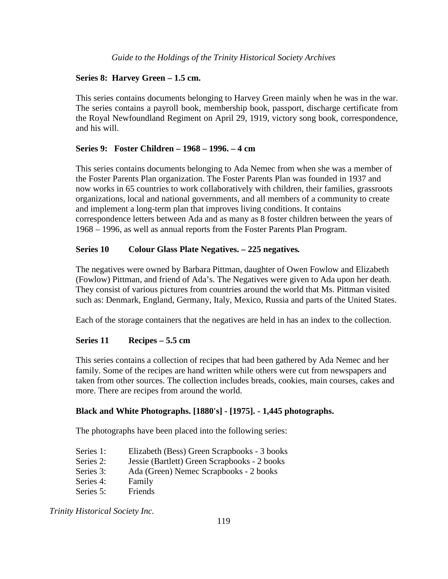# **Series 8: Harvey Green – 1.5 cm.**

This series contains documents belonging to Harvey Green mainly when he was in the war. The series contains a payroll book, membership book, passport, discharge certificate from the Royal Newfoundland Regiment on April 29, 1919, victory song book, correspondence, and his will.

# **Series 9: Foster Children – 1968 – 1996. – 4 cm**

This series contains documents belonging to Ada Nemec from when she was a member of the Foster Parents Plan organization. The Foster Parents Plan was founded in 1937 and now works in 65 countries to work collaboratively with children, their families, grassroots organizations, local and national governments, and all members of a community to create and implement a long-term plan that improves living conditions. It contains correspondence letters between Ada and as many as 8 foster children between the years of 1968 – 1996, as well as annual reports from the Foster Parents Plan Program.

# **Series 10 Colour Glass Plate Negatives. – 225 negatives***.*

The negatives were owned by Barbara Pittman, daughter of Owen Fowlow and Elizabeth (Fowlow) Pittman, and friend of Ada's. The Negatives were given to Ada upon her death. They consist of various pictures from countries around the world that Ms. Pittman visited such as: Denmark, England, Germany, Italy, Mexico, Russia and parts of the United States.

Each of the storage containers that the negatives are held in has an index to the collection.

# **Series 11 Recipes – 5.5 cm**

This series contains a collection of recipes that had been gathered by Ada Nemec and her family. Some of the recipes are hand written while others were cut from newspapers and taken from other sources. The collection includes breads, cookies, main courses, cakes and more. There are recipes from around the world.

# **Black and White Photographs. [1880's] - [1975]. - 1,445 photographs.**

The photographs have been placed into the following series:

- Series 1: Elizabeth (Bess) Green Scrapbooks 3 books
- Series 2: Jessie (Bartlett) Green Scrapbooks 2 books
- Series 3: Ada (Green) Nemec Scrapbooks 2 books
- Series 4: Family
- Series 5: Friends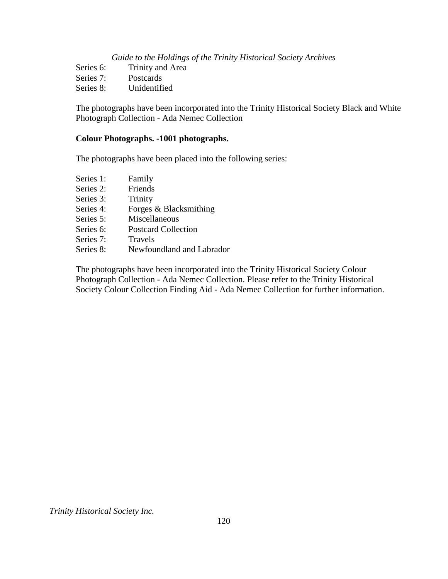- Series 6: Trinity and Area
- Series 7: Postcards
- Series 8: Unidentified

The photographs have been incorporated into the Trinity Historical Society Black and White Photograph Collection - Ada Nemec Collection

## **Colour Photographs. -1001 photographs.**

The photographs have been placed into the following series:

| Series 1: | Family                     |
|-----------|----------------------------|
| Series 2: | Friends                    |
| Series 3: | Trinity                    |
| Series 4: | Forges & Blacksmithing     |
| Series 5: | Miscellaneous              |
| Series 6: | <b>Postcard Collection</b> |
| Series 7: | Travels                    |
| Series 8: | Newfoundland and Labrador  |

The photographs have been incorporated into the Trinity Historical Society Colour Photograph Collection - Ada Nemec Collection. Please refer to the Trinity Historical Society Colour Collection Finding Aid - Ada Nemec Collection for further information.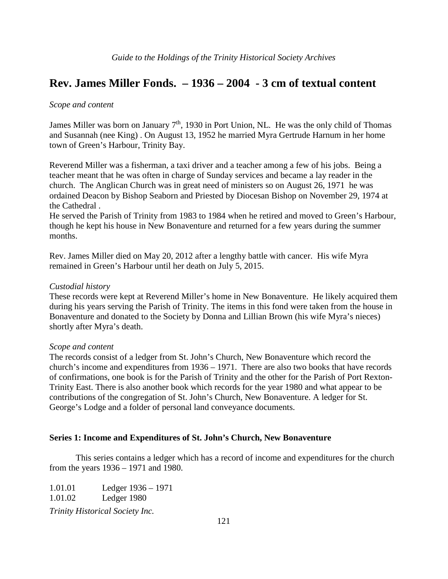# **Rev. James Miller Fonds. – 1936 – 2004 - 3 cm of textual content**

#### *Scope and content*

James Miller was born on January  $7<sup>th</sup>$ , 1930 in Port Union, NL. He was the only child of Thomas and Susannah (nee King) . On August 13, 1952 he married Myra Gertrude Harnum in her home town of Green's Harbour, Trinity Bay.

Reverend Miller was a fisherman, a taxi driver and a teacher among a few of his jobs. Being a teacher meant that he was often in charge of Sunday services and became a lay reader in the church. The Anglican Church was in great need of ministers so on August 26, 1971 he was ordained Deacon by Bishop Seaborn and Priested by Diocesan Bishop on November 29, 1974 at the Cathedral .

He served the Parish of Trinity from 1983 to 1984 when he retired and moved to Green's Harbour, though he kept his house in New Bonaventure and returned for a few years during the summer months.

Rev. James Miller died on May 20, 2012 after a lengthy battle with cancer. His wife Myra remained in Green's Harbour until her death on July 5, 2015.

#### *Custodial history*

These records were kept at Reverend Miller's home in New Bonaventure. He likely acquired them during his years serving the Parish of Trinity. The items in this fond were taken from the house in Bonaventure and donated to the Society by Donna and Lillian Brown (his wife Myra's nieces) shortly after Myra's death.

#### *Scope and content*

The records consist of a ledger from St. John's Church, New Bonaventure which record the church's income and expenditures from 1936 – 1971. There are also two books that have records of confirmations, one book is for the Parish of Trinity and the other for the Parish of Port Rexton-Trinity East. There is also another book which records for the year 1980 and what appear to be contributions of the congregation of St. John's Church, New Bonaventure. A ledger for St. George's Lodge and a folder of personal land conveyance documents.

#### **Series 1: Income and Expenditures of St. John's Church, New Bonaventure**

This series contains a ledger which has a record of income and expenditures for the church from the years 1936 – 1971 and 1980.

1.01.01 Ledger 1936 – 1971 1.01.02 Ledger 1980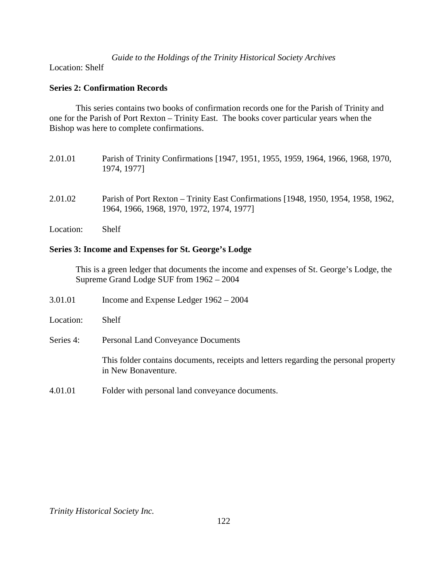Location: Shelf

# **Series 2: Confirmation Records**

This series contains two books of confirmation records one for the Parish of Trinity and one for the Parish of Port Rexton – Trinity East. The books cover particular years when the Bishop was here to complete confirmations.

| 2.01.01   | Parish of Trinity Confirmations [1947, 1951, 1955, 1959, 1964, 1966, 1968, 1970,<br>1974, 1977]                                |
|-----------|--------------------------------------------------------------------------------------------------------------------------------|
| 2.01.02   | Parish of Port Rexton – Trinity East Confirmations [1948, 1950, 1954, 1958, 1962,<br>1964, 1966, 1968, 1970, 1972, 1974, 1977] |
| Location: | <b>Shelf</b>                                                                                                                   |

# **Series 3: Income and Expenses for St. George's Lodge**

This is a green ledger that documents the income and expenses of St. George's Lodge, the Supreme Grand Lodge SUF from 1962 – 2004

| 3.01.01   | Income and Expense Ledger $1962 - 2004$                                                                     |
|-----------|-------------------------------------------------------------------------------------------------------------|
| Location: | Shelf                                                                                                       |
| Series 4: | <b>Personal Land Conveyance Documents</b>                                                                   |
|           | This folder contains documents, receipts and letters regarding the personal property<br>in New Bonaventure. |
| 4.01.01   | Folder with personal land conveyance documents.                                                             |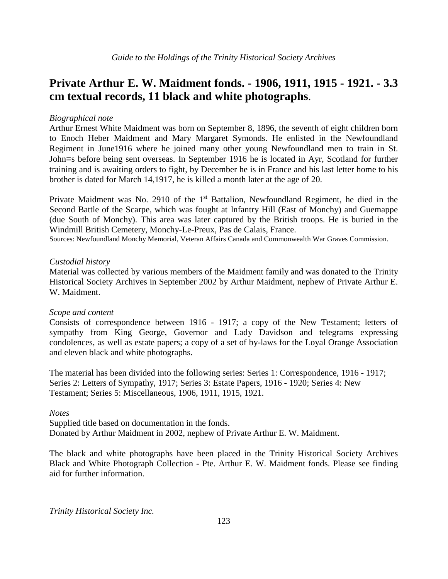# **Private Arthur E. W. Maidment fonds. - 1906, 1911, 1915 - 1921. - 3.3 cm textual records, 11 black and white photographs**.

# *Biographical note*

Arthur Ernest White Maidment was born on September 8, 1896, the seventh of eight children born to Enoch Heber Maidment and Mary Margaret Symonds. He enlisted in the Newfoundland Regiment in June1916 where he joined many other young Newfoundland men to train in St. John=s before being sent overseas. In September 1916 he is located in Ayr, Scotland for further training and is awaiting orders to fight, by December he is in France and his last letter home to his brother is dated for March 14,1917, he is killed a month later at the age of 20.

Private Maidment was No. 2910 of the  $1<sup>st</sup>$  Battalion, Newfoundland Regiment, he died in the Second Battle of the Scarpe, which was fought at Infantry Hill (East of Monchy) and Guemappe (due South of Monchy). This area was later captured by the British troops. He is buried in the Windmill British Cemetery, Monchy-Le-Preux, Pas de Calais, France.

Sources: Newfoundland Monchy Memorial, Veteran Affairs Canada and Commonwealth War Graves Commission.

#### *Custodial history*

Material was collected by various members of the Maidment family and was donated to the Trinity Historical Society Archives in September 2002 by Arthur Maidment, nephew of Private Arthur E. W. Maidment.

# *Scope and content*

Consists of correspondence between 1916 - 1917; a copy of the New Testament; letters of sympathy from King George, Governor and Lady Davidson and telegrams expressing condolences, as well as estate papers; a copy of a set of by-laws for the Loyal Orange Association and eleven black and white photographs.

The material has been divided into the following series: Series 1: Correspondence, 1916 - 1917; Series 2: Letters of Sympathy, 1917; Series 3: Estate Papers, 1916 - 1920; Series 4: New Testament; Series 5: Miscellaneous, 1906, 1911, 1915, 1921.

*Notes*

Supplied title based on documentation in the fonds. Donated by Arthur Maidment in 2002, nephew of Private Arthur E. W. Maidment.

The black and white photographs have been placed in the Trinity Historical Society Archives Black and White Photograph Collection - Pte. Arthur E. W. Maidment fonds. Please see finding aid for further information.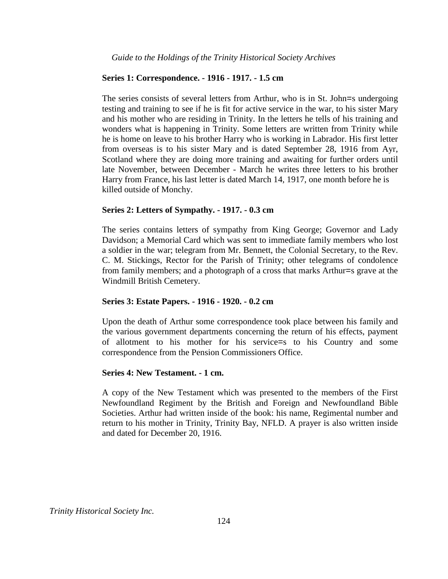# **Series 1: Correspondence. - 1916 - 1917. - 1.5 cm**

The series consists of several letters from Arthur, who is in St. John=s undergoing testing and training to see if he is fit for active service in the war, to his sister Mary and his mother who are residing in Trinity. In the letters he tells of his training and wonders what is happening in Trinity. Some letters are written from Trinity while he is home on leave to his brother Harry who is working in Labrador. His first letter from overseas is to his sister Mary and is dated September 28, 1916 from Ayr, Scotland where they are doing more training and awaiting for further orders until late November, between December - March he writes three letters to his brother Harry from France, his last letter is dated March 14, 1917, one month before he is killed outside of Monchy.

# **Series 2: Letters of Sympathy. - 1917. - 0.3 cm**

The series contains letters of sympathy from King George; Governor and Lady Davidson; a Memorial Card which was sent to immediate family members who lost a soldier in the war; telegram from Mr. Bennett, the Colonial Secretary, to the Rev. C. M. Stickings, Rector for the Parish of Trinity; other telegrams of condolence from family members; and a photograph of a cross that marks Arthur=s grave at the Windmill British Cemetery.

#### **Series 3: Estate Papers. - 1916 - 1920. - 0.2 cm**

Upon the death of Arthur some correspondence took place between his family and the various government departments concerning the return of his effects, payment of allotment to his mother for his service=s to his Country and some correspondence from the Pension Commissioners Office.

#### **Series 4: New Testament. - 1 cm.**

A copy of the New Testament which was presented to the members of the First Newfoundland Regiment by the British and Foreign and Newfoundland Bible Societies. Arthur had written inside of the book: his name, Regimental number and return to his mother in Trinity, Trinity Bay, NFLD. A prayer is also written inside and dated for December 20, 1916.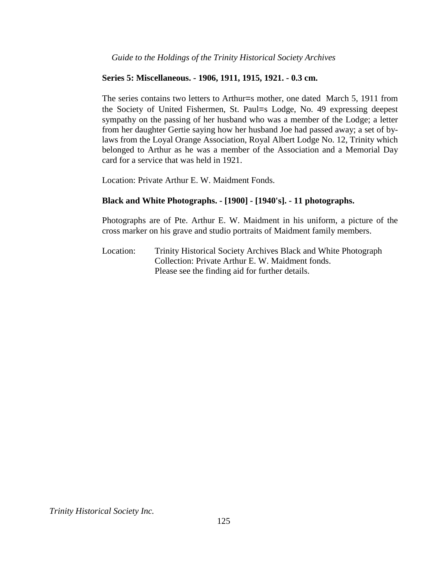# **Series 5: Miscellaneous. - 1906, 1911, 1915, 1921. - 0.3 cm.**

The series contains two letters to Arthur=s mother, one dated March 5, 1911 from the Society of United Fishermen, St. Paul=s Lodge, No. 49 expressing deepest sympathy on the passing of her husband who was a member of the Lodge; a letter from her daughter Gertie saying how her husband Joe had passed away; a set of bylaws from the Loyal Orange Association, Royal Albert Lodge No. 12, Trinity which belonged to Arthur as he was a member of the Association and a Memorial Day card for a service that was held in 1921.

Location: Private Arthur E. W. Maidment Fonds.

# **Black and White Photographs. - [1900] - [1940's]. - 11 photographs.**

Photographs are of Pte. Arthur E. W. Maidment in his uniform, a picture of the cross marker on his grave and studio portraits of Maidment family members.

Location: Trinity Historical Society Archives Black and White Photograph Collection: Private Arthur E. W. Maidment fonds. Please see the finding aid for further details.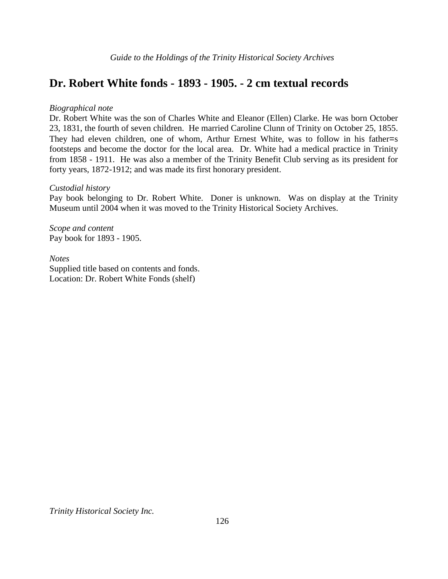# **Dr. Robert White fonds - 1893 - 1905. - 2 cm textual records**

## *Biographical note*

Dr. Robert White was the son of Charles White and Eleanor (Ellen) Clarke. He was born October 23, 1831, the fourth of seven children. He married Caroline Clunn of Trinity on October 25, 1855. They had eleven children, one of whom, Arthur Ernest White, was to follow in his father=s footsteps and become the doctor for the local area. Dr. White had a medical practice in Trinity from 1858 - 1911. He was also a member of the Trinity Benefit Club serving as its president for forty years, 1872-1912; and was made its first honorary president.

### *Custodial history*

Pay book belonging to Dr. Robert White. Doner is unknown. Was on display at the Trinity Museum until 2004 when it was moved to the Trinity Historical Society Archives.

*Scope and content* Pay book for 1893 - 1905.

*Notes* Supplied title based on contents and fonds. Location: Dr. Robert White Fonds (shelf)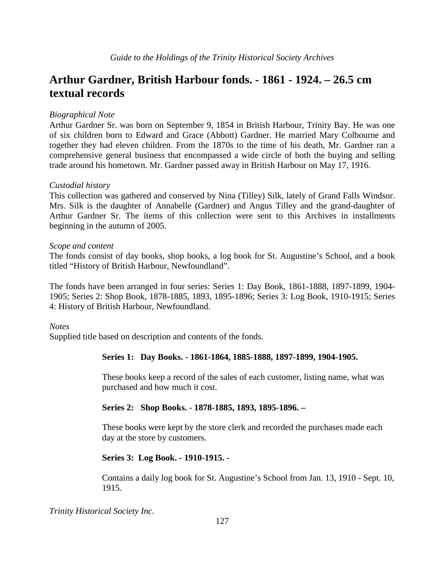# **Arthur Gardner, British Harbour fonds. - 1861 - 1924. – 26.5 cm textual records**

### *Biographical Note*

Arthur Gardner Sr. was born on September 9, 1854 in British Harbour, Trinity Bay. He was one of six children born to Edward and Grace (Abbott) Gardner. He married Mary Colbourne and together they had eleven children. From the 1870s to the time of his death, Mr. Gardner ran a comprehensive general business that encompassed a wide circle of both the buying and selling trade around his hometown. Mr. Gardner passed away in British Harbour on May 17, 1916.

#### *Custodial history*

This collection was gathered and conserved by Nina (Tilley) Silk, lately of Grand Falls Windsor. Mrs. Silk is the daughter of Annabelle (Gardner) and Angus Tilley and the grand-daughter of Arthur Gardner Sr. The items of this collection were sent to this Archives in installments beginning in the autumn of 2005.

#### *Scope and content*

The fonds consist of day books, shop books, a log book for St. Augustine's School, and a book titled "History of British Harbour, Newfoundland".

The fonds have been arranged in four series: Series 1: Day Book, 1861-1888, 1897-1899, 1904- 1905; Series 2: Shop Book, 1878-1885, 1893, 1895-1896; Series 3: Log Book, 1910-1915; Series 4: History of British Harbour, Newfoundland.

#### *Notes*

Supplied title based on description and contents of the fonds.

#### **Series 1: Day Books. - 1861-1864, 1885-1888, 1897-1899, 1904-1905.**

These books keep a record of the sales of each customer, listing name, what was purchased and how much it cost.

#### **Series 2: Shop Books. - 1878-1885, 1893, 1895-1896. –**

These books were kept by the store clerk and recorded the purchases made each day at the store by customers.

#### **Series 3: Log Book. - 1910-1915. -**

Contains a daily log book for St. Augustine's School from Jan. 13, 1910 - Sept. 10, 1915.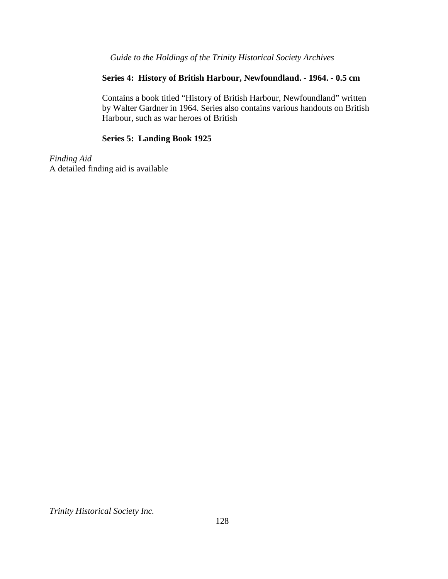# **Series 4: History of British Harbour, Newfoundland. - 1964. - 0.5 cm**

Contains a book titled "History of British Harbour, Newfoundland" written by Walter Gardner in 1964. Series also contains various handouts on British Harbour, such as war heroes of British

# **Series 5: Landing Book 1925**

*Finding Aid* A detailed finding aid is available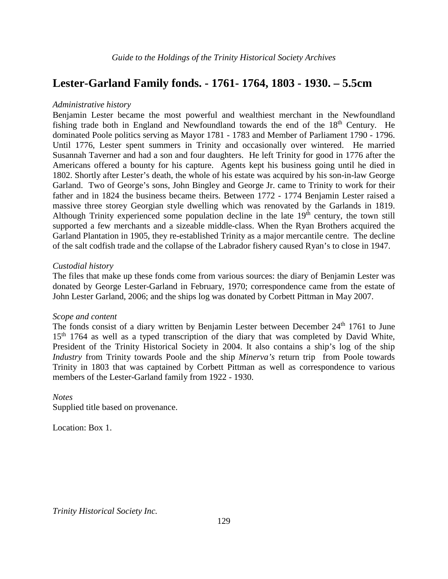# **Lester-Garland Family fonds. - 1761- 1764, 1803 - 1930. – 5.5cm**

#### *Administrative history*

Benjamin Lester became the most powerful and wealthiest merchant in the Newfoundland fishing trade both in England and Newfoundland towards the end of the  $18<sup>th</sup>$  Century. He dominated Poole politics serving as Mayor 1781 - 1783 and Member of Parliament 1790 - 1796. Until 1776, Lester spent summers in Trinity and occasionally over wintered. He married Susannah Taverner and had a son and four daughters. He left Trinity for good in 1776 after the Americans offered a bounty for his capture. Agents kept his business going until he died in 1802. Shortly after Lester's death, the whole of his estate was acquired by his son-in-law George Garland. Two of George's sons, John Bingley and George Jr. came to Trinity to work for their father and in 1824 the business became theirs. Between 1772 - 1774 Benjamin Lester raised a massive three storey Georgian style dwelling which was renovated by the Garlands in 1819. Although Trinity experienced some population decline in the late  $19<sup>th</sup>$  century, the town still supported a few merchants and a sizeable middle-class. When the Ryan Brothers acquired the Garland Plantation in 1905, they re-established Trinity as a major mercantile centre. The decline of the salt codfish trade and the collapse of the Labrador fishery caused Ryan's to close in 1947.

#### *Custodial history*

The files that make up these fonds come from various sources: the diary of Benjamin Lester was donated by George Lester-Garland in February, 1970; correspondence came from the estate of John Lester Garland, 2006; and the ships log was donated by Corbett Pittman in May 2007.

#### *Scope and content*

The fonds consist of a diary written by Benjamin Lester between December 24<sup>th</sup> 1761 to June 15<sup>th</sup> 1764 as well as a typed transcription of the diary that was completed by David White, President of the Trinity Historical Society in 2004. It also contains a ship's log of the ship *Industry* from Trinity towards Poole and the ship *Minerva's* return trip from Poole towards Trinity in 1803 that was captained by Corbett Pittman as well as correspondence to various members of the Lester-Garland family from 1922 - 1930.

#### *Notes*

Supplied title based on provenance.

Location: Box 1.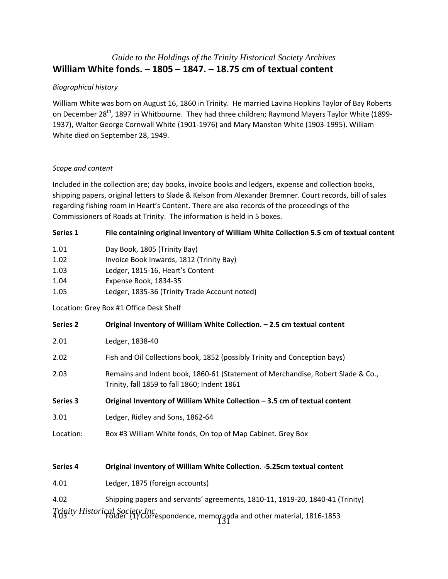# *Guide to the Holdings of the Trinity Historical Society Archives* **William White fonds. – 1805 – 1847. – 18.75 cm of textual content**

# *Biographical history*

William White was born on August 16, 1860 in Trinity. He married Lavina Hopkins Taylor of Bay Roberts on December 28<sup>th</sup>, 1897 in Whitbourne. They had three children; Raymond Mayers Taylor White (1899-1937), Walter George Cornwall White (1901-1976) and Mary Manston White (1903-1995). William White died on September 28, 1949.

# *Scope and content*

Included in the collection are; day books, invoice books and ledgers, expense and collection books, shipping papers, original letters to Slade & Kelson from Alexander Bremner. Court records, bill of sales regarding fishing room in Heart's Content. There are also records of the proceedings of the Commissioners of Roads at Trinity. The information is held in 5 boxes.

| Series 1                             | File containing original inventory of William White Collection 5.5 cm of textual content                                                                                               |
|--------------------------------------|----------------------------------------------------------------------------------------------------------------------------------------------------------------------------------------|
| 1.01<br>1.02<br>1.03<br>1.04<br>1.05 | Day Book, 1805 (Trinity Bay)<br>Invoice Book Inwards, 1812 (Trinity Bay)<br>Ledger, 1815-16, Heart's Content<br>Expense Book, 1834-35<br>Ledger, 1835-36 (Trinity Trade Account noted) |
|                                      | Location: Grey Box #1 Office Desk Shelf                                                                                                                                                |
| <b>Series 2</b>                      | Original Inventory of William White Collection. - 2.5 cm textual content                                                                                                               |
| 2.01                                 | Ledger, 1838-40                                                                                                                                                                        |
| 2.02                                 | Fish and Oil Collections book, 1852 (possibly Trinity and Conception bays)                                                                                                             |
| 2.03                                 | Remains and Indent book, 1860-61 (Statement of Merchandise, Robert Slade & Co.,<br>Trinity, fall 1859 to fall 1860; Indent 1861                                                        |
| Series 3                             | Original Inventory of William White Collection - 3.5 cm of textual content                                                                                                             |
| 3.01                                 | Ledger, Ridley and Sons, 1862-64                                                                                                                                                       |
| Location:                            | Box #3 William White fonds, On top of Map Cabinet. Grey Box                                                                                                                            |
|                                      |                                                                                                                                                                                        |
| Series 4                             | Original inventory of William White Collection. -5.25cm textual content                                                                                                                |
| 4.01                                 | Ledger, 1875 (foreign accounts)                                                                                                                                                        |

*Trinity Historical Society Inc.*  $4.03$   $1.31$   $1.31$   $1.31$   $1.31$   $1.31$   $1.31$   $1.31$   $1.31$   $1.31$   $1.31$   $1.31$   $1.31$   $1.31$   $1.31$   $1.31$   $1.31$   $1.31$   $1.31$   $1.31$   $1.31$   $1.31$   $1.31$   $1.31$   $1.31$   $1.31$   $1.31$   $1.31$   $1.31$   $1.31$   $1.31$   $1.3$ 4.02 Shipping papers and servants' agreements, 1810-11, 1819-20, 1840-41 (Trinity)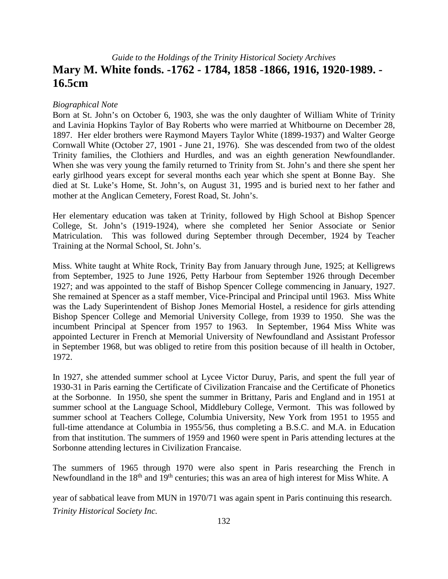# *Guide to the Holdings of the Trinity Historical Society Archives* **Mary M. White fonds. -1762 - 1784, 1858 -1866, 1916, 1920-1989. - 16.5cm**

#### *Biographical Note*

Born at St. John's on October 6, 1903, she was the only daughter of William White of Trinity and Lavinia Hopkins Taylor of Bay Roberts who were married at Whitbourne on December 28, 1897. Her elder brothers were Raymond Mayers Taylor White (1899-1937) and Walter George Cornwall White (October 27, 1901 - June 21, 1976). She was descended from two of the oldest Trinity families, the Clothiers and Hurdles, and was an eighth generation Newfoundlander. When she was very young the family returned to Trinity from St. John's and there she spent her early girlhood years except for several months each year which she spent at Bonne Bay. She died at St. Luke's Home, St. John's, on August 31, 1995 and is buried next to her father and mother at the Anglican Cemetery, Forest Road, St. John's.

Her elementary education was taken at Trinity, followed by High School at Bishop Spencer College, St. John's (1919-1924), where she completed her Senior Associate or Senior Matriculation. This was followed during September through December, 1924 by Teacher Training at the Normal School, St. John's.

Miss. White taught at White Rock, Trinity Bay from January through June, 1925; at Kelligrews from September, 1925 to June 1926, Petty Harbour from September 1926 through December 1927; and was appointed to the staff of Bishop Spencer College commencing in January, 1927. She remained at Spencer as a staff member, Vice-Principal and Principal until 1963. Miss White was the Lady Superintendent of Bishop Jones Memorial Hostel, a residence for girls attending Bishop Spencer College and Memorial University College, from 1939 to 1950. She was the incumbent Principal at Spencer from 1957 to 1963. In September, 1964 Miss White was appointed Lecturer in French at Memorial University of Newfoundland and Assistant Professor in September 1968, but was obliged to retire from this position because of ill health in October, 1972.

In 1927, she attended summer school at Lycee Victor Duruy, Paris, and spent the full year of 1930-31 in Paris earning the Certificate of Civilization Francaise and the Certificate of Phonetics at the Sorbonne. In 1950, she spent the summer in Brittany, Paris and England and in 1951 at summer school at the Language School, Middlebury College, Vermont. This was followed by summer school at Teachers College, Columbia University, New York from 1951 to 1955 and full-time attendance at Columbia in 1955/56, thus completing a B.S.C. and M.A. in Education from that institution. The summers of 1959 and 1960 were spent in Paris attending lectures at the Sorbonne attending lectures in Civilization Francaise.

The summers of 1965 through 1970 were also spent in Paris researching the French in Newfoundland in the  $18<sup>th</sup>$  and  $19<sup>th</sup>$  centuries; this was an area of high interest for Miss White. A

*Trinity Historical Society Inc.* year of sabbatical leave from MUN in 1970/71 was again spent in Paris continuing this research.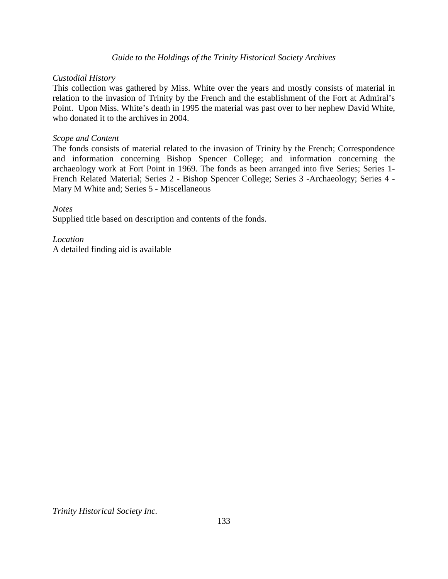## *Custodial History*

This collection was gathered by Miss. White over the years and mostly consists of material in relation to the invasion of Trinity by the French and the establishment of the Fort at Admiral's Point. Upon Miss. White's death in 1995 the material was past over to her nephew David White, who donated it to the archives in 2004.

### *Scope and Content*

The fonds consists of material related to the invasion of Trinity by the French; Correspondence and information concerning Bishop Spencer College; and information concerning the archaeology work at Fort Point in 1969. The fonds as been arranged into five Series; Series 1- French Related Material; Series 2 - Bishop Spencer College; Series 3 -Archaeology; Series 4 - Mary M White and; Series 5 - Miscellaneous

### *Notes*

Supplied title based on description and contents of the fonds.

# *Location*

A detailed finding aid is available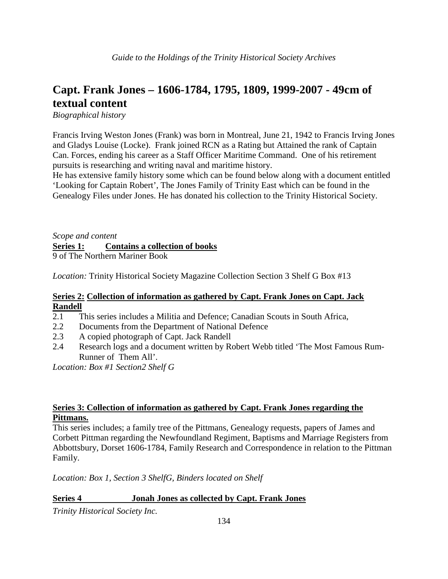# **Capt. Frank Jones – 1606-1784, 1795, 1809, 1999-2007 - 49cm of textual content**

*Biographical history*

Francis Irving Weston Jones (Frank) was born in Montreal, June 21, 1942 to Francis Irving Jones and Gladys Louise (Locke). Frank joined RCN as a Rating but Attained the rank of Captain Can. Forces, ending his career as a Staff Officer Maritime Command. One of his retirement pursuits is researching and writing naval and maritime history.

He has extensive family history some which can be found below along with a document entitled 'Looking for Captain Robert', The Jones Family of Trinity East which can be found in the Genealogy Files under Jones. He has donated his collection to the Trinity Historical Society.

*Scope and content* **Series 1: Contains a collection of books** 9 of The Northern Mariner Book

*Location:* Trinity Historical Society Magazine Collection Section 3 Shelf G Box #13

# **Series 2: Collection of information as gathered by Capt. Frank Jones on Capt. Jack Randell**<br>2.1 T

- 2.1 This series includes a Militia and Defence; Canadian Scouts in South Africa,
- 2.2 Documents from the Department of National Defence
- 2.3 A copied photograph of Capt. Jack Randell
- 2.4 Research logs and a document written by Robert Webb titled 'The Most Famous Rum-Runner of Them All'.

*Location: Box #1 Section2 Shelf G*

# **Series 3: Collection of information as gathered by Capt. Frank Jones regarding the Pittmans.**

This series includes; a family tree of the Pittmans, Genealogy requests, papers of James and Corbett Pittman regarding the Newfoundland Regiment, Baptisms and Marriage Registers from Abbottsbury, Dorset 1606-1784, Family Research and Correspondence in relation to the Pittman Family.

*Location: Box 1, Section 3 ShelfG, Binders located on Shelf*

# **Series 4 Jonah Jones as collected by Capt. Frank Jones**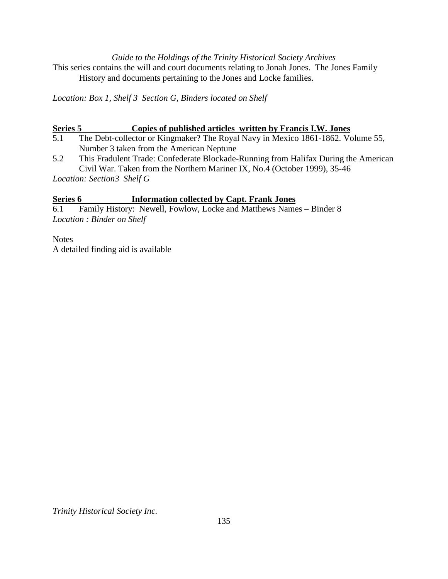This series contains the will and court documents relating to Jonah Jones. The Jones Family History and documents pertaining to the Jones and Locke families.

*Location: Box 1, Shelf 3 Section G, Binders located on Shelf*

## **Series 5 Copies of published articles written by Francis I.W. Jones** 5.1 The Debt-collector or Kingmaker? The Royal Navy in Mexico 1861-1862. Volume 55, Number 3 taken from the American Neptune

5.2 This Fradulent Trade: Confederate Blockade-Running from Halifax During the American Civil War. Taken from the Northern Mariner IX, No.4 (October 1999), 35-46

*Location: Section3 Shelf G*

# **Series 6 Information collected by Capt. Frank Jones**

6.1 Family History: Newell, Fowlow, Locke and Matthews Names – Binder 8 *Location : Binder on Shelf*

**Notes** A detailed finding aid is available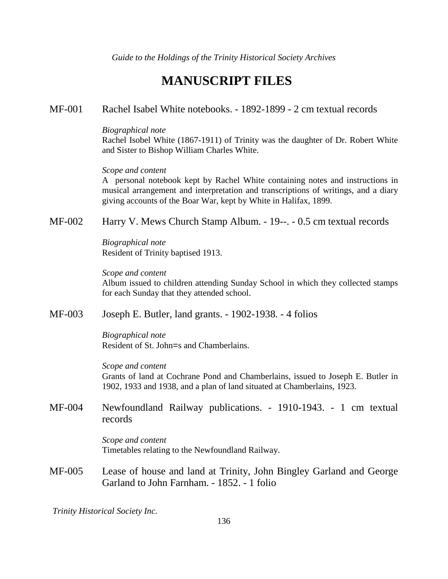# **MANUSCRIPT FILES**

# MF-001 Rachel Isabel White notebooks. - 1892-1899 - 2 cm textual records

### *Biographical note*

Rachel Isobel White (1867-1911) of Trinity was the daughter of Dr. Robert White and Sister to Bishop William Charles White.

#### *Scope and content*

A personal notebook kept by Rachel White containing notes and instructions in musical arrangement and interpretation and transcriptions of writings, and a diary giving accounts of the Boar War, kept by White in Halifax, 1899.

MF-002 Harry V. Mews Church Stamp Album. - 19--. - 0.5 cm textual records

*Biographical note* Resident of Trinity baptised 1913.

*Scope and content* Album issued to children attending Sunday School in which they collected stamps for each Sunday that they attended school.

MF-003 Joseph E. Butler, land grants. - 1902-1938. - 4 folios

*Biographical note* Resident of St. John=s and Chamberlains.

*Scope and content* Grants of land at Cochrane Pond and Chamberlains, issued to Joseph E. Butler in 1902, 1933 and 1938, and a plan of land situated at Chamberlains, 1923.

MF-004 Newfoundland Railway publications. - 1910-1943. - 1 cm textual records

> *Scope and content* Timetables relating to the Newfoundland Railway.

MF-005 Lease of house and land at Trinity, John Bingley Garland and George Garland to John Farnham. - 1852. - 1 folio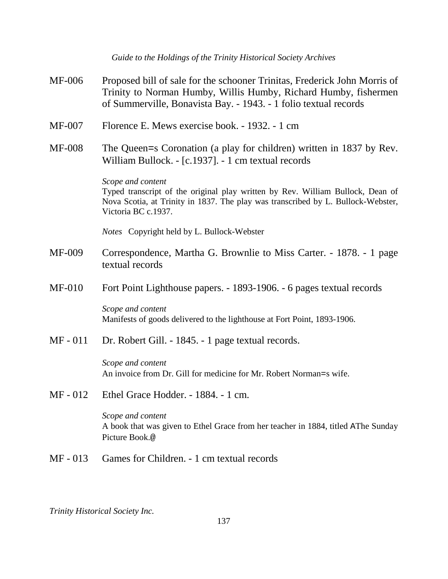- MF-006 Proposed bill of sale for the schooner Trinitas, Frederick John Morris of Trinity to Norman Humby, Willis Humby, Richard Humby, fishermen of Summerville, Bonavista Bay. - 1943. - 1 folio textual records
- MF-007 Florence E. Mews exercise book. 1932. 1 cm
- MF-008 The Queen=s Coronation (a play for children) written in 1837 by Rev. William Bullock. - [c.1937]. - 1 cm textual records

*Scope and content* Typed transcript of the original play written by Rev. William Bullock, Dean of Nova Scotia, at Trinity in 1837. The play was transcribed by L. Bullock-Webster, Victoria BC c.1937.

*Notes* Copyright held by L. Bullock-Webster

- MF-009 Correspondence, Martha G. Brownlie to Miss Carter. 1878. 1 page textual records
- MF-010 Fort Point Lighthouse papers. 1893-1906. 6 pages textual records

*Scope and content* Manifests of goods delivered to the lighthouse at Fort Point, 1893-1906.

MF - 011 Dr. Robert Gill. - 1845. - 1 page textual records.

*Scope and content* An invoice from Dr. Gill for medicine for Mr. Robert Norman=s wife.

MF - 012 Ethel Grace Hodder. - 1884. - 1 cm.

*Scope and content* A book that was given to Ethel Grace from her teacher in 1884, titled AThe Sunday Picture Book.@

MF - 013 Games for Children. - 1 cm textual records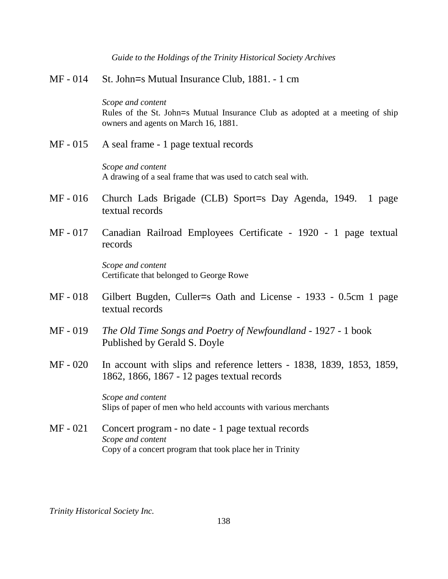MF - 014 St. John=s Mutual Insurance Club, 1881. - 1 cm

*Scope and content* Rules of the St. John=s Mutual Insurance Club as adopted at a meeting of ship owners and agents on March 16, 1881.

MF - 015 A seal frame - 1 page textual records

*Scope and content* A drawing of a seal frame that was used to catch seal with.

- MF 016 Church Lads Brigade (CLB) Sport=s Day Agenda, 1949. 1 page textual records
- MF 017 Canadian Railroad Employees Certificate 1920 1 page textual records

*Scope and content* Certificate that belonged to George Rowe

- MF 018 Gilbert Bugden, Culler=s Oath and License 1933 0.5cm 1 page textual records
- MF 019 *The Old Time Songs and Poetry of Newfoundland* 1927 1 book Published by Gerald S. Doyle
- MF 020 In account with slips and reference letters 1838, 1839, 1853, 1859, 1862, 1866, 1867 - 12 pages textual records

*Scope and content* Slips of paper of men who held accounts with various merchants

MF - 021 Concert program - no date - 1 page textual records *Scope and content* Copy of a concert program that took place her in Trinity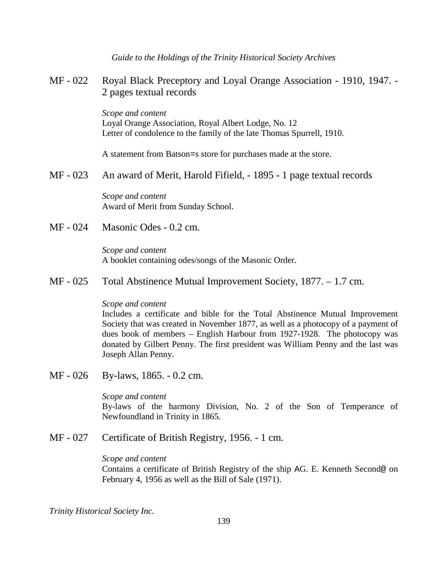MF - 022 Royal Black Preceptory and Loyal Orange Association - 1910, 1947. - 2 pages textual records

> *Scope and content* Loyal Orange Association, Royal Albert Lodge, No. 12 Letter of condolence to the family of the late Thomas Spurrell, 1910.

A statement from Batson=s store for purchases made at the store.

MF - 023 An award of Merit, Harold Fifield, - 1895 - 1 page textual records

*Scope and content* Award of Merit from Sunday School.

MF - 024 Masonic Odes - 0.2 cm.

*Scope and content* A booklet containing odes/songs of the Masonic Order.

MF - 025 Total Abstinence Mutual Improvement Society, 1877. – 1.7 cm.

#### *Scope and content*

Includes a certificate and bible for the Total Abstinence Mutual Improvement Society that was created in November 1877, as well as a photocopy of a payment of dues book of members – English Harbour from 1927-1928. The photocopy was donated by Gilbert Penny. The first president was William Penny and the last was Joseph Allan Penny.

MF - 026 By-laws, 1865. - 0.2 cm.

#### *Scope and content*

By-laws of the harmony Division, No. 2 of the Son of Temperance of Newfoundland in Trinity in 1865.

MF - 027 Certificate of British Registry, 1956. - 1 cm.

# *Scope and content*

Contains a certificate of British Registry of the ship AG. E. Kenneth Second@ on February 4, 1956 as well as the Bill of Sale (1971).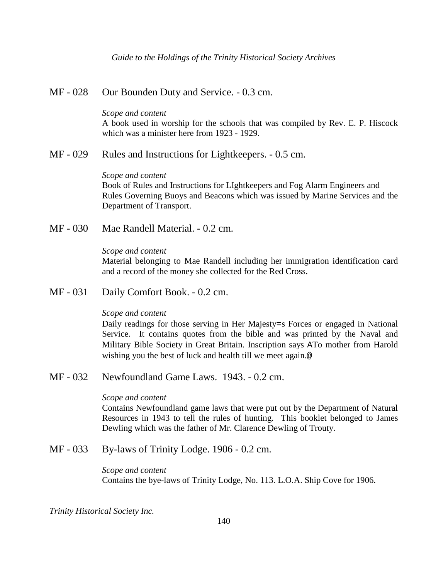MF - 028 Our Bounden Duty and Service. - 0.3 cm.

#### *Scope and content*

A book used in worship for the schools that was compiled by Rev. E. P. Hiscock which was a minister here from 1923 - 1929.

MF - 029 Rules and Instructions for Lightkeepers. - 0.5 cm.

# *Scope and content*

Book of Rules and Instructions for LIghtkeepers and Fog Alarm Engineers and Rules Governing Buoys and Beacons which was issued by Marine Services and the Department of Transport.

MF - 030 Mae Randell Material. - 0.2 cm.

### *Scope and content*

Material belonging to Mae Randell including her immigration identification card and a record of the money she collected for the Red Cross.

MF - 031 Daily Comfort Book. - 0.2 cm.

# *Scope and content*

Daily readings for those serving in Her Majesty=s Forces or engaged in National Service. It contains quotes from the bible and was printed by the Naval and Military Bible Society in Great Britain. Inscription says ATo mother from Harold wishing you the best of luck and health till we meet again.@

MF - 032 Newfoundland Game Laws. 1943. - 0.2 cm.

# *Scope and content*

Contains Newfoundland game laws that were put out by the Department of Natural Resources in 1943 to tell the rules of hunting. This booklet belonged to James Dewling which was the father of Mr. Clarence Dewling of Trouty.

MF - 033 By-laws of Trinity Lodge. 1906 - 0.2 cm.

*Scope and content* Contains the bye-laws of Trinity Lodge, No. 113. L.O.A. Ship Cove for 1906.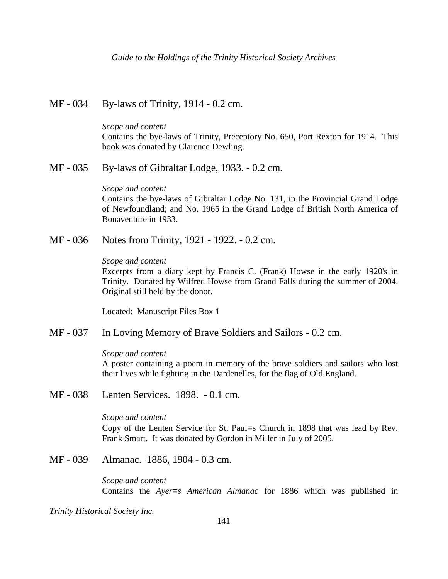# MF - 034 By-laws of Trinity, 1914 - 0.2 cm.

*Scope and content*

Contains the bye-laws of Trinity, Preceptory No. 650, Port Rexton for 1914. This book was donated by Clarence Dewling.

MF - 035 By-laws of Gibraltar Lodge, 1933. - 0.2 cm.

#### *Scope and content*

Contains the bye-laws of Gibraltar Lodge No. 131, in the Provincial Grand Lodge of Newfoundland; and No. 1965 in the Grand Lodge of British North America of Bonaventure in 1933.

MF - 036 Notes from Trinity, 1921 - 1922. - 0.2 cm.

### *Scope and content*

Excerpts from a diary kept by Francis C. (Frank) Howse in the early 1920's in Trinity. Donated by Wilfred Howse from Grand Falls during the summer of 2004. Original still held by the donor.

Located: Manuscript Files Box 1

MF - 037 In Loving Memory of Brave Soldiers and Sailors - 0.2 cm.

#### *Scope and content*

A poster containing a poem in memory of the brave soldiers and sailors who lost their lives while fighting in the Dardenelles, for the flag of Old England.

MF - 038 Lenten Services. 1898. - 0.1 cm.

#### *Scope and content*

Copy of the Lenten Service for St. Paul=s Church in 1898 that was lead by Rev. Frank Smart. It was donated by Gordon in Miller in July of 2005.

MF - 039 Almanac. 1886, 1904 - 0.3 cm.

*Scope and content* Contains the *Ayer=s American Almanac* for 1886 which was published in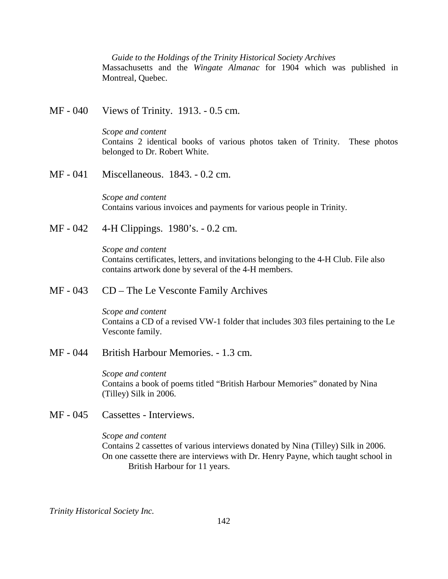*Guide to the Holdings of the Trinity Historical Society Archives* Massachusetts and the *Wingate Almanac* for 1904 which was published in Montreal, Quebec.

MF - 040 Views of Trinity. 1913. - 0.5 cm.

*Scope and content* Contains 2 identical books of various photos taken of Trinity. These photos belonged to Dr. Robert White.

MF - 041 Miscellaneous. 1843. - 0.2 cm.

*Scope and content* Contains various invoices and payments for various people in Trinity.

MF - 042 4-H Clippings. 1980's. - 0.2 cm.

*Scope and content* Contains certificates, letters, and invitations belonging to the 4-H Club. File also contains artwork done by several of the 4-H members.

MF - 043 CD – The Le Vesconte Family Archives

*Scope and content* Contains a CD of a revised VW-1 folder that includes 303 files pertaining to the Le Vesconte family.

MF - 044 British Harbour Memories. - 1.3 cm.

*Scope and content* Contains a book of poems titled "British Harbour Memories" donated by Nina (Tilley) Silk in 2006.

MF - 045 Cassettes - Interviews.

*Scope and content* Contains 2 cassettes of various interviews donated by Nina (Tilley) Silk in 2006. On one cassette there are interviews with Dr. Henry Payne, which taught school in British Harbour for 11 years.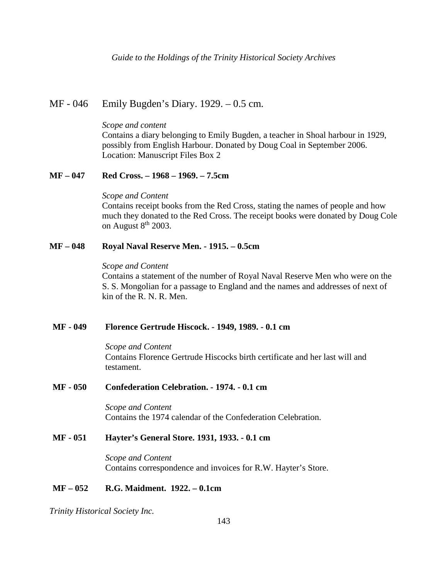# MF - 046 Emily Bugden's Diary. 1929. – 0.5 cm.

*Scope and content*

Contains a diary belonging to Emily Bugden, a teacher in Shoal harbour in 1929, possibly from English Harbour. Donated by Doug Coal in September 2006. Location: Manuscript Files Box 2

### **MF – 047 Red Cross. – 1968 – 1969. – 7.5cm**

#### *Scope and Content*

Contains receipt books from the Red Cross, stating the names of people and how much they donated to the Red Cross. The receipt books were donated by Doug Cole on August  $8<sup>th</sup>$  2003.

# **MF – 048 Royal Naval Reserve Men. - 1915. – 0.5cm**

### *Scope and Content*

Contains a statement of the number of Royal Naval Reserve Men who were on the S. S. Mongolian for a passage to England and the names and addresses of next of kin of the R. N. R. Men.

# **MF - 049 Florence Gertrude Hiscock. - 1949, 1989. - 0.1 cm**

*Scope and Content* Contains Florence Gertrude Hiscocks birth certificate and her last will and testament.

## **MF - 050 Confederation Celebration. - 1974. - 0.1 cm**

*Scope and Content* Contains the 1974 calendar of the Confederation Celebration.

#### **MF - 051 Hayter's General Store. 1931, 1933. - 0.1 cm**

*Scope and Content* Contains correspondence and invoices for R.W. Hayter's Store.

### **MF – 052 R.G. Maidment. 1922. – 0.1cm**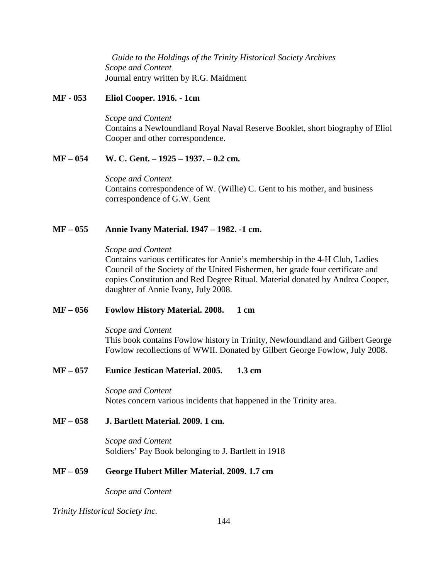*Guide to the Holdings of the Trinity Historical Society Archives Scope and Content* Journal entry written by R.G. Maidment

# **MF - 053 Eliol Cooper. 1916. - 1cm**

*Scope and Content* Contains a Newfoundland Royal Naval Reserve Booklet, short biography of Eliol Cooper and other correspondence.

# **MF – 054 W. C. Gent. – 1925 – 1937. – 0.2 cm.**

*Scope and Content* Contains correspondence of W. (Willie) C. Gent to his mother, and business correspondence of G.W. Gent

# **MF – 055 Annie Ivany Material. 1947 – 1982. -1 cm.**

*Scope and Content*

Contains various certificates for Annie's membership in the 4-H Club, Ladies Council of the Society of the United Fishermen, her grade four certificate and copies Constitution and Red Degree Ritual. Material donated by Andrea Cooper, daughter of Annie Ivany, July 2008.

# **MF – 056 Fowlow History Material. 2008. 1 cm**

*Scope and Content* This book contains Fowlow history in Trinity, Newfoundland and Gilbert George Fowlow recollections of WWII. Donated by Gilbert George Fowlow, July 2008.

# **MF – 057 Eunice Jestican Material. 2005. 1.3 cm**

*Scope and Content* Notes concern various incidents that happened in the Trinity area.

# **MF – 058 J. Bartlett Material. 2009. 1 cm.**

*Scope and Content* Soldiers' Pay Book belonging to J. Bartlett in 1918

# **MF – 059 George Hubert Miller Material. 2009. 1.7 cm**

*Scope and Content*